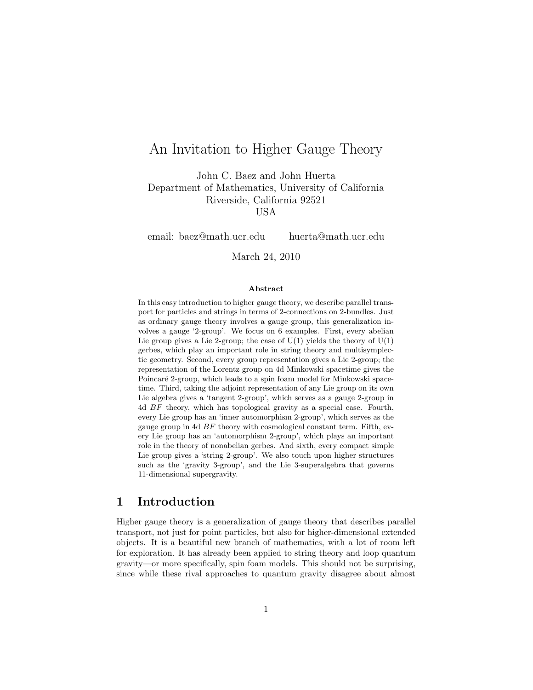# An Invitation to Higher Gauge Theory

John C. Baez and John Huerta Department of Mathematics, University of California Riverside, California 92521 USA

email: baez@math.ucr.edu huerta@math.ucr.edu

March 24, 2010

#### Abstract

In this easy introduction to higher gauge theory, we describe parallel transport for particles and strings in terms of 2-connections on 2-bundles. Just as ordinary gauge theory involves a gauge group, this generalization involves a gauge '2-group'. We focus on 6 examples. First, every abelian Lie group gives a Lie 2-group; the case of  $U(1)$  yields the theory of  $U(1)$ gerbes, which play an important role in string theory and multisymplectic geometry. Second, every group representation gives a Lie 2-group; the representation of the Lorentz group on 4d Minkowski spacetime gives the Poincaré 2-group, which leads to a spin foam model for Minkowski spacetime. Third, taking the adjoint representation of any Lie group on its own Lie algebra gives a 'tangent 2-group', which serves as a gauge 2-group in 4d BF theory, which has topological gravity as a special case. Fourth, every Lie group has an 'inner automorphism 2-group', which serves as the gauge group in  $4d$   $BF$  theory with cosmological constant term. Fifth, every Lie group has an 'automorphism 2-group', which plays an important role in the theory of nonabelian gerbes. And sixth, every compact simple Lie group gives a 'string 2-group'. We also touch upon higher structures such as the 'gravity 3-group', and the Lie 3-superalgebra that governs 11-dimensional supergravity.

# 1 Introduction

Higher gauge theory is a generalization of gauge theory that describes parallel transport, not just for point particles, but also for higher-dimensional extended objects. It is a beautiful new branch of mathematics, with a lot of room left for exploration. It has already been applied to string theory and loop quantum gravity—or more specifically, spin foam models. This should not be surprising, since while these rival approaches to quantum gravity disagree about almost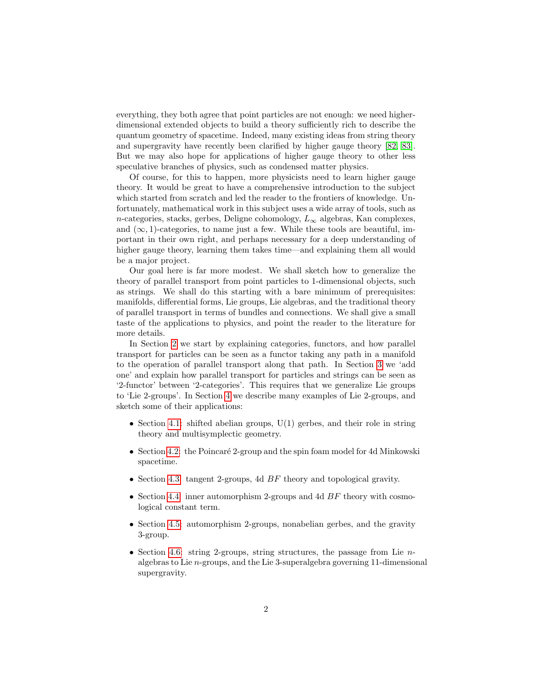everything, they both agree that point particles are not enough: we need higherdimensional extended objects to build a theory sufficiently rich to describe the quantum geometry of spacetime. Indeed, many existing ideas from string theory and supergravity have recently been clarified by higher gauge theory [\[82,](#page-59-0) [83\]](#page-59-1). But we may also hope for applications of higher gauge theory to other less speculative branches of physics, such as condensed matter physics.

Of course, for this to happen, more physicists need to learn higher gauge theory. It would be great to have a comprehensive introduction to the subject which started from scratch and led the reader to the frontiers of knowledge. Unfortunately, mathematical work in this subject uses a wide array of tools, such as n-categories, stacks, gerbes, Deligne cohomology,  $L_{\infty}$  algebras, Kan complexes, and  $(\infty, 1)$ -categories, to name just a few. While these tools are beautiful, important in their own right, and perhaps necessary for a deep understanding of higher gauge theory, learning them takes time—and explaining them all would be a major project.

Our goal here is far more modest. We shall sketch how to generalize the theory of parallel transport from point particles to 1-dimensional objects, such as strings. We shall do this starting with a bare minimum of prerequisites: manifolds, differential forms, Lie groups, Lie algebras, and the traditional theory of parallel transport in terms of bundles and connections. We shall give a small taste of the applications to physics, and point the reader to the literature for more details.

In Section [2](#page-2-0) we start by explaining categories, functors, and how parallel transport for particles can be seen as a functor taking any path in a manifold to the operation of parallel transport along that path. In Section [3](#page-10-0) we 'add one' and explain how parallel transport for particles and strings can be seen as '2-functor' between '2-categories'. This requires that we generalize Lie groups to 'Lie 2-groups'. In Section [4](#page-26-0) we describe many examples of Lie 2-groups, and sketch some of their applications:

- Section [4.1:](#page-26-1) shifted abelian groups,  $U(1)$  gerbes, and their role in string theory and multisymplectic geometry.
- Section [4.2:](#page-31-0) the Poincaré 2-group and the spin foam model for 4d Minkowski spacetime.
- Section [4.3:](#page-32-0) tangent 2-groups, 4d BF theory and topological gravity.
- Section [4.4:](#page-36-0) inner automorphism 2-groups and 4d  $BF$  theory with cosmological constant term.
- Section [4.5:](#page-37-0) automorphism 2-groups, nonabelian gerbes, and the gravity 3-group.
- Section [4.6:](#page-39-0) string 2-groups, string structures, the passage from Lie  $n$ algebras to Lie n-groups, and the Lie 3-superalgebra governing 11-dimensional supergravity.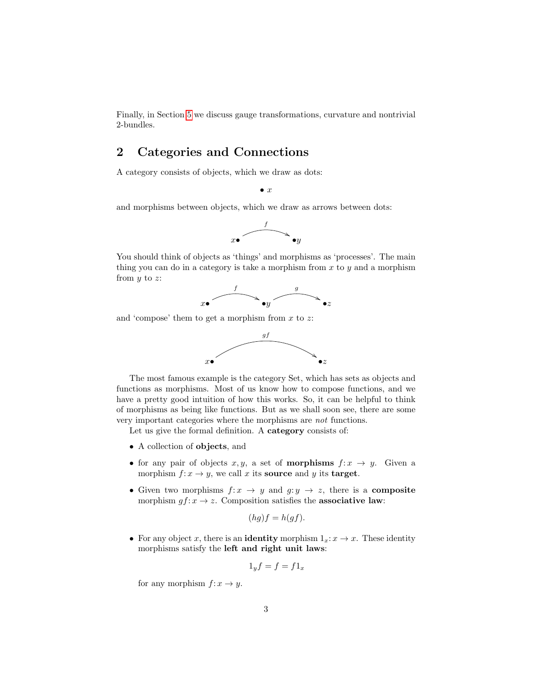Finally, in Section [5](#page-43-0) we discuss gauge transformations, curvature and nontrivial 2-bundles.

# <span id="page-2-0"></span>2 Categories and Connections

A category consists of objects, which we draw as dots:

 $\bullet x$ 

and morphisms between objects, which we draw as arrows between dots:



You should think of objects as 'things' and morphisms as 'processes'. The main thing you can do in a category is take a morphism from  $x$  to  $y$  and a morphism from  $y$  to  $z$ :



and 'compose' them to get a morphism from  $x$  to  $z$ :



The most famous example is the category Set, which has sets as objects and functions as morphisms. Most of us know how to compose functions, and we have a pretty good intuition of how this works. So, it can be helpful to think of morphisms as being like functions. But as we shall soon see, there are some very important categories where the morphisms are not functions.

Let us give the formal definition. A category consists of:

- A collection of objects, and
- for any pair of objects x, y, a set of **morphisms**  $f: x \rightarrow y$ . Given a morphism  $f: x \to y$ , we call x its **source** and y its **target**.
- Given two morphisms  $f: x \to y$  and  $g: y \to z$ , there is a **composite** morphism  $gf: x \to z$ . Composition satisfies the **associative law**:

$$
(hg)f = h(gf).
$$

• For any object x, there is an **identity** morphism  $1_x: x \to x$ . These identity morphisms satisfy the left and right unit laws:

$$
1_y f = f = f 1_x
$$

for any morphism  $f: x \to y$ .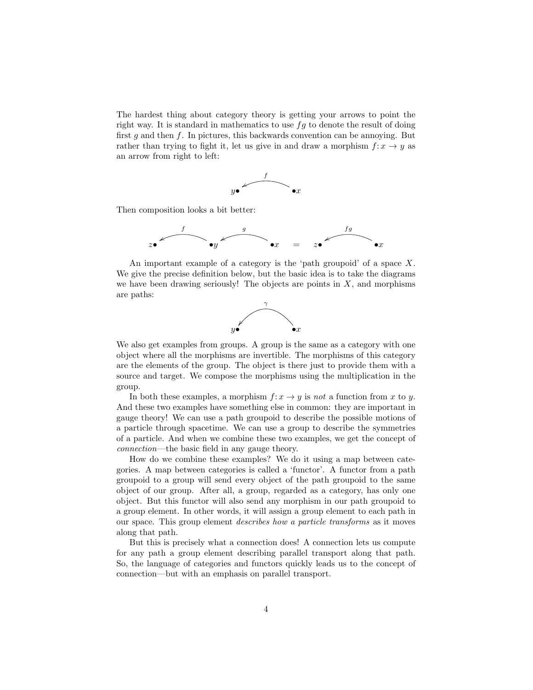The hardest thing about category theory is getting your arrows to point the right way. It is standard in mathematics to use  $fg$  to denote the result of doing first  $g$  and then  $f$ . In pictures, this backwards convention can be annoying. But rather than trying to fight it, let us give in and draw a morphism  $f: x \to y$  as an arrow from right to left:



Then composition looks a bit better:



An important example of a category is the 'path groupoid' of a space  $X$ . We give the precise definition below, but the basic idea is to take the diagrams we have been drawing seriously! The objects are points in  $X$ , and morphisms are paths:



We also get examples from groups. A group is the same as a category with one object where all the morphisms are invertible. The morphisms of this category are the elements of the group. The object is there just to provide them with a source and target. We compose the morphisms using the multiplication in the group.

In both these examples, a morphism  $f: x \to y$  is not a function from x to y. And these two examples have something else in common: they are important in gauge theory! We can use a path groupoid to describe the possible motions of a particle through spacetime. We can use a group to describe the symmetries of a particle. And when we combine these two examples, we get the concept of connection—the basic field in any gauge theory.

How do we combine these examples? We do it using a map between categories. A map between categories is called a 'functor'. A functor from a path groupoid to a group will send every object of the path groupoid to the same object of our group. After all, a group, regarded as a category, has only one object. But this functor will also send any morphism in our path groupoid to a group element. In other words, it will assign a group element to each path in our space. This group element describes how a particle transforms as it moves along that path.

But this is precisely what a connection does! A connection lets us compute for any path a group element describing parallel transport along that path. So, the language of categories and functors quickly leads us to the concept of connection—but with an emphasis on parallel transport.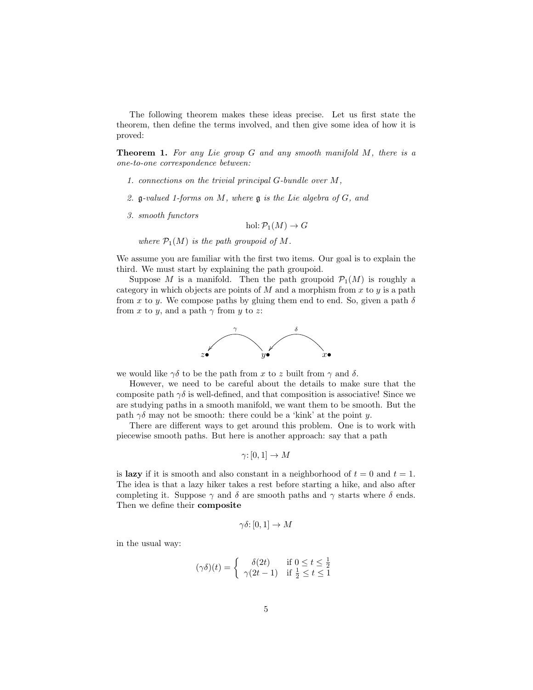The following theorem makes these ideas precise. Let us first state the theorem, then define the terms involved, and then give some idea of how it is proved:

<span id="page-4-0"></span>**Theorem 1.** For any Lie group  $G$  and any smooth manifold  $M$ , there is a one-to-one correspondence between:

- 1. connections on the trivial principal G-bundle over M,
- 2.  $\mathfrak g$ -valued 1-forms on M, where  $\mathfrak g$  is the Lie algebra of G, and
- 3. smooth functors

$$
hol: \mathcal{P}_1(M) \to G
$$

where  $\mathcal{P}_1(M)$  is the path groupoid of M.

We assume you are familiar with the first two items. Our goal is to explain the third. We must start by explaining the path groupoid.

Suppose M is a manifold. Then the path groupoid  $\mathcal{P}_1(M)$  is roughly a category in which objects are points of M and a morphism from x to y is a path from x to y. We compose paths by gluing them end to end. So, given a path  $\delta$ from x to y, and a path  $\gamma$  from y to z:



we would like  $\gamma\delta$  to be the path from x to z built from  $\gamma$  and  $\delta$ .

However, we need to be careful about the details to make sure that the composite path  $\gamma \delta$  is well-defined, and that composition is associative! Since we are studying paths in a smooth manifold, we want them to be smooth. But the path  $\gamma\delta$  may not be smooth: there could be a 'kink' at the point y.

There are different ways to get around this problem. One is to work with piecewise smooth paths. But here is another approach: say that a path

$$
\gamma: [0,1] \to M
$$

is lazy if it is smooth and also constant in a neighborhood of  $t = 0$  and  $t = 1$ . The idea is that a lazy hiker takes a rest before starting a hike, and also after completing it. Suppose  $\gamma$  and  $\delta$  are smooth paths and  $\gamma$  starts where  $\delta$  ends. Then we define their composite

$$
\gamma \delta \colon [0,1] \to M
$$

in the usual way:

$$
(\gamma \delta)(t) = \begin{cases} \delta(2t) & \text{if } 0 \le t \le \frac{1}{2} \\ \gamma(2t - 1) & \text{if } \frac{1}{2} \le t \le 1 \end{cases}
$$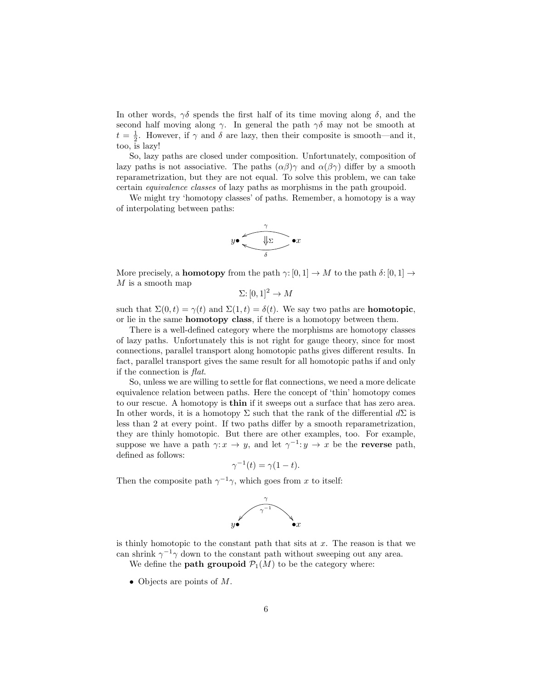In other words,  $\gamma\delta$  spends the first half of its time moving along  $\delta$ , and the second half moving along  $\gamma$ . In general the path  $\gamma\delta$  may not be smooth at  $t = \frac{1}{2}$ . However, if  $\gamma$  and  $\delta$  are lazy, then their composite is smooth—and it, too, is lazy!

So, lazy paths are closed under composition. Unfortunately, composition of lazy paths is not associative. The paths  $(\alpha\beta)\gamma$  and  $\alpha(\beta\gamma)$  differ by a smooth reparametrization, but they are not equal. To solve this problem, we can take certain equivalence classes of lazy paths as morphisms in the path groupoid.

We might try 'homotopy classes' of paths. Remember, a homotopy is a way of interpolating between paths:



More precisely, a **homotopy** from the path  $\gamma: [0, 1] \to M$  to the path  $\delta: [0, 1] \to M$  $M$  is a smooth map

$$
\Sigma: [0,1]^2 \to M
$$

such that  $\Sigma(0, t) = \gamma(t)$  and  $\Sigma(1, t) = \delta(t)$ . We say two paths are **homotopic**, or lie in the same homotopy class, if there is a homotopy between them.

There is a well-defined category where the morphisms are homotopy classes of lazy paths. Unfortunately this is not right for gauge theory, since for most connections, parallel transport along homotopic paths gives different results. In fact, parallel transport gives the same result for all homotopic paths if and only if the connection is flat.

So, unless we are willing to settle for flat connections, we need a more delicate equivalence relation between paths. Here the concept of 'thin' homotopy comes to our rescue. A homotopy is thin if it sweeps out a surface that has zero area. In other words, it is a homotopy  $\Sigma$  such that the rank of the differential  $d\Sigma$  is less than 2 at every point. If two paths differ by a smooth reparametrization, they are thinly homotopic. But there are other examples, too. For example, suppose we have a path  $\gamma: x \to y$ , and let  $\gamma^{-1}: y \to x$  be the reverse path, defined as follows:

$$
\gamma^{-1}(t) = \gamma(1-t).
$$

Then the composite path  $\gamma^{-1}\gamma$ , which goes from x to itself:



is thinly homotopic to the constant path that sits at  $x$ . The reason is that we can shrink  $\gamma^{-1}\gamma$  down to the constant path without sweeping out any area.

We define the **path groupoid**  $\mathcal{P}_1(M)$  to be the category where:

• Objects are points of  $M$ .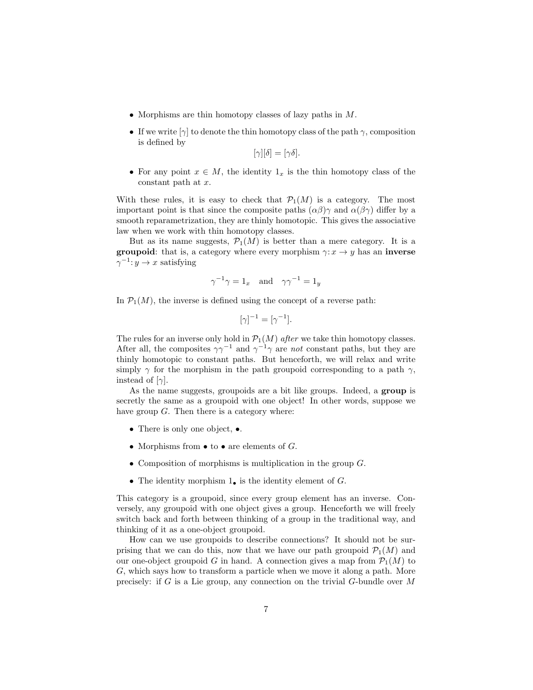- Morphisms are thin homotopy classes of lazy paths in M.
- If we write  $[\gamma]$  to denote the thin homotopy class of the path  $\gamma$ , composition is defined by

 $[\gamma][\delta] = [\gamma \delta].$ 

• For any point  $x \in M$ , the identity  $1_x$  is the thin homotopy class of the constant path at x.

With these rules, it is easy to check that  $\mathcal{P}_1(M)$  is a category. The most important point is that since the composite paths  $(\alpha\beta)\gamma$  and  $\alpha(\beta\gamma)$  differ by a smooth reparametrization, they are thinly homotopic. This gives the associative law when we work with thin homotopy classes.

But as its name suggests,  $\mathcal{P}_1(M)$  is better than a mere category. It is a **groupoid:** that is, a category where every morphism  $\gamma: x \to y$  has an **inverse**  $\gamma^{-1}: y \to x$  satisfying

$$
\gamma^{-1}\gamma = 1_x \quad \text{and} \quad \gamma\gamma^{-1} = 1_y
$$

In  $\mathcal{P}_1(M)$ , the inverse is defined using the concept of a reverse path:

$$
[\gamma]^{-1} = [\gamma^{-1}].
$$

The rules for an inverse only hold in  $\mathcal{P}_1(M)$  after we take thin homotopy classes. After all, the composites  $\gamma \gamma^{-1}$  and  $\gamma^{-1} \gamma$  are not constant paths, but they are thinly homotopic to constant paths. But henceforth, we will relax and write simply  $\gamma$  for the morphism in the path groupoid corresponding to a path  $\gamma$ , instead of [ $\gamma$ ].

As the name suggests, groupoids are a bit like groups. Indeed, a **group** is secretly the same as a groupoid with one object! In other words, suppose we have group  $G$ . Then there is a category where:

- There is only one object, •.
- Morphisms from  $\bullet$  to  $\bullet$  are elements of  $G$ .
- Composition of morphisms is multiplication in the group  $G$ .
- The identity morphism  $1_{\bullet}$  is the identity element of  $G$ .

This category is a groupoid, since every group element has an inverse. Conversely, any groupoid with one object gives a group. Henceforth we will freely switch back and forth between thinking of a group in the traditional way, and thinking of it as a one-object groupoid.

How can we use groupoids to describe connections? It should not be surprising that we can do this, now that we have our path groupoid  $\mathcal{P}_1(M)$  and our one-object groupoid G in hand. A connection gives a map from  $\mathcal{P}_1(M)$  to G, which says how to transform a particle when we move it along a path. More precisely: if G is a Lie group, any connection on the trivial G-bundle over  $M$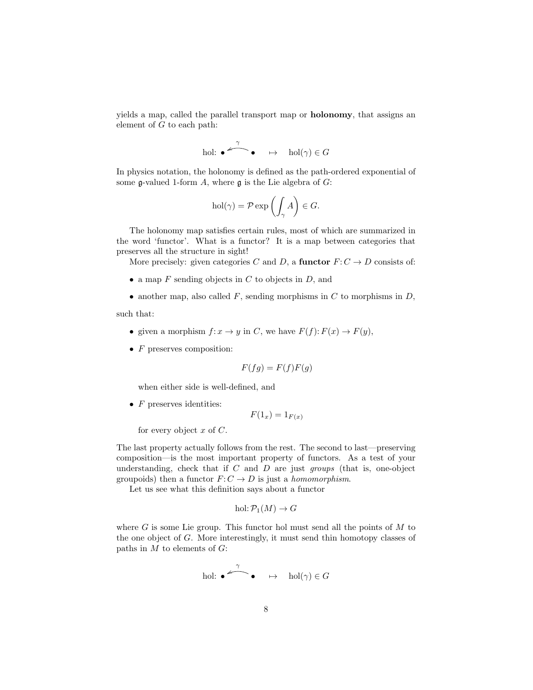yields a map, called the parallel transport map or holonomy, that assigns an element of  $G$  to each path:

$$
\text{hol:} \bullet \xrightarrow{\gamma} \bullet \quad \mapsto \quad \text{hol}(\gamma) \in G
$$

In physics notation, the holonomy is defined as the path-ordered exponential of some  $\mathfrak g$ -valued 1-form A, where  $\mathfrak g$  is the Lie algebra of G:

$$
\mathrm{hol}(\gamma) = \mathcal{P} \exp\left(\int_{\gamma} A\right) \in G.
$$

The holonomy map satisfies certain rules, most of which are summarized in the word 'functor'. What is a functor? It is a map between categories that preserves all the structure in sight!

More precisely: given categories C and D, a **functor**  $F: C \to D$  consists of:

- a map  $F$  sending objects in  $C$  to objects in  $D$ , and
- another map, also called  $F$ , sending morphisms in  $C$  to morphisms in  $D$ ,

such that:

- given a morphism  $f: x \to y$  in C, we have  $F(f): F(x) \to F(y)$ ,
- $\bullet$  F preserves composition:

$$
F(fg) = F(f)F(g)
$$

when either side is well-defined, and

•  $F$  preserves identities:

$$
F(1_x) = 1_{F(x)}
$$

for every object  $x$  of  $C$ .

The last property actually follows from the rest. The second to last—preserving composition—is the most important property of functors. As a test of your understanding, check that if  $C$  and  $D$  are just groups (that is, one-object groupoids) then a functor  $F: C \to D$  is just a *homomorphism*.

Let us see what this definition says about a functor

$$
hol: \mathcal{P}_1(M) \to G
$$

where  $G$  is some Lie group. This functor hol must send all the points of  $M$  to the one object of G. More interestingly, it must send thin homotopy classes of paths in  $M$  to elements of  $G$ :

$$
\text{hol:} \bullet \xrightarrow{\gamma} \bullet \quad \mapsto \quad \text{hol}(\gamma) \in G
$$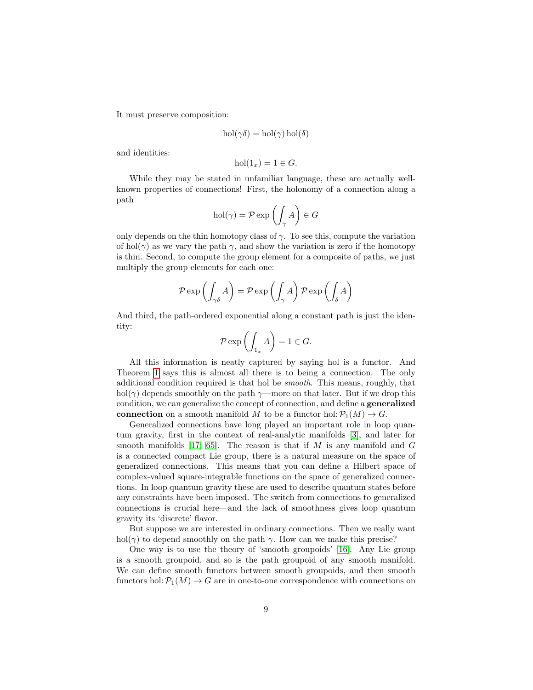It must preserve composition:

$$
hol(\gamma\delta) = hol(\gamma) hol(\delta)
$$

and identities:

$$
hol(1_x) = 1 \in G.
$$

While they may be stated in unfamiliar language, these are actually wellknown properties of connections! First, the holonomy of a connection along a path

$$
\mathrm{hol}(\gamma)=\mathcal{P}\exp\left(\int_{\gamma}A\right)\in G
$$

only depends on the thin homotopy class of  $\gamma$ . To see this, compute the variation of hol( $\gamma$ ) as we vary the path  $\gamma$ , and show the variation is zero if the homotopy is thin. Second, to compute the group element for a composite of paths, we just multiply the group elements for each one:

$$
\mathcal{P} \exp\left(\int_{\gamma\delta} A\right) = \mathcal{P} \exp\left(\int_{\gamma} A\right) \mathcal{P} \exp\left(\int_{\delta} A\right)
$$

And third, the path-ordered exponential along a constant path is just the identity:

$$
\mathcal{P}\exp\left(\int_{1_x} A\right) = 1 \in G.
$$

All this information is neatly captured by saying hol is a functor. And Theorem [1](#page-4-0) says this is almost all there is to being a connection. The only additional condition required is that hol be smooth. This means, roughly, that hol( $\gamma$ ) depends smoothly on the path  $\gamma$ —more on that later. But if we drop this condition, we can generalize the concept of connection, and define a generalized connection on a smooth manifold M to be a functor hol:  $\mathcal{P}_1(M) \to G$ .

Generalized connections have long played an important role in loop quantum gravity, first in the context of real-analytic manifolds [\[3\]](#page-53-0), and later for smooth manifolds [\[17,](#page-54-0) [65\]](#page-57-0). The reason is that if  $M$  is any manifold and  $G$ is a connected compact Lie group, there is a natural measure on the space of generalized connections. This means that you can define a Hilbert space of complex-valued square-integrable functions on the space of generalized connections. In loop quantum gravity these are used to describe quantum states before any constraints have been imposed. The switch from connections to generalized connections is crucial here—and the lack of smoothness gives loop quantum gravity its 'discrete' flavor.

But suppose we are interested in ordinary connections. Then we really want hol( $\gamma$ ) to depend smoothly on the path  $\gamma$ . How can we make this precise?

One way is to use the theory of 'smooth groupoids' [\[16\]](#page-54-1). Any Lie group is a smooth groupoid, and so is the path groupoid of any smooth manifold. We can define smooth functors between smooth groupoids, and then smooth functors hol:  $\mathcal{P}_1(M) \to G$  are in one-to-one correspondence with connections on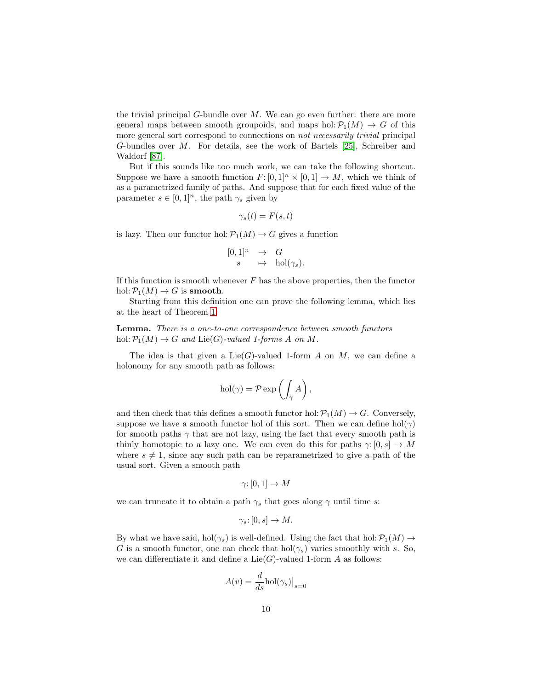the trivial principal  $G$ -bundle over  $M$ . We can go even further: there are more general maps between smooth groupoids, and maps hol:  $\mathcal{P}_1(M) \to G$  of this more general sort correspond to connections on *not necessarily trivial* principal G-bundles over M. For details, see the work of Bartels [\[25\]](#page-55-0), Schreiber and Waldorf [\[87\]](#page-59-2).

But if this sounds like too much work, we can take the following shortcut. Suppose we have a smooth function  $F: [0, 1]^n \times [0, 1] \rightarrow M$ , which we think of as a parametrized family of paths. And suppose that for each fixed value of the parameter  $s \in [0,1]^n$ , the path  $\gamma_s$  given by

$$
\gamma_s(t) = F(s, t)
$$

is lazy. Then our functor hol:  $\mathcal{P}_1(M) \to G$  gives a function

$$
\begin{array}{rcl} [0,1]^n & \to & G \\ s & \mapsto & \text{hol}(\gamma_s). \end{array}
$$

If this function is smooth whenever  $F$  has the above properties, then the functor hol:  $\mathcal{P}_1(M) \to G$  is **smooth**.

Starting from this definition one can prove the following lemma, which lies at the heart of Theorem [1:](#page-4-0)

Lemma. There is a one-to-one correspondence between smooth functors hol:  $\mathcal{P}_1(M) \to G$  and Lie(G)-valued 1-forms A on M.

The idea is that given a Lie(G)-valued 1-form A on M, we can define a holonomy for any smooth path as follows:

$$
\mathrm{hol}(\gamma) = \mathcal{P} \exp\left(\int_{\gamma} A\right),\,
$$

and then check that this defines a smooth functor hol:  $\mathcal{P}_1(M) \to G$ . Conversely, suppose we have a smooth functor hol of this sort. Then we can define  $hol(\gamma)$ for smooth paths  $\gamma$  that are not lazy, using the fact that every smooth path is thinly homotopic to a lazy one. We can even do this for paths  $\gamma: [0, s] \to M$ where  $s \neq 1$ , since any such path can be reparametrized to give a path of the usual sort. Given a smooth path

$$
\gamma: [0,1] \to M
$$

we can truncate it to obtain a path  $\gamma_s$  that goes along  $\gamma$  until time s:

$$
\gamma_s \colon [0, s] \to M.
$$

By what we have said, hol( $\gamma_s$ ) is well-defined. Using the fact that hol:  $\mathcal{P}_1(M) \to$ G is a smooth functor, one can check that  $hol(\gamma_s)$  varies smoothly with s. So, we can differentiate it and define a  $Lie(G)$ -valued 1-form A as follows:

$$
A(v) = \frac{d}{ds} \text{hol}(\gamma_s)|_{s=0}
$$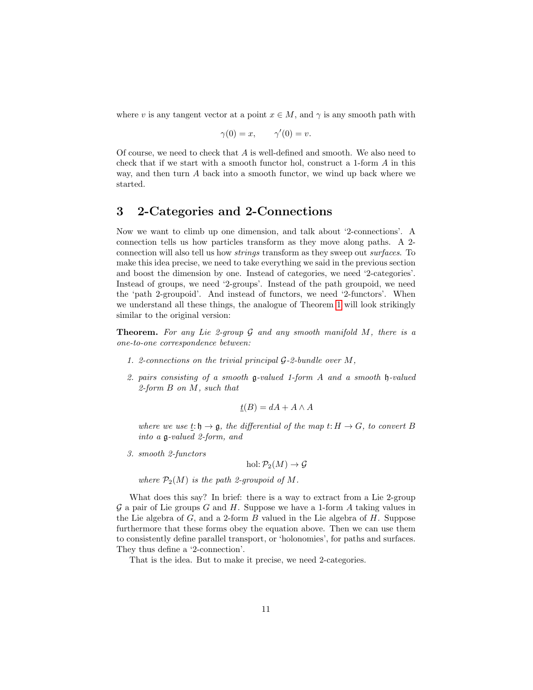where v is any tangent vector at a point  $x \in M$ , and  $\gamma$  is any smooth path with

$$
\gamma(0) = x, \qquad \gamma'(0) = v.
$$

Of course, we need to check that A is well-defined and smooth. We also need to check that if we start with a smooth functor hol, construct a 1-form A in this way, and then turn A back into a smooth functor, we wind up back where we started.

# <span id="page-10-0"></span>3 2-Categories and 2-Connections

Now we want to climb up one dimension, and talk about '2-connections'. A connection tells us how particles transform as they move along paths. A 2 connection will also tell us how strings transform as they sweep out surfaces. To make this idea precise, we need to take everything we said in the previous section and boost the dimension by one. Instead of categories, we need '2-categories'. Instead of groups, we need '2-groups'. Instead of the path groupoid, we need the 'path 2-groupoid'. And instead of functors, we need '2-functors'. When we understand all these things, the analogue of Theorem [1](#page-4-0) will look strikingly similar to the original version:

**Theorem.** For any Lie 2-group  $\mathcal G$  and any smooth manifold  $M$ , there is a one-to-one correspondence between:

- 1. 2-connections on the trivial principal  $\mathcal{G}\text{-}2$ -bundle over M,
- 2. pairs consisting of a smooth g-valued 1-form A and a smooth h-valued 2-form B on M, such that

$$
\underline{t}(B) = dA + A \wedge A
$$

where we use  $\underline{t}:\mathfrak{h}\to\mathfrak{g}$ , the differential of the map  $t:H\to G$ , to convert B into a g-valued 2-form, and

3. smooth 2-functors

hol:  $\mathcal{P}_2(M) \rightarrow \mathcal{G}$ 

where  $\mathcal{P}_2(M)$  is the path 2-groupoid of M.

What does this say? In brief: there is a way to extract from a Lie 2-group  $\mathcal G$  a pair of Lie groups  $G$  and  $H$ . Suppose we have a 1-form  $A$  taking values in the Lie algebra of  $G$ , and a 2-form  $B$  valued in the Lie algebra of  $H$ . Suppose furthermore that these forms obey the equation above. Then we can use them to consistently define parallel transport, or 'holonomies', for paths and surfaces. They thus define a '2-connection'.

That is the idea. But to make it precise, we need 2-categories.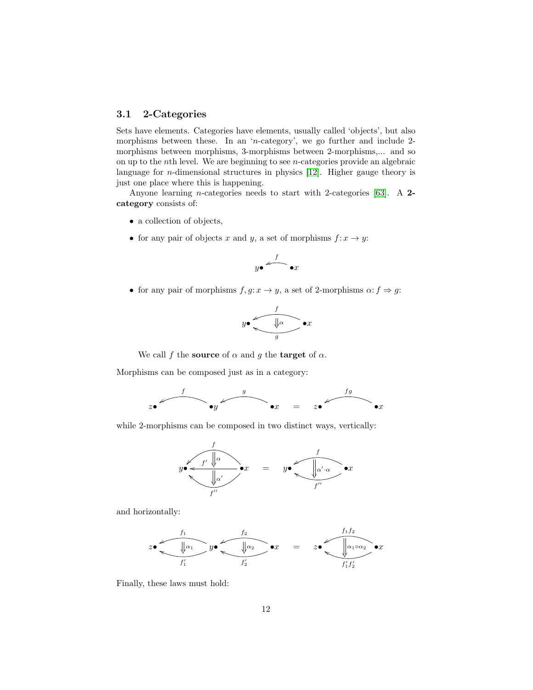# 3.1 2-Categories

Sets have elements. Categories have elements, usually called 'objects', but also morphisms between these. In an 'n-category', we go further and include 2morphisms between morphisms, 3-morphisms between 2-morphisms,... and so on up to the *nth* level. We are beginning to see *n*-categories provide an algebraic language for n-dimensional structures in physics [\[12\]](#page-54-2). Higher gauge theory is just one place where this is happening.

Anyone learning n-categories needs to start with 2-categories [\[63\]](#page-57-1). A 2 category consists of:

- a collection of objects,
- for any pair of objects x and y, a set of morphisms  $f: x \to y$ :

$$
y \bullet \overbrace{\phantom{1345281}}^{f} \bullet x
$$

• for any pair of morphisms  $f, g: x \to y$ , a set of 2-morphisms  $\alpha: f \Rightarrow g:$ 

$$
y \bullet \qquad \qquad \downarrow \qquad \qquad \bullet x
$$

We call f the source of  $\alpha$  and g the target of  $\alpha$ .

Morphisms can be composed just as in a category:

$$
z \xrightarrow{f} \qquad z \xrightarrow{g} \qquad z \xrightarrow{fg} \qquad x \xrightarrow{g}
$$

while 2-morphisms can be composed in two distinct ways, vertically:



and horizontally:

$$
z \bullet \qquad \qquad f_1
$$
\n
$$
y \bullet \qquad \qquad f_2
$$
\n
$$
f_1
$$
\n
$$
f_2
$$
\n
$$
f_2
$$
\n
$$
f_1
$$
\n
$$
f_2
$$
\n
$$
f_1
$$
\n
$$
f_2
$$
\n
$$
f_1
$$
\n
$$
f_1
$$
\n
$$
f_1
$$
\n
$$
f_1
$$
\n
$$
f_1
$$
\n
$$
f_1
$$
\n
$$
f_1
$$
\n
$$
f_1
$$
\n
$$
f_1
$$
\n
$$
f_1
$$
\n
$$
f_1
$$
\n
$$
f_1
$$
\n
$$
f_1
$$
\n
$$
f_1
$$
\n
$$
f_1
$$
\n
$$
f_1
$$
\n
$$
f_1
$$
\n
$$
f_1
$$
\n
$$
f_1
$$
\n
$$
f_1
$$
\n
$$
f_1
$$
\n
$$
f_1
$$
\n
$$
f_1
$$
\n
$$
f_1
$$
\n
$$
f_1
$$
\n
$$
f_1
$$
\n
$$
f_1
$$
\n
$$
f_1
$$
\n
$$
f_1
$$
\n
$$
f_1
$$
\n
$$
f_1
$$
\n
$$
f_1
$$
\n
$$
f_1
$$
\n
$$
f_1
$$
\n
$$
f_1
$$
\n
$$
f_1
$$
\n
$$
f_1
$$
\n
$$
f_1
$$
\n
$$
f_1
$$
\n
$$
f_1
$$
\n
$$
f_1
$$
\n
$$
f_1
$$
\n
$$
f_1
$$
\n
$$
f_1
$$
\n
$$
f_1
$$
\n
$$
f_1
$$
\n
$$
f_1
$$
\n
$$
f_1
$$
\n

Finally, these laws must hold: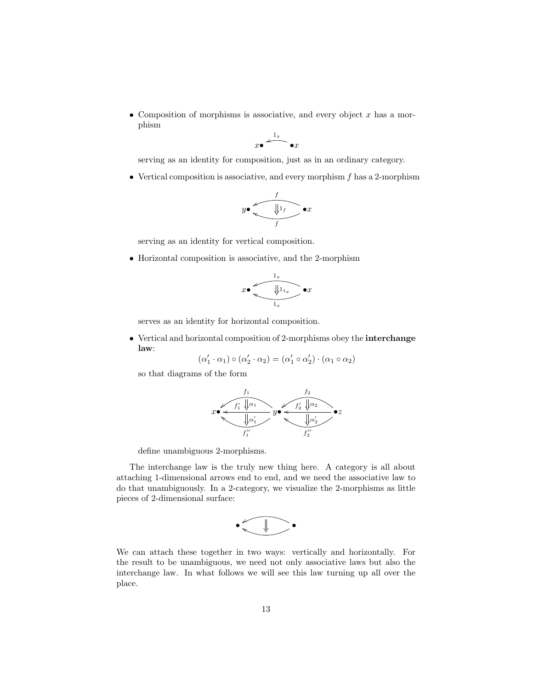• Composition of morphisms is associative, and every object  $x$  has a morphism

$$
x \bullet \xrightarrow{1_x} \bullet x
$$

serving as an identity for composition, just as in an ordinary category.

• Vertical composition is associative, and every morphism  $f$  has a 2-morphism

$$
y \bullet \qquad \qquad \overbrace{\qquad \qquad \downarrow 1_{f}}^{f} \bullet x
$$

serving as an identity for vertical composition.

• Horizontal composition is associative, and the 2-morphism

$$
x \bullet \underbrace{\qquad \qquad }_{1_x} \qquad \qquad \bullet x
$$

serves as an identity for horizontal composition.

• Vertical and horizontal composition of 2-morphisms obey the interchange law:

$$
(\alpha'_1 \cdot \alpha_1) \circ (\alpha'_2 \cdot \alpha_2) = (\alpha'_1 \circ \alpha'_2) \cdot (\alpha_1 \circ \alpha_2)
$$

so that diagrams of the form



define unambiguous 2-morphisms.

The interchange law is the truly new thing here. A category is all about attaching 1-dimensional arrows end to end, and we need the associative law to do that unambiguously. In a 2-category, we visualize the 2-morphisms as little pieces of 2-dimensional surface:



We can attach these together in two ways: vertically and horizontally. For the result to be unambiguous, we need not only associative laws but also the interchange law. In what follows we will see this law turning up all over the place.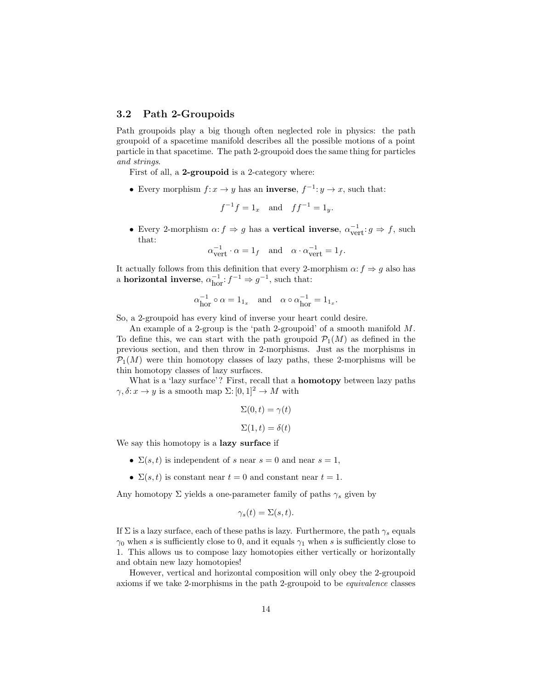### 3.2 Path 2-Groupoids

Path groupoids play a big though often neglected role in physics: the path groupoid of a spacetime manifold describes all the possible motions of a point particle in that spacetime. The path 2-groupoid does the same thing for particles and strings.

First of all, a 2-groupoid is a 2-category where:

• Every morphism  $f: x \to y$  has an **inverse**,  $f^{-1}: y \to x$ , such that:

$$
f^{-1}f = 1_x
$$
 and  $ff^{-1} = 1_y$ .

• Every 2-morphism  $\alpha: f \Rightarrow g$  has a **vertical inverse**,  $\alpha_{\text{vert}}^{-1}: g \Rightarrow f$ , such that:

$$
\alpha_{\text{vert}}^{-1} \cdot \alpha = 1_f \quad \text{and} \quad \alpha \cdot \alpha_{\text{vert}}^{-1} = 1_f.
$$

It actually follows from this definition that every 2-morphism  $\alpha$ :  $f \Rightarrow g$  also has a horizontal inverse,  $\alpha_{\text{hor}}^{-1}$ :  $f^{-1} \Rightarrow g^{-1}$ , such that:

$$
\alpha_{\hbox{hor}}^{-1}\circ \alpha=1_{1_x} \quad \hbox{and} \quad \alpha\circ \alpha_{\hbox{hor}}^{-1}=1_{1_x}.
$$

So, a 2-groupoid has every kind of inverse your heart could desire.

An example of a 2-group is the 'path 2-groupoid' of a smooth manifold M. To define this, we can start with the path groupoid  $\mathcal{P}_1(M)$  as defined in the previous section, and then throw in 2-morphisms. Just as the morphisms in  $\mathcal{P}_1(M)$  were thin homotopy classes of lazy paths, these 2-morphisms will be thin homotopy classes of lazy surfaces.

What is a 'lazy surface'? First, recall that a **homotopy** between lazy paths  $γ, δ: x \rightarrow y$  is a smooth map  $\Sigma: [0, 1]^2 \rightarrow M$  with

$$
\Sigma(0, t) = \gamma(t)
$$

$$
\Sigma(1, t) = \delta(t)
$$

We say this homotopy is a lazy surface if

- $\Sigma(s,t)$  is independent of s near  $s=0$  and near  $s=1$ ,
- $\Sigma(s,t)$  is constant near  $t=0$  and constant near  $t=1$ .

Any homotopy  $\Sigma$  yields a one-parameter family of paths  $\gamma_s$  given by

$$
\gamma_s(t) = \Sigma(s, t).
$$

If  $\Sigma$  is a lazy surface, each of these paths is lazy. Furthermore, the path  $\gamma_s$  equals  $\gamma_0$  when s is sufficiently close to 0, and it equals  $\gamma_1$  when s is sufficiently close to 1. This allows us to compose lazy homotopies either vertically or horizontally and obtain new lazy homotopies!

However, vertical and horizontal composition will only obey the 2-groupoid axioms if we take 2-morphisms in the path 2-groupoid to be equivalence classes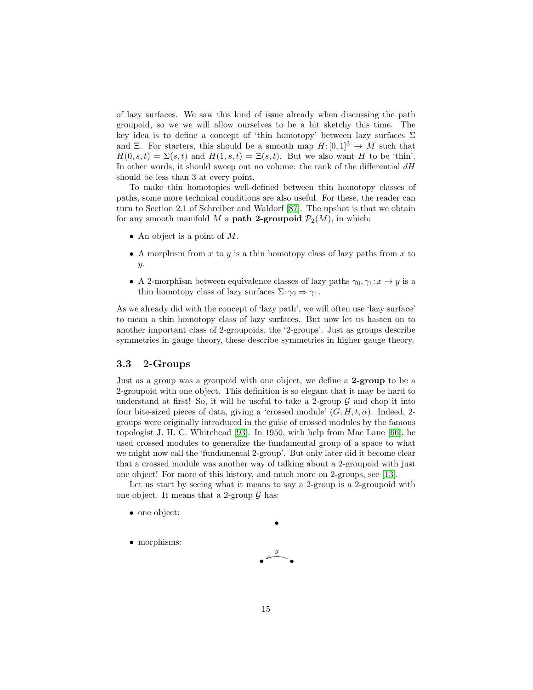of lazy surfaces. We saw this kind of issue already when discussing the path groupoid, so we we will allow ourselves to be a bit sketchy this time. The key idea is to define a concept of 'thin homotopy' between lazy surfaces  $\Sigma$ and Ξ. For starters, this should be a smooth map  $H: [0, 1]^3 \rightarrow M$  such that  $H(0, s, t) = \Sigma(s, t)$  and  $H(1, s, t) = \Xi(s, t)$ . But we also want H to be 'thin'. In other words, it should sweep out no volume: the rank of the differential  $dH$ should be less than 3 at every point.

To make thin homotopies well-defined between thin homotopy classes of paths, some more technical conditions are also useful. For these, the reader can turn to Section 2.1 of Schreiber and Waldorf [\[87\]](#page-59-2). The upshot is that we obtain for any smooth manifold M a **path 2-groupoid**  $\mathcal{P}_2(M)$ , in which:

- An object is a point of  $M$ .
- A morphism from  $x$  to  $y$  is a thin homotopy class of lazy paths from  $x$  to  $y$ .
- A 2-morphism between equivalence classes of lazy paths  $\gamma_0, \gamma_1: x \to y$  is a thin homotopy class of lazy surfaces  $\Sigma: \gamma_0 \Rightarrow \gamma_1$ .

As we already did with the concept of 'lazy path', we will often use 'lazy surface' to mean a thin homotopy class of lazy surfaces. But now let us hasten on to another important class of 2-groupoids, the '2-groups'. Just as groups describe symmetries in gauge theory, these describe symmetries in higher gauge theory.

### 3.3 2-Groups

Just as a group was a groupoid with one object, we define a 2-group to be a 2-groupoid with one object. This definition is so elegant that it may be hard to understand at first! So, it will be useful to take a 2-group  $\mathcal G$  and chop it into four bite-sized pieces of data, giving a 'crossed module'  $(G, H, t, \alpha)$ . Indeed, 2groups were originally introduced in the guise of crossed modules by the famous topologist J. H. C. Whitehead [\[93\]](#page-59-3). In 1950, with help from Mac Lane [\[66\]](#page-57-2), he used crossed modules to generalize the fundamental group of a space to what we might now call the 'fundamental 2-group'. But only later did it become clear that a crossed module was another way of talking about a 2-groupoid with just one object! For more of this history, and much more on 2-groups, see [\[13\]](#page-54-3).

Let us start by seeing what it means to say a 2-group is a 2-groupoid with one object. It means that a 2-group  $\mathcal G$  has:

- one object:
- morphisms:

• • g v

•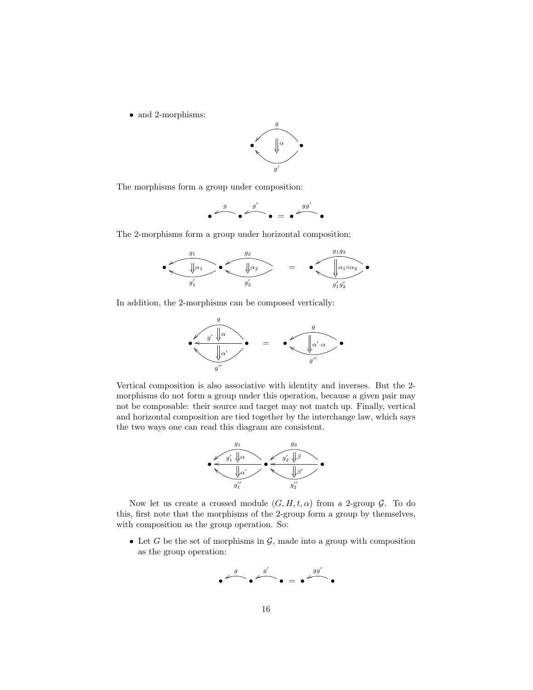• and 2-morphisms:



The morphisms form a group under composition:

$$
\bullet \stackrel{g}{\longleftarrow} \bullet \stackrel{g'}{\longleftarrow} \bullet = \bullet \stackrel{gg'}{\longleftarrow} \bullet
$$

The 2-morphisms form a group under horizontal composition:

$$
\bullet \qquad \qquad \bullet \qquad \qquad \bullet \qquad \qquad \bullet \qquad \qquad \bullet \qquad \qquad \bullet \qquad \qquad \bullet \qquad \qquad \bullet \qquad \qquad \bullet \qquad \qquad \bullet \qquad \qquad \bullet \qquad \qquad \bullet \qquad \qquad \bullet \qquad \qquad \bullet \qquad \qquad \bullet \qquad \qquad \bullet \qquad \qquad \bullet \qquad \qquad \bullet \qquad \qquad \bullet \qquad \qquad \bullet \qquad \qquad \bullet \qquad \qquad \bullet \qquad \qquad \bullet \qquad \qquad \bullet \qquad \qquad \bullet \qquad \qquad \bullet \qquad \qquad \bullet \qquad \qquad \bullet \qquad \qquad \bullet \qquad \qquad \bullet \qquad \qquad \bullet \qquad \qquad \bullet \qquad \qquad \bullet \qquad \qquad \bullet \qquad \qquad \bullet \qquad \qquad \bullet \qquad \qquad \bullet \qquad \qquad \bullet \qquad \qquad \bullet \qquad \qquad \bullet \qquad \qquad \bullet \qquad \qquad \bullet \qquad \qquad \bullet \qquad \qquad \bullet \qquad \qquad \bullet \qquad \qquad \bullet \qquad \qquad \bullet \qquad \qquad \bullet \qquad \qquad \bullet \qquad \qquad \bullet \qquad \qquad \bullet \qquad \qquad \bullet \qquad \qquad \bullet \qquad \qquad \bullet \qquad \qquad \bullet \qquad \qquad \bullet \qquad \qquad \bullet \qquad \qquad \bullet \qquad \qquad \bullet \qquad \qquad \bullet \qquad \qquad \bullet \qquad \qquad \bullet \qquad \qquad \bullet \qquad \qquad \bullet \qquad \qquad \bullet \qquad \qquad \bullet \qquad \qquad \bullet \qquad \qquad \bullet \qquad \qquad \bullet \qquad \qquad \bullet \qquad \qquad \bullet \qquad \qquad \bullet \qquad \qquad \bullet \qquad \qquad \bullet \qquad \qquad \bullet \qquad \qquad \bullet \qquad \qquad \bullet \qquad \qquad \bullet \qquad \qquad \bullet \qquad \qquad \bullet \qquad \qquad \bullet \qquad \qquad \bullet \qquad \qquad \bullet \qquad \qquad \bullet \qquad \qquad \bullet \qquad \qquad \bullet \qquad \qquad \bullet \qquad \qquad \bullet \qquad \qquad \bullet \qquad \qquad \bullet \qquad \qquad \bullet \qquad \qquad \bullet \qquad \qquad \bullet \qquad \qquad \bullet \qquad \qquad \bullet \qquad \qquad
$$

In addition, the 2-morphisms can be composed vertically:



Vertical composition is also associative with identity and inverses. But the 2 morphisms do not form a group under this operation, because a given pair may not be composable: their source and target may not match up. Finally, vertical and horizontal composition are tied together by the interchange law, which says the two ways one can read this diagram are consistent.



Now let us create a crossed module  $(G, H, t, \alpha)$  from a 2-group  $\mathcal{G}$ . To do this, first note that the morphisms of the 2-group form a group by themselves, with composition as the group operation. So:

• Let  $G$  be the set of morphisms in  $\mathcal{G}$ , made into a group with composition as the group operation:

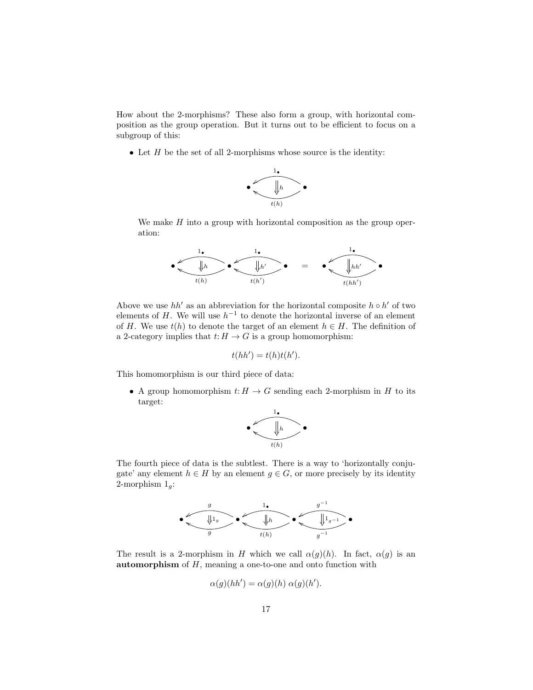How about the 2-morphisms? These also form a group, with horizontal composition as the group operation. But it turns out to be efficient to focus on a subgroup of this:

 $\bullet$  Let  $H$  be the set of all 2-morphisms whose source is the identity:



We make  $H$  into a group with horizontal composition as the group operation:



Above we use  $hh'$  as an abbreviation for the horizontal composite  $h \circ h'$  of two elements of H. We will use  $h^{-1}$  to denote the horizontal inverse of an element of H. We use  $t(h)$  to denote the target of an element  $h \in H$ . The definition of a 2-category implies that  $t: H \to G$  is a group homomorphism:

$$
t(hh') = t(h)t(h').
$$

This homomorphism is our third piece of data:

• A group homomorphism  $t: H \to G$  sending each 2-morphism in H to its target:



The fourth piece of data is the subtlest. There is a way to 'horizontally conjugate' any element  $h \in H$  by an element  $g \in G$ , or more precisely by its identity 2-morphism  $1_q$ :



The result is a 2-morphism in H which we call  $\alpha(q)(h)$ . In fact,  $\alpha(q)$  is an automorphism of  $H$ , meaning a one-to-one and onto function with

$$
\alpha(g)(hh') = \alpha(g)(h) \alpha(g)(h').
$$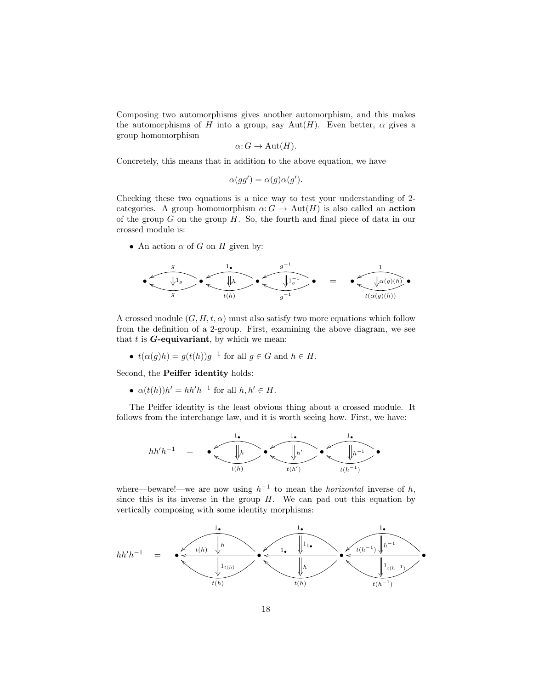Composing two automorphisms gives another automorphism, and this makes the automorphisms of H into a group, say  $Aut(H)$ . Even better,  $\alpha$  gives a group homomorphism

$$
\alpha: G \to \text{Aut}(H).
$$

Concretely, this means that in addition to the above equation, we have

$$
\alpha(gg') = \alpha(g)\alpha(g').
$$

Checking these two equations is a nice way to test your understanding of 2 categories. A group homomorphism  $\alpha: G \to \text{Aut}(H)$  is also called an **action** of the group  $G$  on the group  $H$ . So, the fourth and final piece of data in our crossed module is:

• An action  $\alpha$  of G on H given by:



A crossed module  $(G, H, t, \alpha)$  must also satisfy two more equations which follow from the definition of a 2-group. First, examining the above diagram, we see that  $t$  is  $G$ -equivariant, by which we mean:

• 
$$
t(\alpha(g)h) = g(t(h))g^{-1}
$$
 for all  $g \in G$  and  $h \in H$ .

Second, the Peiffer identity holds:

•  $\alpha(t(h))h' = hh'h^{-1}$  for all  $h, h' \in H$ .

The Peiffer identity is the least obvious thing about a crossed module. It follows from the interchange law, and it is worth seeing how. First, we have:

hh<sup>0</sup>h <sup>−</sup><sup>1</sup> = • • 1• z t(h) d <sup>h</sup> • 1• z t(h 0 ) d <sup>h</sup> 0 • 1• z t(h −1 ) d h −1 

where—beware!—we are now using  $h^{-1}$  to mean the *horizontal* inverse of h, since this is its inverse in the group  $H$ . We can pad out this equation by vertically composing with some identity morphisms:

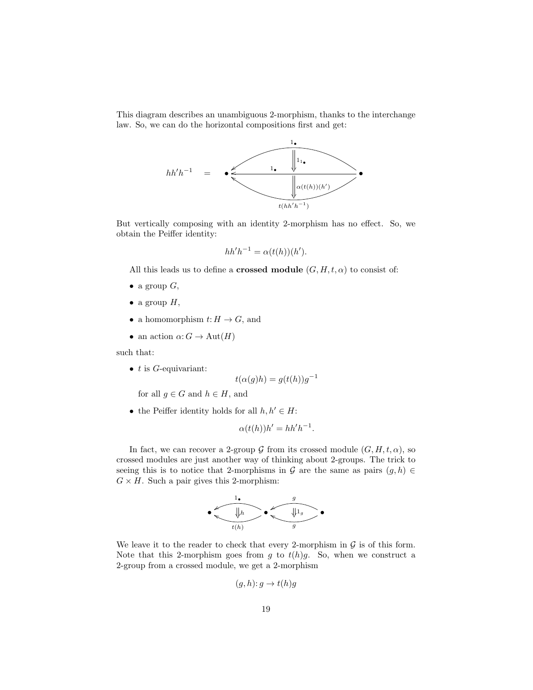This diagram describes an unambiguous 2-morphism, thanks to the interchange law. So, we can do the horizontal compositions first and get:



But vertically composing with an identity 2-morphism has no effect. So, we obtain the Peiffer identity:

$$
hh'h^{-1} = \alpha(t(h))(h').
$$

All this leads us to define a **crossed module**  $(G, H, t, \alpha)$  to consist of:

- a group  $G$ ,
- a group  $H$ ,
- a homomorphism  $t: H \to G$ , and
- an action  $\alpha: G \to \text{Aut}(H)$

such that:

•  $t$  is  $G$ -equivariant:

$$
t(\alpha(g)h) = g(t(h))g^{-1}
$$

for all  $g \in G$  and  $h \in H$ , and

• the Peiffer identity holds for all  $h, h' \in H$ :

$$
\alpha(t(h))h' = hh'h^{-1}.
$$

In fact, we can recover a 2-group G from its crossed module  $(G, H, t, \alpha)$ , so crossed modules are just another way of thinking about 2-groups. The trick to seeing this is to notice that 2-morphisms in G are the same as pairs  $(g, h) \in$  $G \times H$ . Such a pair gives this 2-morphism:



We leave it to the reader to check that every 2-morphism in  $\mathcal G$  is of this form. Note that this 2-morphism goes from g to  $t(h)g$ . So, when we construct a 2-group from a crossed module, we get a 2-morphism

$$
(g, h) \colon g \to t(h)g
$$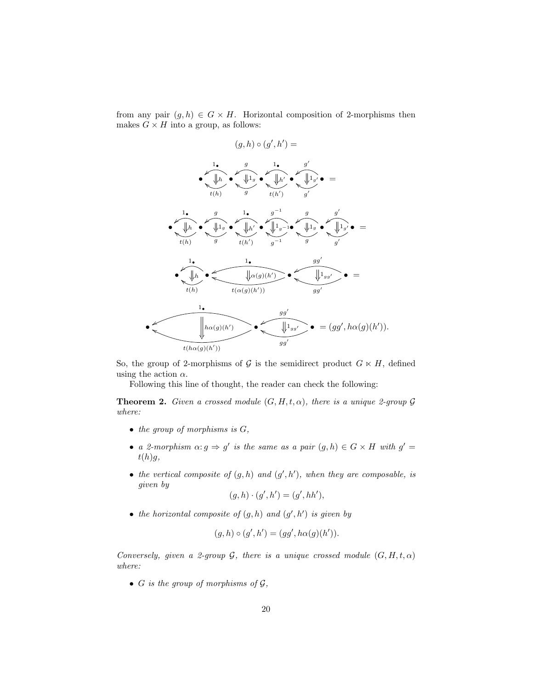from any pair  $(g, h) \in G \times H$ . Horizontal composition of 2-morphisms then makes  $G \times H$  into a group, as follows:

$$
(g,h) \circ (g',h') =
$$
\n
$$
\begin{array}{c}\n\downarrow \\
\downarrow \\
\downarrow \\
\downarrow \\
\downarrow\n\end{array}\n\qquad\n\begin{array}{c}\n\downarrow \\
\downarrow \\
\downarrow \\
\downarrow \\
\downarrow\n\end{array}\n\qquad\n\begin{array}{c}\n\downarrow \\
\downarrow \\
\downarrow \\
\downarrow \\
\downarrow \\
\downarrow\n\end{array}\n\qquad\n\begin{array}{c}\n\downarrow \\
\downarrow \\
\downarrow \\
\downarrow \\
\downarrow \\
\downarrow\n\end{array}\n\qquad\n\begin{array}{c}\n\downarrow \\
\downarrow \\
\downarrow \\
\downarrow \\
\downarrow \\
\downarrow\n\end{array}\n\qquad\n\begin{array}{c}\n\downarrow \\
\downarrow \\
\downarrow \\
\downarrow \\
\downarrow \\
\downarrow\n\end{array}\n\qquad\n\begin{array}{c}\n\downarrow \\
\downarrow \\
\downarrow \\
\downarrow \\
\downarrow\n\end{array}\n\qquad\n\begin{array}{c}\n\downarrow \\
\downarrow \\
\downarrow \\
\downarrow \\
\downarrow\n\end{array}\n\qquad\n\begin{array}{c}\ng' \\
\downarrow \\
\downarrow \\
\downarrow \\
\downarrow\n\end{array}\n\qquad\n\begin{array}{c}\ng' \\
\downarrow \\
\downarrow \\
\downarrow \\
\downarrow\n\end{array}\n\qquad\n\begin{array}{c}\ng' \\
\downarrow \\
\downarrow \\
\downarrow \\
\downarrow\n\end{array}\n\qquad\n\begin{array}{c}\ng' \\
\downarrow \\
\downarrow \\
\downarrow \\
\downarrow\n\end{array}\n\qquad\n\begin{array}{c}\ng' \\
\downarrow \\
\downarrow \\
\downarrow\n\end{array}\n\qquad\n\begin{array}{c}\ng' \\
\downarrow \\
\downarrow \\
\downarrow\n\end{array}\n\qquad\n\begin{array}{c}\ng' \\
\downarrow \\
\downarrow \\
\downarrow\n\end{array}\n\qquad\n\begin{array}{c}\ng' \\
\downarrow \\
\downarrow \\
\downarrow\n\end{array}\n\qquad\n\begin{array}{c}\ng' \\
\downarrow \\
\downarrow \\
\downarrow\n\end{array}\n\qquad\n\begin{array}{c}\ng' \\
\downarrow \\
\downarrow \\
\downarrow\n\end{array}\n\qquad\n\begin{array}{c}\ng' \\
\downarrow \\
\downarrow \\
\downarrow\n\end{array}\n\qquad\n\begin{array}{c}\ng' \\
\downarrow \\
\downarrow \\
\downarrow\n\end{array}\n\qquad\n\begin{array}{c}\ng' \\
\downarrow \\
\downarrow \\
\
$$

So, the group of 2-morphisms of  $G$  is the semidirect product  $G \ltimes H$ , defined using the action  $\alpha$ .

Following this line of thought, the reader can check the following:

<span id="page-19-0"></span>**Theorem 2.** Given a crossed module  $(G, H, t, \alpha)$ , there is a unique 2-group  $\mathcal G$ where:

- $\bullet$  the group of morphisms is  $G$ ,
- a 2-morphism  $\alpha: g \Rightarrow g'$  is the same as a pair  $(g,h) \in G \times H$  with  $g' =$  $t(h)g,$
- the vertical composite of  $(g,h)$  and  $(g',h')$ , when they are composable, is given by

$$
(g,h)\cdot (g',h')=(g',hh'),
$$

• the horizontal composite of  $(g,h)$  and  $(g',h')$  is given by

$$
(g,h)\circ (g',h')=(gg',h\alpha(g)(h')).
$$

Conversely, given a 2-group  $G$ , there is a unique crossed module  $(G, H, t, \alpha)$ where:

• G is the group of morphisms of  $\mathcal{G}$ ,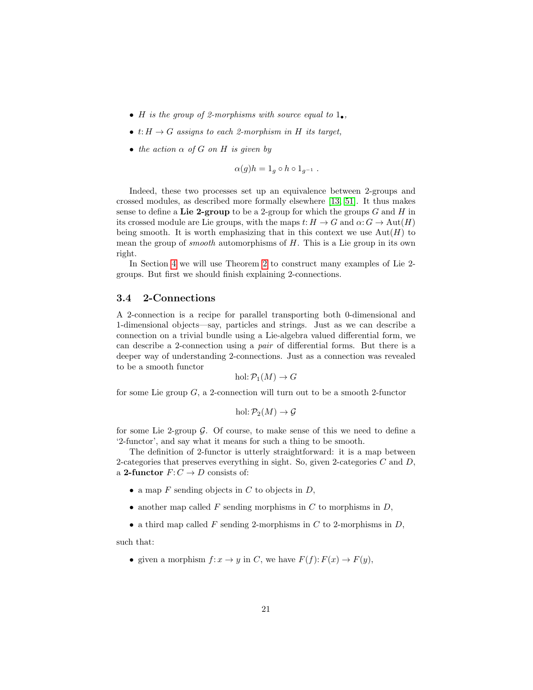- H is the group of 2-morphisms with source equal to  $1_{\bullet}$ ,
- $t: H \to G$  assigns to each 2-morphism in H its target,
- the action  $\alpha$  of G on H is given by

$$
\alpha(g)h = 1_g \circ h \circ 1_{g^{-1}}.
$$

Indeed, these two processes set up an equivalence between 2-groups and crossed modules, as described more formally elsewhere [\[13,](#page-54-3) [51\]](#page-56-0). It thus makes sense to define a Lie 2-group to be a 2-group for which the groups  $G$  and  $H$  in its crossed module are Lie groups, with the maps  $t: H \to G$  and  $\alpha: G \to \text{Aut}(H)$ being smooth. It is worth emphasizing that in this context we use  $Aut(H)$  to mean the group of *smooth* automorphisms of  $H$ . This is a Lie group in its own right.

In Section [4](#page-26-0) we will use Theorem [2](#page-19-0) to construct many examples of Lie 2 groups. But first we should finish explaining 2-connections.

#### 3.4 2-Connections

A 2-connection is a recipe for parallel transporting both 0-dimensional and 1-dimensional objects—say, particles and strings. Just as we can describe a connection on a trivial bundle using a Lie-algebra valued differential form, we can describe a 2-connection using a pair of differential forms. But there is a deeper way of understanding 2-connections. Just as a connection was revealed to be a smooth functor

$$
hol: \mathcal{P}_1(M) \to G
$$

for some Lie group  $G$ , a 2-connection will turn out to be a smooth 2-functor

hol: 
$$
\mathcal{P}_2(M) \to \mathcal{G}
$$

for some Lie 2-group  $\mathcal G$ . Of course, to make sense of this we need to define a '2-functor', and say what it means for such a thing to be smooth.

The definition of 2-functor is utterly straightforward: it is a map between 2-categories that preserves everything in sight. So, given 2-categories  $C$  and  $D$ , a 2-functor  $F: C \to D$  consists of:

- a map  $F$  sending objects in  $C$  to objects in  $D$ ,
- another map called  $F$  sending morphisms in  $C$  to morphisms in  $D$ ,
- a third map called F sending 2-morphisms in C to 2-morphisms in  $D$ ,

such that:

• given a morphism  $f: x \to y$  in C, we have  $F(f): F(x) \to F(y)$ ,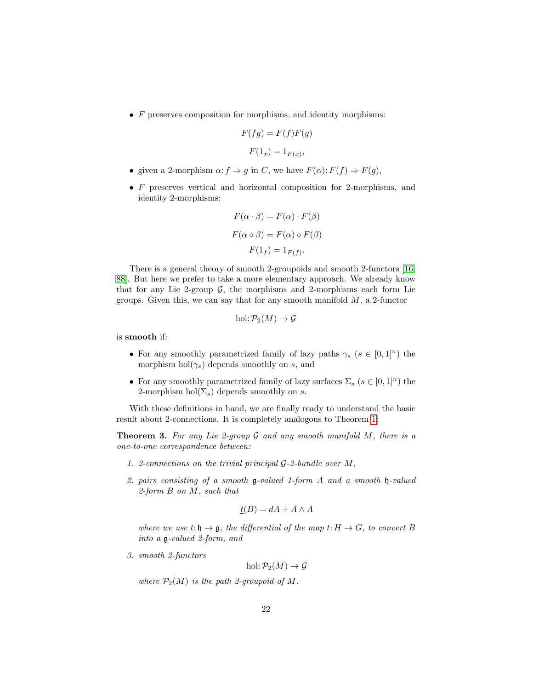$\bullet$  F preserves composition for morphisms, and identity morphisms:

$$
F(fg) = F(f)F(g)
$$

$$
F(1_x) = 1_{F(x)},
$$

- given a 2-morphism  $\alpha$ :  $f \Rightarrow g$  in C, we have  $F(\alpha)$ :  $F(f) \Rightarrow F(g)$ ,
- $\bullet$  F preserves vertical and horizontal composition for 2-morphisms, and identity 2-morphisms:

$$
F(\alpha \cdot \beta) = F(\alpha) \cdot F(\beta)
$$

$$
F(\alpha \circ \beta) = F(\alpha) \circ F(\beta)
$$

$$
F(1_f) = 1_{F(f)}.
$$

There is a general theory of smooth 2-groupoids and smooth 2-functors [\[16,](#page-54-1) [88\]](#page-59-4). But here we prefer to take a more elementary approach. We already know that for any Lie 2-group  $\mathcal G$ , the morphisms and 2-morphisms each form Lie groups. Given this, we can say that for any smooth manifold  $M$ , a 2-functor

$$
hol: \mathcal{P}_2(M) \to \mathcal{G}
$$

is smooth if:

- For any smoothly parametrized family of lazy paths  $\gamma_s$  ( $s \in [0,1]^n$ ) the morphism hol $(\gamma_s)$  depends smoothly on s, and
- For any smoothly parametrized family of lazy surfaces  $\Sigma_s$  ( $s \in [0,1]^n$ ) the 2-morphism hol $(\Sigma_s)$  depends smoothly on s.

With these definitions in hand, we are finally ready to understand the basic result about 2-connections. It is completely analogous to Theorem [1:](#page-4-0)

<span id="page-21-0"></span>**Theorem 3.** For any Lie 2-group  $\mathcal G$  and any smooth manifold  $M$ , there is a one-to-one correspondence between:

- 1. 2-connections on the trivial principal G-2-bundle over M,
- 2. pairs consisting of a smooth g-valued 1-form A and a smooth h-valued 2-form B on M, such that

$$
\underline{t}(B) = dA + A \wedge A
$$

where we use  $t: \mathfrak{h} \to \mathfrak{g}$ , the differential of the map  $t: H \to G$ , to convert B into a g-valued 2-form, and

3. smooth 2-functors

hol:  $\mathcal{P}_2(M) \rightarrow \mathcal{G}$ 

where  $\mathcal{P}_2(M)$  is the path 2-groupoid of M.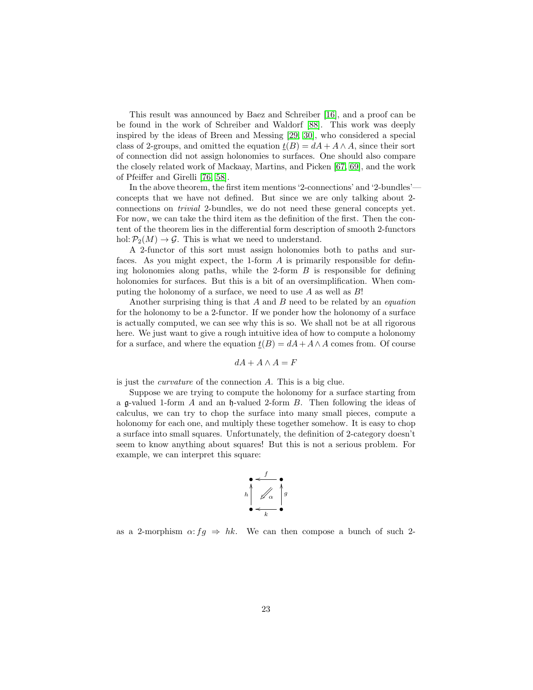This result was announced by Baez and Schreiber [\[16\]](#page-54-1), and a proof can be be found in the work of Schreiber and Waldorf [\[88\]](#page-59-4). This work was deeply inspired by the ideas of Breen and Messing [\[29,](#page-55-1) [30\]](#page-55-2), who considered a special class of 2-groups, and omitted the equation  $t(B) = dA + A \wedge A$ , since their sort of connection did not assign holonomies to surfaces. One should also compare the closely related work of Mackaay, Martins, and Picken [\[67,](#page-58-0) [69\]](#page-58-1), and the work of Pfeiffer and Girelli [\[76,](#page-58-2) [58\]](#page-57-3).

In the above theorem, the first item mentions '2-connections' and '2-bundles' concepts that we have not defined. But since we are only talking about 2 connections on trivial 2-bundles, we do not need these general concepts yet. For now, we can take the third item as the definition of the first. Then the content of the theorem lies in the differential form description of smooth 2-functors hol:  $\mathcal{P}_2(M) \to \mathcal{G}$ . This is what we need to understand.

A 2-functor of this sort must assign holonomies both to paths and surfaces. As you might expect, the 1-form  $\vec{A}$  is primarily responsible for defining holonomies along paths, while the 2-form  $B$  is responsible for defining holonomies for surfaces. But this is a bit of an oversimplification. When computing the holonomy of a surface, we need to use  $A$  as well as  $B!$ 

Another surprising thing is that  $A$  and  $B$  need to be related by an *equation* for the holonomy to be a 2-functor. If we ponder how the holonomy of a surface is actually computed, we can see why this is so. We shall not be at all rigorous here. We just want to give a rough intuitive idea of how to compute a holonomy for a surface, and where the equation  $t(B) = dA + A \wedge A$  comes from. Of course

$$
dA + A \wedge A = F
$$

is just the curvature of the connection A. This is a big clue.

Suppose we are trying to compute the holonomy for a surface starting from a g-valued 1-form  $A$  and an  $\mathfrak h$ -valued 2-form  $B$ . Then following the ideas of calculus, we can try to chop the surface into many small pieces, compute a holonomy for each one, and multiply these together somehow. It is easy to chop a surface into small squares. Unfortunately, the definition of 2-category doesn't seem to know anything about squares! But this is not a serious problem. For example, we can interpret this square:

$$
\begin{array}{c}\n\bullet & \xleftarrow{f} \\
h \\
\downarrow \qquad \swarrow \alpha \\
\bullet & \xleftarrow{k}\n\end{array}
$$

as a 2-morphism  $\alpha: fg \Rightarrow hk$ . We can then compose a bunch of such 2-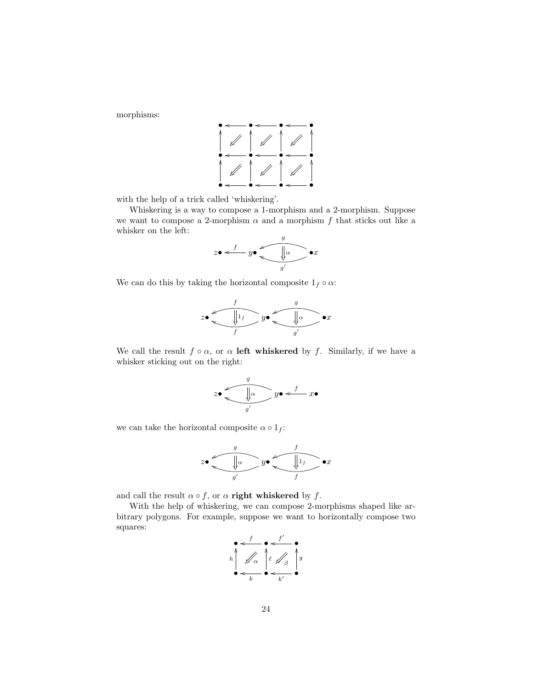morphisms:

$$
\begin{array}{|c|c|c|c|c|} \hline \rule{0pt}{2ex} \rule{0pt}{2ex} \rule{0pt}{2ex} \rule{0pt}{2ex} \rule{0pt}{2ex} \rule{0pt}{2ex} \rule{0pt}{2ex} \rule{0pt}{2ex} \rule{0pt}{2ex} \rule{0pt}{2ex} \rule{0pt}{2ex} \rule{0pt}{2ex} \rule{0pt}{2ex} \rule{0pt}{2ex} \rule{0pt}{2ex} \rule{0pt}{2ex} \rule{0pt}{2ex} \rule{0pt}{2ex} \rule{0pt}{2ex} \rule{0pt}{2ex} \rule{0pt}{2ex} \rule{0pt}{2ex} \rule{0pt}{2ex} \rule{0pt}{2ex} \rule{0pt}{2ex} \rule{0pt}{2ex} \rule{0pt}{2ex} \rule{0pt}{2ex} \rule{0pt}{2ex} \rule{0pt}{2ex} \rule{0pt}{2ex} \rule{0pt}{2ex} \rule{0pt}{2ex} \rule{0pt}{2ex} \rule{0pt}{2ex} \rule{0pt}{2ex} \rule{0pt}{2ex} \rule{0pt}{2ex} \rule{0pt}{2ex} \rule{0pt}{2ex} \rule{0pt}{2ex} \rule{0pt}{2ex} \rule{0pt}{2ex} \rule{0pt}{2ex} \rule{0pt}{2ex} \rule{0pt}{2ex} \rule{0pt}{2ex} \rule{0pt}{2ex} \rule{0pt}{2ex} \rule{0pt}{2ex} \rule{0pt}{2ex} \rule{0pt}{2ex} \rule{0pt}{2ex} \rule{0pt}{2ex} \rule{0pt}{2ex} \rule{0pt}{2ex} \rule{0pt}{2ex} \rule{0pt}{2ex} \rule{0pt}{2ex} \rule{0pt}{2ex} \rule{0pt}{2ex} \rule{0pt}{2ex} \rule{0pt}{2ex} \rule{0pt}{2ex} \rule{0pt}{2ex} \rule{0pt}{2ex} \rule{0pt}{2ex} \rule{0pt}{2ex} \rule{0pt}{2ex} \rule{0pt}{2ex} \rule{0pt}{2ex} \rule{0pt}{2ex} \rule{0pt}{2ex} \rule{0pt}{2ex} \rule{0pt}{2ex} \rule{0pt}{2ex} \rule{0pt}{2ex} \rule{0pt}{2ex} \rule{0pt}{2ex} \rule{0pt}{2ex} \rule{0pt}{2ex} \rule{0pt}{2ex} \rule
$$

with the help of a trick called 'whiskering'.

Whiskering is a way to compose a 1-morphism and a 2-morphism. Suppose we want to compose a 2-morphism  $\alpha$  and a morphism f that sticks out like a whisker on the left:

$$
z \bullet \leftarrow f \qquad y \bullet \qquad \qquad \downarrow g
$$

We can do this by taking the horizontal composite  $1_f \circ \alpha$ :



We call the result  $f \circ \alpha$ , or  $\alpha$  left whiskered by f. Similarly, if we have a whisker sticking out on the right:



we can take the horizontal composite  $\alpha \circ 1_f$ :



and call the result  $\alpha \circ f$ , or  $\alpha$  right whiskered by f.

With the help of whiskering, we can compose 2-morphisms shaped like arbitrary polygons. For example, suppose we want to horizontally compose two squares:

$$
h \qquad h \qquad \text{if} \qquad \text{if} \qquad \text{if} \qquad \text{if} \qquad \text{if} \qquad \text{if} \qquad \text{if} \qquad \text{if} \qquad \text{if} \qquad \text{if} \qquad \text{if} \qquad \text{if} \qquad \text{if} \qquad \text{if} \qquad \text{if} \qquad \text{if} \qquad \text{if} \qquad \text{if} \qquad \text{if} \qquad \text{if} \qquad \text{if} \qquad \text{if} \qquad \text{if} \qquad \text{if} \qquad \text{if} \qquad \text{if} \qquad \text{if} \qquad \text{if} \qquad \text{if} \qquad \text{if} \qquad \text{if} \qquad \text{if} \qquad \text{if} \qquad \text{if} \qquad \text{if} \qquad \text{if} \qquad \text{if} \qquad \text{if} \qquad \text{if} \qquad \text{if} \qquad \text{if} \qquad \text{if} \qquad \text{if} \qquad \text{if} \qquad \text{if} \qquad \text{if} \qquad \text{if} \qquad \text{if} \qquad \text{if} \qquad \text{if} \qquad \text{if} \qquad \text{if} \qquad \text{if} \qquad \text{if} \qquad \text{if} \qquad \text{if} \qquad \text{if} \qquad \text{if} \qquad \text{if} \qquad \text{if} \qquad \text{if} \qquad \text{if} \qquad \text{if} \qquad \text{if} \qquad \text{if} \qquad \text{if} \qquad \text{if} \qquad \text{if} \qquad \text{if} \qquad \text{if} \qquad \text{if} \qquad \text{if} \qquad \text{if} \qquad \text{if} \qquad \text{if} \qquad \text{if} \qquad \text{if} \qquad \text{if} \qquad \text{if} \qquad \text{if} \qquad \text{if} \qquad \text{if} \qquad \text{if} \qquad \text{if} \qquad \text{if} \qquad \text{if} \qquad \text{if} \qquad \text{if} \qquad \text{if} \qquad \text{if} \qquad \text{if} \qquad \text{if} \qquad \text{if} \qquad \text{if} \q
$$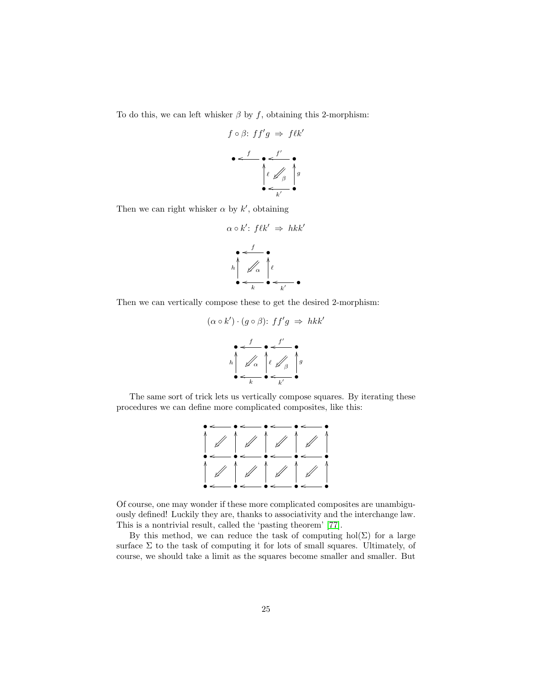To do this, we can left whisker  $\beta$  by f, obtaining this 2-morphism:

$$
f \circ \beta: ff'g \Rightarrow f\ell k'
$$
\n
$$
\bullet \leftarrow f \circ \bullet \leftarrow f'
$$
\n
$$
\bullet \leftarrow f \circ \bullet \leftarrow f'
$$
\n
$$
\bullet \leftarrow f \circ \bullet \circ \bullet \circ \bullet \circ \bullet
$$
\n
$$
\bullet \leftarrow f \circ \bullet \circ \bullet \circ \bullet
$$

Then we can right whisker  $\alpha$  by  $k'$ , obtaining

α ◦ k 0 : f `k<sup>0</sup> ⇒ hkk<sup>0</sup> • • f o • h OO • k o ` OO • k 0 o { <sup>α</sup>

Then we can vertically compose these to get the desired 2-morphism:

$$
(\alpha \circ k') \cdot (g \circ \beta) \colon ff'g \Rightarrow hkk'
$$
\n
$$
\bullet \xleftarrow{f} \bullet \xleftarrow{f'} \bullet
$$
\n
$$
h \qquad \text{if } \alpha \qquad \text{if } \beta \qquad \text{if } \beta \qquad \text{if } \beta \qquad \text{if } \beta \qquad \text{if } \beta \qquad \text{if } \beta \qquad \text{if } \beta \qquad \text{if } \beta \qquad \text{if } \beta \qquad \text{if } \beta \qquad \text{if } \beta \qquad \text{if } \beta \qquad \text{if } \beta \qquad \text{if } \beta \qquad \text{if } \beta \qquad \text{if } \beta \qquad \text{if } \beta \qquad \text{if } \beta \qquad \text{if } \beta \qquad \text{if } \beta \qquad \text{if } \beta \qquad \text{if } \beta \qquad \text{if } \beta \qquad \text{if } \beta \qquad \text{if } \beta \qquad \text{if } \beta \qquad \text{if } \beta \qquad \text{if } \beta \qquad \text{if } \beta \qquad \text{if } \beta \qquad \text{if } \beta \qquad \text{if } \beta \qquad \text{if } \beta \qquad \text{if } \beta \qquad \text{if } \beta \qquad \text{if } \beta \qquad \text{if } \beta \qquad \text{if } \beta \qquad \text{if } \beta \qquad \text{if } \beta \qquad \text{if } \beta \qquad \text{if } \beta \qquad \text{if } \beta \qquad \text{if } \beta \qquad \text{if } \beta \qquad \text{if } \beta \qquad \text{if } \beta \qquad \text{if } \beta \qquad \text{if } \beta \qquad \text{if } \beta \qquad \text{if } \beta \qquad \text{if } \beta \qquad \text{if } \beta \qquad \text{if } \beta \qquad \text{if } \beta \qquad \text{if } \beta \qquad \text{if } \beta \qquad \text{if } \beta \qquad \text{if } \beta \qquad \text{if } \beta \qquad \text{if } \beta \qquad \text{if } \beta \qquad \text{if } \beta \qquad \text{if } \beta \qquad \text{if } \beta \qquad \text{if } \beta \qquad \text{if } \beta \qquad \text{if } \beta \qquad \text
$$

The same sort of trick lets us vertically compose squares. By iterating these procedures we can define more complicated composites, like this:



Of course, one may wonder if these more complicated composites are unambiguously defined! Luckily they are, thanks to associativity and the interchange law. This is a nontrivial result, called the 'pasting theorem' [\[77\]](#page-58-3).

By this method, we can reduce the task of computing hol( $\Sigma$ ) for a large surface  $\Sigma$  to the task of computing it for lots of small squares. Ultimately, of course, we should take a limit as the squares become smaller and smaller. But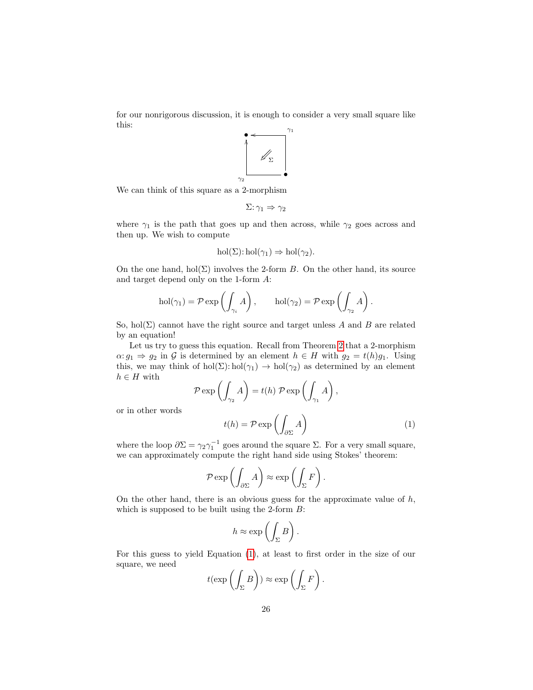for our nonrigorous discussion, it is enough to consider a very small square like this:  $\gamma_1$ 



We can think of this square as a 2-morphism

$$
\Sigma:\gamma_1\Rightarrow\gamma_2
$$

where  $\gamma_1$  is the path that goes up and then across, while  $\gamma_2$  goes across and then up. We wish to compute

$$
hol(\Sigma): hol(\gamma_1) \Rightarrow hol(\gamma_2).
$$

On the one hand, hol( $\Sigma$ ) involves the 2-form B. On the other hand, its source and target depend only on the 1-form A:

$$
\text{hol}(\gamma_1) = \mathcal{P} \exp\left(\int_{\gamma_i} A\right), \qquad \text{hol}(\gamma_2) = \mathcal{P} \exp\left(\int_{\gamma_2} A\right).
$$

So, hol( $\Sigma$ ) cannot have the right source and target unless A and B are related by an equation!

Let us try to guess this equation. Recall from Theorem [2](#page-19-0) that a 2-morphism  $\alpha: g_1 \Rightarrow g_2$  in G is determined by an element  $h \in H$  with  $g_2 = t(h)g_1$ . Using this, we may think of hol( $\Sigma$ ): hol( $\gamma_1$ )  $\rightarrow$  hol( $\gamma_2$ ) as determined by an element  $h \in H$  with

$$
\mathcal{P} \exp\left(\int_{\gamma_2} A\right) = t(h) \mathcal{P} \exp\left(\int_{\gamma_1} A\right),\,
$$

or in other words

<span id="page-25-0"></span>
$$
t(h) = \mathcal{P} \exp\left(\int_{\partial \Sigma} A\right) \tag{1}
$$

where the loop  $\partial \Sigma = \gamma_2 \gamma_1^{-1}$  goes around the square  $\Sigma$ . For a very small square, we can approximately compute the right hand side using Stokes' theorem:

$$
\mathcal{P} \exp\left(\int_{\partial \Sigma} A\right) \approx \exp\left(\int_{\Sigma} F\right).
$$

On the other hand, there is an obvious guess for the approximate value of  $h$ , which is supposed to be built using the 2-form  $B$ :

$$
h \approx \exp\left(\int_{\Sigma} B\right).
$$

For this guess to yield Equation [\(1\)](#page-25-0), at least to first order in the size of our square, we need

$$
t(\exp\left(\int_{\Sigma} B\right)) \approx \exp\left(\int_{\Sigma} F\right).
$$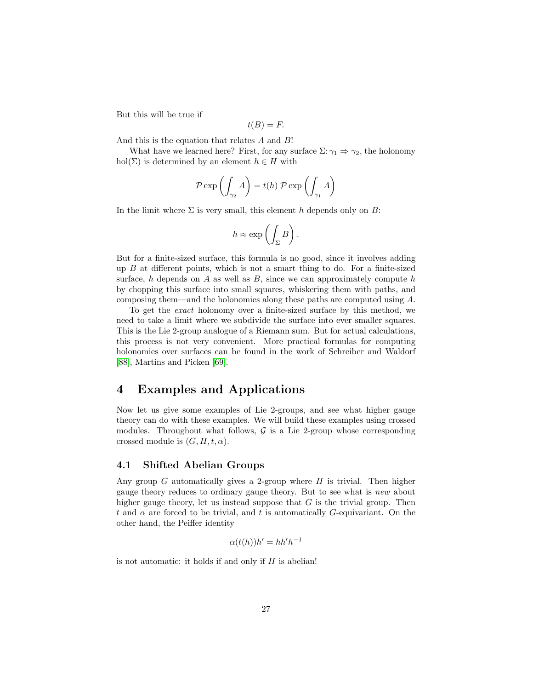But this will be true if

$$
\underline{t}(B)=F
$$

And this is the equation that relates A and B!

What have we learned here? First, for any surface  $\Sigma: \gamma_1 \Rightarrow \gamma_2$ , the holonomy hol( $\Sigma$ ) is determined by an element  $h \in H$  with

$$
\mathcal{P} \exp\left(\int_{\gamma_2} A\right) = t(h) \mathcal{P} \exp\left(\int_{\gamma_1} A\right)
$$

In the limit where  $\Sigma$  is very small, this element h depends only on B:

$$
h \approx \exp\left(\int_{\Sigma} B\right).
$$

But for a finite-sized surface, this formula is no good, since it involves adding up  $B$  at different points, which is not a smart thing to do. For a finite-sized surface, h depends on A as well as  $B$ , since we can approximately compute h by chopping this surface into small squares, whiskering them with paths, and composing them—and the holonomies along these paths are computed using A.

To get the exact holonomy over a finite-sized surface by this method, we need to take a limit where we subdivide the surface into ever smaller squares. This is the Lie 2-group analogue of a Riemann sum. But for actual calculations, this process is not very convenient. More practical formulas for computing holonomies over surfaces can be found in the work of Schreiber and Waldorf [\[88\]](#page-59-4), Martins and Picken [\[69\]](#page-58-1).

# <span id="page-26-0"></span>4 Examples and Applications

Now let us give some examples of Lie 2-groups, and see what higher gauge theory can do with these examples. We will build these examples using crossed modules. Throughout what follows,  $G$  is a Lie 2-group whose corresponding crossed module is  $(G, H, t, \alpha)$ .

### <span id="page-26-1"></span>4.1 Shifted Abelian Groups

Any group  $G$  automatically gives a 2-group where  $H$  is trivial. Then higher gauge theory reduces to ordinary gauge theory. But to see what is new about higher gauge theory, let us instead suppose that  $G$  is the trivial group. Then t and  $\alpha$  are forced to be trivial, and t is automatically G-equivariant. On the other hand, the Peiffer identity

$$
\alpha(t(h))h' = hh'h^{-1}
$$

is not automatic: it holds if and only if  $H$  is abelian!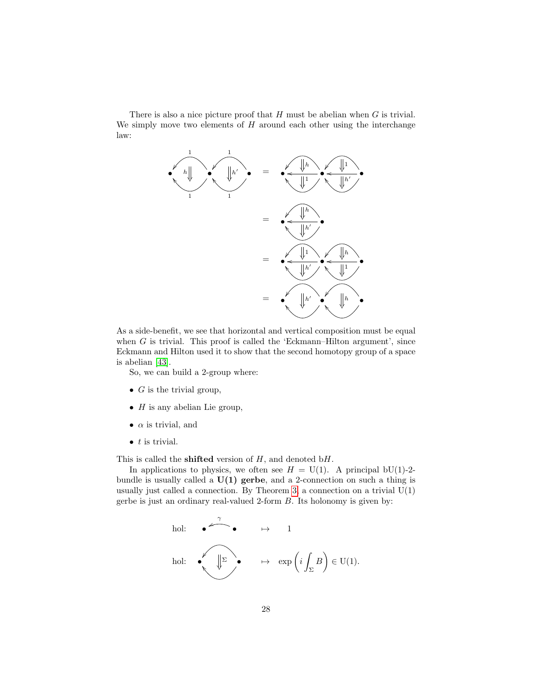There is also a nice picture proof that  $H$  must be abelian when  $G$  is trivial. We simply move two elements of  $H$  around each other using the interchange law:



As a side-benefit, we see that horizontal and vertical composition must be equal when  $G$  is trivial. This proof is called the 'Eckmann-Hilton argument', since Eckmann and Hilton used it to show that the second homotopy group of a space is abelian [\[43\]](#page-56-1).

So, we can build a 2-group where:

- $G$  is the trivial group,
- $H$  is any abelian Lie group,
- $\bullet$   $\alpha$  is trivial, and
- $\bullet\,$  t is trivial.

This is called the **shifted** version of  $H$ , and denoted  $bH$ .

In applications to physics, we often see  $H = U(1)$ . A principal bU(1)-2bundle is usually called a  $U(1)$  gerbe, and a 2-connection on such a thing is usually just called a connection. By Theorem [3,](#page-21-0) a connection on a trivial  $U(1)$ gerbe is just an ordinary real-valued 2-form B. Its holonomy is given by:

hol: 
$$
\bullet \longrightarrow \bullet
$$
  $\rightarrow$  1  
hol:  $\bullet \longrightarrow \bullet \Rightarrow \exp(i \int_{\Sigma} B) \in U(1)$ .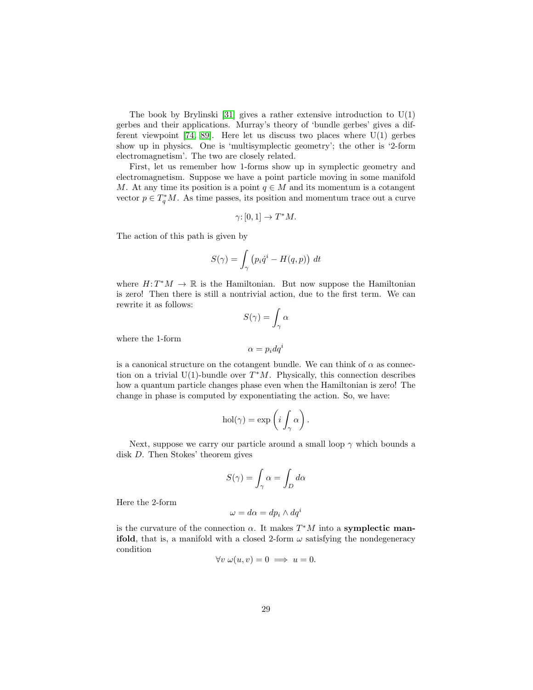The book by Brylinski [\[31\]](#page-55-3) gives a rather extensive introduction to  $U(1)$ gerbes and their applications. Murray's theory of 'bundle gerbes' gives a dif-ferent viewpoint [\[74,](#page-58-4) [89\]](#page-59-5). Here let us discuss two places where  $U(1)$  gerbes show up in physics. One is 'multisymplectic geometry'; the other is '2-form electromagnetism'. The two are closely related.

First, let us remember how 1-forms show up in symplectic geometry and electromagnetism. Suppose we have a point particle moving in some manifold M. At any time its position is a point  $q \in M$  and its momentum is a cotangent vector  $p \in T_q^*M$ . As time passes, its position and momentum trace out a curve

$$
\gamma: [0,1] \to T^*M.
$$

The action of this path is given by

$$
S(\gamma) = \int_{\gamma} (p_i \dot{q}^i - H(q, p)) dt
$$

where  $H: T^*M \to \mathbb{R}$  is the Hamiltonian. But now suppose the Hamiltonian is zero! Then there is still a nontrivial action, due to the first term. We can rewrite it as follows:

$$
S(\gamma)=\int_{\gamma}\alpha
$$

where the 1-form

$$
\alpha = p_i dq^i
$$

is a canonical structure on the cotangent bundle. We can think of  $\alpha$  as connection on a trivial U(1)-bundle over  $T^*M$ . Physically, this connection describes how a quantum particle changes phase even when the Hamiltonian is zero! The change in phase is computed by exponentiating the action. So, we have:

$$
\text{hol}(\gamma) = \exp\left(i \int_{\gamma} \alpha\right).
$$

Next, suppose we carry our particle around a small loop  $\gamma$  which bounds a disk D. Then Stokes' theorem gives

$$
S(\gamma) = \int_{\gamma} \alpha = \int_{D} d\alpha
$$

Here the 2-form

$$
\omega = d\alpha = dp_i \wedge dq^i
$$

is the curvature of the connection  $\alpha$ . It makes  $T^*M$  into a symplectic manifold, that is, a manifold with a closed 2-form  $\omega$  satisfying the nondegeneracy condition

$$
\forall v \ \omega(u, v) = 0 \implies u = 0.
$$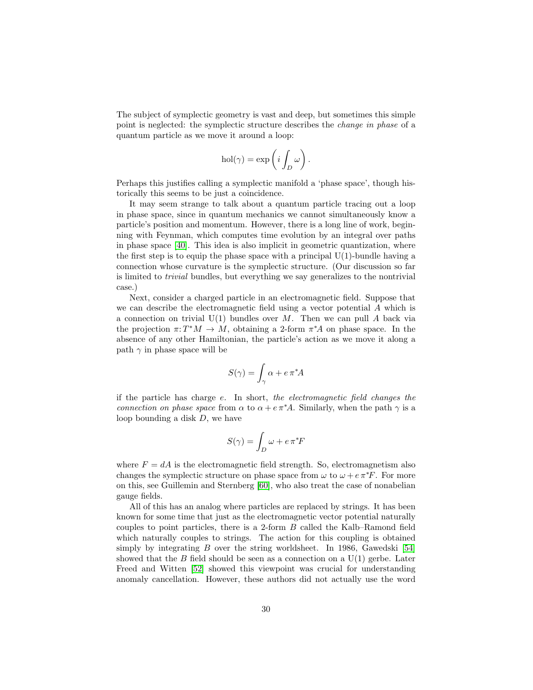The subject of symplectic geometry is vast and deep, but sometimes this simple point is neglected: the symplectic structure describes the change in phase of a quantum particle as we move it around a loop:

$$
hol(\gamma) = \exp\left(i \int_D \omega\right).
$$

Perhaps this justifies calling a symplectic manifold a 'phase space', though historically this seems to be just a coincidence.

It may seem strange to talk about a quantum particle tracing out a loop in phase space, since in quantum mechanics we cannot simultaneously know a particle's position and momentum. However, there is a long line of work, beginning with Feynman, which computes time evolution by an integral over paths in phase space [\[40\]](#page-56-2). This idea is also implicit in geometric quantization, where the first step is to equip the phase space with a principal  $U(1)$ -bundle having a connection whose curvature is the symplectic structure. (Our discussion so far is limited to trivial bundles, but everything we say generalizes to the nontrivial case.)

Next, consider a charged particle in an electromagnetic field. Suppose that we can describe the electromagnetic field using a vector potential A which is a connection on trivial  $U(1)$  bundles over M. Then we can pull A back via the projection  $\pi: T^*M \to M$ , obtaining a 2-form  $\pi^*A$  on phase space. In the absence of any other Hamiltonian, the particle's action as we move it along a path  $\gamma$  in phase space will be

$$
S(\gamma) = \int_\gamma \alpha + e\, \pi^* A
$$

if the particle has charge e. In short, the electromagnetic field changes the connection on phase space from  $\alpha$  to  $\alpha + e \pi^* A$ . Similarly, when the path  $\gamma$  is a loop bounding a disk D, we have

$$
S(\gamma) = \int_D \omega + e \,\pi^* F
$$

where  $F = dA$  is the electromagnetic field strength. So, electromagnetism also changes the symplectic structure on phase space from  $\omega$  to  $\omega + e \pi^*F$ . For more on this, see Guillemin and Sternberg [\[60\]](#page-57-4), who also treat the case of nonabelian gauge fields.

All of this has an analog where particles are replaced by strings. It has been known for some time that just as the electromagnetic vector potential naturally couples to point particles, there is a 2-form B called the Kalb–Ramond field which naturally couples to strings. The action for this coupling is obtained simply by integrating  $B$  over the string worldsheet. In 1986, Gawedski [\[54\]](#page-57-5) showed that the B field should be seen as a connection on a  $U(1)$  gerbe. Later Freed and Witten [\[52\]](#page-56-3) showed this viewpoint was crucial for understanding anomaly cancellation. However, these authors did not actually use the word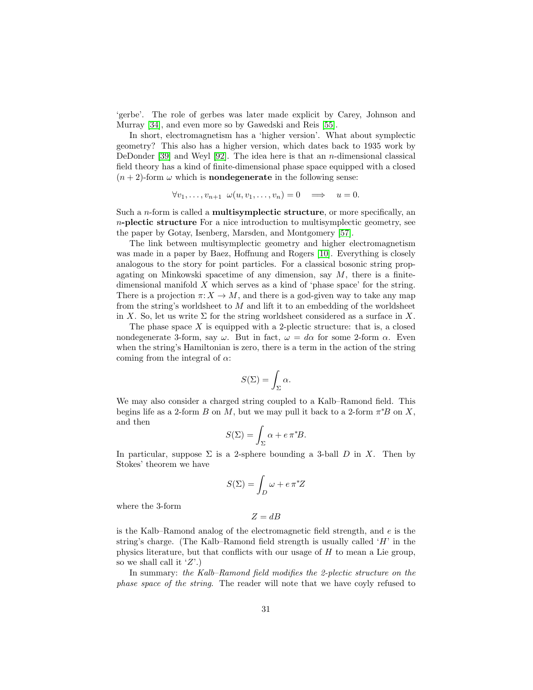'gerbe'. The role of gerbes was later made explicit by Carey, Johnson and Murray [\[34\]](#page-55-4), and even more so by Gawedski and Reis [\[55\]](#page-57-6).

In short, electromagnetism has a 'higher version'. What about symplectic geometry? This also has a higher version, which dates back to 1935 work by DeDonder [\[39\]](#page-56-4) and Weyl [\[92\]](#page-59-6). The idea here is that an *n*-dimensional classical field theory has a kind of finite-dimensional phase space equipped with a closed  $(n+2)$ -form  $\omega$  which is **nondegenerate** in the following sense:

$$
\forall v_1, \ldots, v_{n+1} \ \omega(u, v_1, \ldots, v_n) = 0 \implies u = 0.
$$

Such a *n*-form is called a **multisymplectic structure**, or more specifically, an n-plectic structure For a nice introduction to multisymplectic geometry, see the paper by Gotay, Isenberg, Marsden, and Montgomery [\[57\]](#page-57-7).

The link between multisymplectic geometry and higher electromagnetism was made in a paper by Baez, Hoffnung and Rogers [\[10\]](#page-54-4). Everything is closely analogous to the story for point particles. For a classical bosonic string propagating on Minkowski spacetime of any dimension, say  $M$ , there is a finitedimensional manifold  $X$  which serves as a kind of 'phase space' for the string. There is a projection  $\pi: X \to M$ , and there is a god-given way to take any map from the string's worldsheet to  $M$  and lift it to an embedding of the worldsheet in X. So, let us write  $\Sigma$  for the string worldsheet considered as a surface in X.

The phase space  $X$  is equipped with a 2-plectic structure: that is, a closed nondegenerate 3-form, say  $\omega$ . But in fact,  $\omega = d\alpha$  for some 2-form  $\alpha$ . Even when the string's Hamiltonian is zero, there is a term in the action of the string coming from the integral of  $\alpha$ :

$$
S(\Sigma) = \int_{\Sigma} \alpha.
$$

We may also consider a charged string coupled to a Kalb–Ramond field. This begins life as a 2-form B on M, but we may pull it back to a 2-form  $\pi^*B$  on X, and then

$$
S(\Sigma) = \int_{\Sigma} \alpha + e \,\pi^* B.
$$

In particular, suppose  $\Sigma$  is a 2-sphere bounding a 3-ball D in X. Then by Stokes' theorem we have

$$
S(\Sigma) = \int_D \omega + e \,\pi^* Z
$$

where the 3-form

$$
Z = dB
$$

is the Kalb–Ramond analog of the electromagnetic field strength, and  $e$  is the string's charge. (The Kalb–Ramond field strength is usually called  $H'$  in the physics literature, but that conflicts with our usage of  $H$  to mean a Lie group, so we shall call it  $Z'.$ )

In summary: the Kalb–Ramond field modifies the 2-plectic structure on the phase space of the string. The reader will note that we have coyly refused to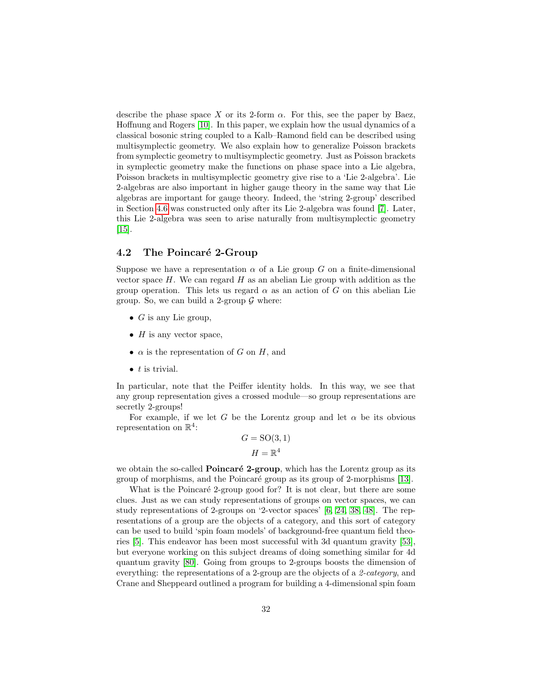describe the phase space X or its 2-form  $\alpha$ . For this, see the paper by Baez, Hoffnung and Rogers [\[10\]](#page-54-4). In this paper, we explain how the usual dynamics of a classical bosonic string coupled to a Kalb–Ramond field can be described using multisymplectic geometry. We also explain how to generalize Poisson brackets from symplectic geometry to multisymplectic geometry. Just as Poisson brackets in symplectic geometry make the functions on phase space into a Lie algebra, Poisson brackets in multisymplectic geometry give rise to a 'Lie 2-algebra'. Lie 2-algebras are also important in higher gauge theory in the same way that Lie algebras are important for gauge theory. Indeed, the 'string 2-group' described in Section [4.6](#page-39-0) was constructed only after its Lie 2-algebra was found [\[7\]](#page-53-1). Later, this Lie 2-algebra was seen to arise naturally from multisymplectic geometry [\[15\]](#page-54-5).

### <span id="page-31-0"></span>4.2 The Poincaré 2-Group

Suppose we have a representation  $\alpha$  of a Lie group G on a finite-dimensional vector space  $H$ . We can regard  $H$  as an abelian Lie group with addition as the group operation. This lets us regard  $\alpha$  as an action of G on this abelian Lie group. So, we can build a 2-group  $\mathcal G$  where:

- $G$  is any Lie group,
- $H$  is any vector space,
- $\alpha$  is the representation of G on H, and
- $\bullet$  t is trivial.

In particular, note that the Peiffer identity holds. In this way, we see that any group representation gives a crossed module—so group representations are secretly 2-groups!

For example, if we let G be the Lorentz group and let  $\alpha$  be its obvious representation on  $\mathbb{R}^4$ :

$$
G = \text{SO}(3, 1)
$$

$$
H = \mathbb{R}^4
$$

we obtain the so-called **Poincaré 2-group**, which has the Lorentz group as its group of morphisms, and the Poincaré group as its group of 2-morphisms [\[13\]](#page-54-3).

What is the Poincaré 2-group good for? It is not clear, but there are some clues. Just as we can study representations of groups on vector spaces, we can study representations of 2-groups on '2-vector spaces' [\[6,](#page-53-2) [24,](#page-55-5) [38,](#page-56-5) [48\]](#page-56-6). The representations of a group are the objects of a category, and this sort of category can be used to build 'spin foam models' of background-free quantum field theories [\[5\]](#page-53-3). This endeavor has been most successful with 3d quantum gravity [\[53\]](#page-57-8), but everyone working on this subject dreams of doing something similar for 4d quantum gravity [\[80\]](#page-58-5). Going from groups to 2-groups boosts the dimension of everything: the representations of a 2-group are the objects of a 2-category, and Crane and Sheppeard outlined a program for building a 4-dimensional spin foam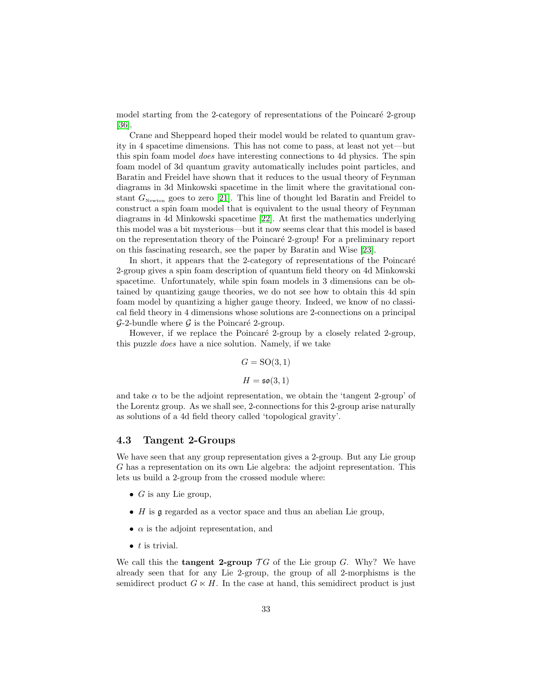model starting from the 2-category of representations of the Poincaré 2-group [\[36\]](#page-55-6).

Crane and Sheppeard hoped their model would be related to quantum gravity in 4 spacetime dimensions. This has not come to pass, at least not yet—but this spin foam model does have interesting connections to 4d physics. The spin foam model of 3d quantum gravity automatically includes point particles, and Baratin and Freidel have shown that it reduces to the usual theory of Feynman diagrams in 3d Minkowski spacetime in the limit where the gravitational constant  $G_{Newton}$  goes to zero [\[21\]](#page-54-6). This line of thought led Baratin and Freidel to construct a spin foam model that is equivalent to the usual theory of Feynman diagrams in 4d Minkowski spacetime [\[22\]](#page-55-7). At first the mathematics underlying this model was a bit mysterious—but it now seems clear that this model is based on the representation theory of the Poincaré 2-group! For a preliminary report on this fascinating research, see the paper by Baratin and Wise [\[23\]](#page-55-8).

In short, it appears that the 2-category of representations of the Poincaré 2-group gives a spin foam description of quantum field theory on 4d Minkowski spacetime. Unfortunately, while spin foam models in 3 dimensions can be obtained by quantizing gauge theories, we do not see how to obtain this 4d spin foam model by quantizing a higher gauge theory. Indeed, we know of no classical field theory in 4 dimensions whose solutions are 2-connections on a principal  $\mathcal{G}$ -2-bundle where  $\mathcal G$  is the Poincaré 2-group.

However, if we replace the Poincaré 2-group by a closely related 2-group, this puzzle does have a nice solution. Namely, if we take

$$
G = \text{SO}(3, 1)
$$

$$
H = \mathfrak{so}(3, 1)
$$

and take  $\alpha$  to be the adjoint representation, we obtain the 'tangent 2-group' of the Lorentz group. As we shall see, 2-connections for this 2-group arise naturally as solutions of a 4d field theory called 'topological gravity'.

### <span id="page-32-0"></span>4.3 Tangent 2-Groups

We have seen that any group representation gives a 2-group. But any Lie group G has a representation on its own Lie algebra: the adjoint representation. This lets us build a 2-group from the crossed module where:

- $G$  is any Lie group,
- $\bullet$  H is g regarded as a vector space and thus an abelian Lie group,
- $\alpha$  is the adjoint representation, and
- $\bullet$  t is trivial.

We call this the **tangent 2-group**  $\mathcal{T}G$  of the Lie group G. Why? We have already seen that for any Lie 2-group, the group of all 2-morphisms is the semidirect product  $G \ltimes H$ . In the case at hand, this semidirect product is just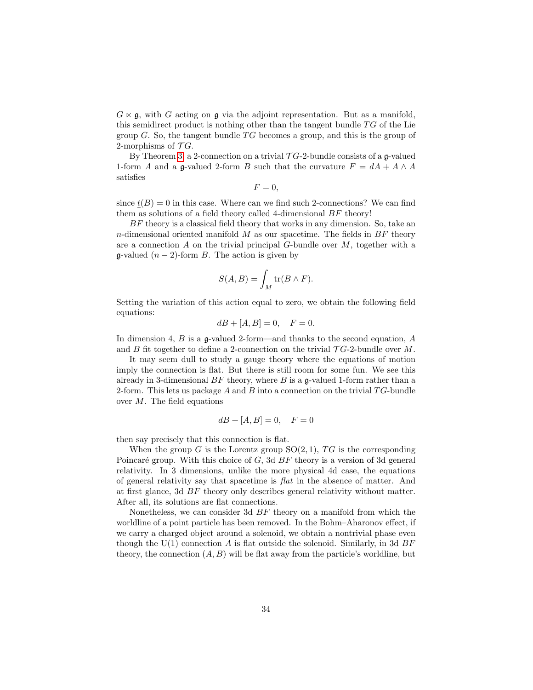$G \ltimes \mathfrak{g}$ , with G acting on  $\mathfrak{g}$  via the adjoint representation. But as a manifold, this semidirect product is nothing other than the tangent bundle  $TG$  of the Lie group  $G$ . So, the tangent bundle  $TG$  becomes a group, and this is the group of 2-morphisms of  $\mathcal{T}G$ .

By Theorem [3,](#page-21-0) a 2-connection on a trivial  $\mathcal{T}G$ -2-bundle consists of a  $\mathfrak{q}$ -valued 1-form A and a g-valued 2-form B such that the curvature  $F = dA + A \wedge A$ satisfies

$$
F=0,
$$

since  $t(B) = 0$  in this case. Where can we find such 2-connections? We can find them as solutions of a field theory called 4-dimensional BF theory!

BF theory is a classical field theory that works in any dimension. So, take an n-dimensional oriented manifold  $M$  as our spacetime. The fields in  $BF$  theory are a connection  $A$  on the trivial principal  $G$ -bundle over  $M$ , together with a  $\mathfrak{g}\text{-valued}$  ( $n-2$ )-form B. The action is given by

$$
S(A, B) = \int_M \text{tr}(B \wedge F).
$$

Setting the variation of this action equal to zero, we obtain the following field equations:

$$
dB + [A, B] = 0, \quad F = 0.
$$

In dimension 4, B is a g-valued 2-form—and thanks to the second equation, A and B fit together to define a 2-connection on the trivial  $\mathcal{T}G$ -2-bundle over M.

It may seem dull to study a gauge theory where the equations of motion imply the connection is flat. But there is still room for some fun. We see this already in 3-dimensional  $BF$  theory, where  $B$  is a g-valued 1-form rather than a 2-form. This lets us package A and B into a connection on the trivial  $TG$ -bundle over  $M$ . The field equations

$$
dB + [A, B] = 0, \quad F = 0
$$

then say precisely that this connection is flat.

When the group G is the Lorentz group  $SO(2,1)$ , TG is the corresponding Poincaré group. With this choice of  $G$ , 3d  $BF$  theory is a version of 3d general relativity. In 3 dimensions, unlike the more physical 4d case, the equations of general relativity say that spacetime is flat in the absence of matter. And at first glance, 3d BF theory only describes general relativity without matter. After all, its solutions are flat connections.

Nonetheless, we can consider 3d  $BF$  theory on a manifold from which the worldline of a point particle has been removed. In the Bohm–Aharonov effect, if we carry a charged object around a solenoid, we obtain a nontrivial phase even though the  $U(1)$  connection A is flat outside the solenoid. Similarly, in 3d BF theory, the connection  $(A, B)$  will be flat away from the particle's worldline, but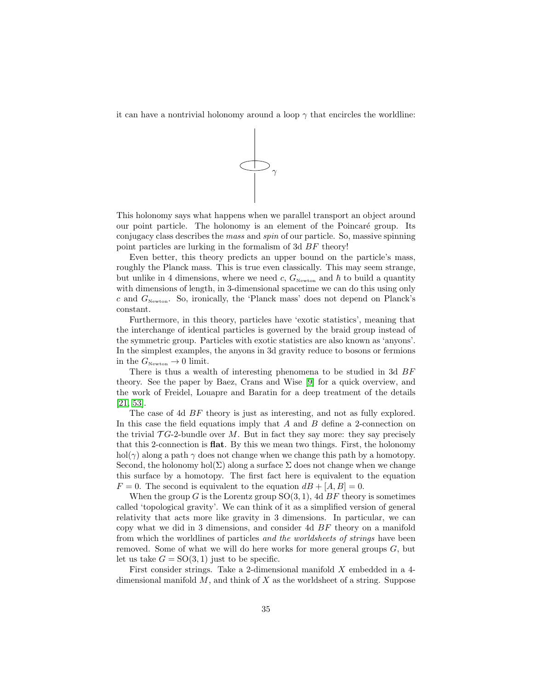it can have a nontrivial holonomy around a loop  $\gamma$  that encircles the worldline:



This holonomy says what happens when we parallel transport an object around our point particle. The holonomy is an element of the Poincaré group. Its conjugacy class describes the mass and spin of our particle. So, massive spinning point particles are lurking in the formalism of 3d BF theory!

Even better, this theory predicts an upper bound on the particle's mass, roughly the Planck mass. This is true even classically. This may seem strange, but unlike in 4 dimensions, where we need  $c, G_{\text{Newton}}$  and  $\hbar$  to build a quantity with dimensions of length, in 3-dimensional spacetime we can do this using only  $c$  and  $G_{Newton}$ . So, ironically, the 'Planck mass' does not depend on Planck's constant.

Furthermore, in this theory, particles have 'exotic statistics', meaning that the interchange of identical particles is governed by the braid group instead of the symmetric group. Particles with exotic statistics are also known as 'anyons'. In the simplest examples, the anyons in 3d gravity reduce to bosons or fermions in the  $G_{\text{Newton}} \rightarrow 0$  limit.

There is thus a wealth of interesting phenomena to be studied in 3d BF theory. See the paper by Baez, Crans and Wise [\[9\]](#page-54-7) for a quick overview, and the work of Freidel, Louapre and Baratin for a deep treatment of the details [\[21,](#page-54-6) [53\]](#page-57-8).

The case of 4d BF theory is just as interesting, and not as fully explored. In this case the field equations imply that  $A$  and  $B$  define a 2-connection on the trivial  $\mathcal{T}G$ -2-bundle over M. But in fact they say more: they say precisely that this 2-connection is flat. By this we mean two things. First, the holonomy hol( $\gamma$ ) along a path  $\gamma$  does not change when we change this path by a homotopy. Second, the holonomy hol( $\Sigma$ ) along a surface  $\Sigma$  does not change when we change this surface by a homotopy. The first fact here is equivalent to the equation  $F = 0$ . The second is equivalent to the equation  $dB + [A, B] = 0$ .

When the group G is the Lorentz group  $SO(3,1)$ , 4d  $BF$  theory is sometimes called 'topological gravity'. We can think of it as a simplified version of general relativity that acts more like gravity in 3 dimensions. In particular, we can copy what we did in 3 dimensions, and consider 4d BF theory on a manifold from which the worldlines of particles and the worldsheets of strings have been removed. Some of what we will do here works for more general groups  $G$ , but let us take  $G = SO(3, 1)$  just to be specific.

First consider strings. Take a 2-dimensional manifold X embedded in a 4 dimensional manifold  $M$ , and think of  $X$  as the worldsheet of a string. Suppose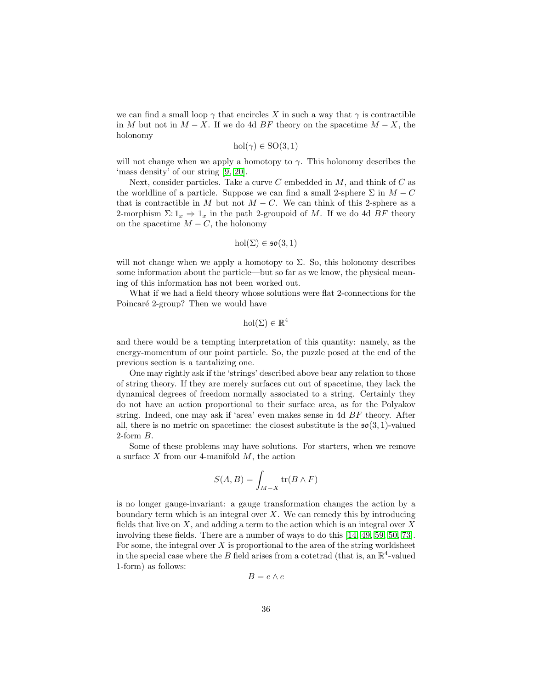we can find a small loop  $\gamma$  that encircles X in such a way that  $\gamma$  is contractible in M but not in  $M - X$ . If we do 4d BF theory on the spacetime  $M - X$ , the holonomy

$$
\mathrm{hol}(\gamma) \in \mathrm{SO}(3,1)
$$

will not change when we apply a homotopy to  $\gamma$ . This holonomy describes the 'mass density' of our string [\[9,](#page-54-7) [20\]](#page-54-8).

Next, consider particles. Take a curve  $C$  embedded in  $M$ , and think of  $C$  as the worldline of a particle. Suppose we can find a small 2-sphere  $\Sigma$  in  $M - C$ that is contractible in M but not  $M - C$ . We can think of this 2-sphere as a 2-morphism  $\Sigma: 1_x \Rightarrow 1_x$  in the path 2-groupoid of M. If we do 4d BF theory on the spacetime  $M - C$ , the holonomy

$$
hol(\Sigma) \in \mathfrak{so}(3,1)
$$

will not change when we apply a homotopy to  $\Sigma$ . So, this holonomy describes some information about the particle—but so far as we know, the physical meaning of this information has not been worked out.

What if we had a field theory whose solutions were flat 2-connections for the Poincaré 2-group? Then we would have

$$
\mathrm{hol}(\Sigma)\in\mathbb{R}^4
$$

and there would be a tempting interpretation of this quantity: namely, as the energy-momentum of our point particle. So, the puzzle posed at the end of the previous section is a tantalizing one.

One may rightly ask if the 'strings' described above bear any relation to those of string theory. If they are merely surfaces cut out of spacetime, they lack the dynamical degrees of freedom normally associated to a string. Certainly they do not have an action proportional to their surface area, as for the Polyakov string. Indeed, one may ask if 'area' even makes sense in 4d BF theory. After all, there is no metric on spacetime: the closest substitute is the  $\mathfrak{so}(3,1)$ -valued 2-form B.

Some of these problems may have solutions. For starters, when we remove a surface  $X$  from our 4-manifold  $M$ , the action

$$
S(A, B) = \int_{M-X} \text{tr}(B \wedge F)
$$

is no longer gauge-invariant: a gauge transformation changes the action by a boundary term which is an integral over  $X$ . We can remedy this by introducing fields that live on  $X$ , and adding a term to the action which is an integral over  $X$ involving these fields. There are a number of ways to do this [\[14,](#page-54-9) [49,](#page-56-7) [59,](#page-57-9) [50,](#page-56-8) [73\]](#page-58-6). For some, the integral over  $X$  is proportional to the area of the string worldsheet in the special case where the B field arises from a cotetrad (that is, an  $\mathbb{R}^4$ -valued 1-form) as follows:

$$
B = e \wedge e
$$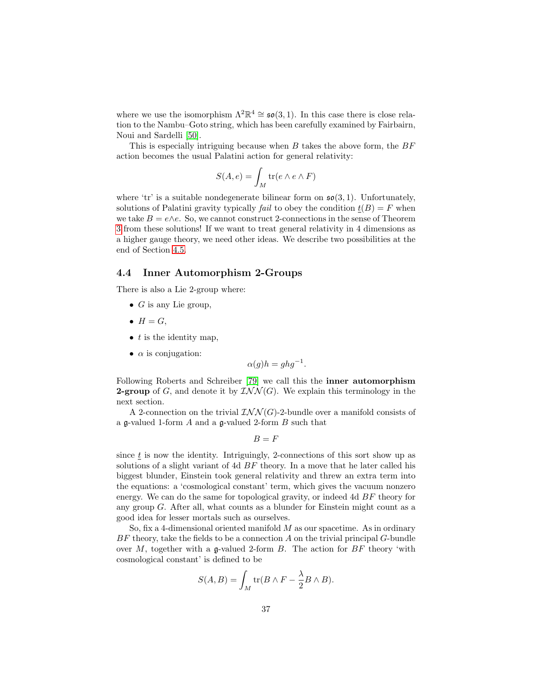where we use the isomorphism  $\Lambda^2 \mathbb{R}^4 \cong \mathfrak{so}(3,1)$ . In this case there is close relation to the Nambu–Goto string, which has been carefully examined by Fairbairn, Noui and Sardelli [\[50\]](#page-56-8).

This is especially intriguing because when  $B$  takes the above form, the  $BF$ action becomes the usual Palatini action for general relativity:

$$
S(A, e) = \int_M \text{tr}(e \wedge e \wedge F)
$$

where 'tr' is a suitable nondegenerate bilinear form on  $\mathfrak{so}(3,1)$ . Unfortunately, solutions of Palatini gravity typically *fail* to obey the condition  $\underline{t}(B) = F$  when we take  $B = e \wedge e$ . So, we cannot construct 2-connections in the sense of Theorem [3](#page-21-0) from these solutions! If we want to treat general relativity in 4 dimensions as a higher gauge theory, we need other ideas. We describe two possibilities at the end of Section [4.5.](#page-37-0)

## <span id="page-36-0"></span>4.4 Inner Automorphism 2-Groups

There is also a Lie 2-group where:

- $G$  is any Lie group,
- $H = G$ ,
- $\bullet$  t is the identity map,
- $\alpha$  is conjugation:

$$
\alpha(g)h = ghg^{-1}.
$$

Following Roberts and Schreiber [\[79\]](#page-58-7) we call this the inner automorphism **2-group** of G, and denote it by  $\mathcal{INN}(G)$ . We explain this terminology in the next section.

A 2-connection on the trivial  $\mathcal{INN}(G)$ -2-bundle over a manifold consists of a g-valued 1-form A and a g-valued 2-form B such that

 $B = F$ 

since  $\underline{t}$  is now the identity. Intriguingly, 2-connections of this sort show up as solutions of a slight variant of 4d BF theory. In a move that he later called his biggest blunder, Einstein took general relativity and threw an extra term into the equations: a 'cosmological constant' term, which gives the vacuum nonzero energy. We can do the same for topological gravity, or indeed 4d BF theory for any group G. After all, what counts as a blunder for Einstein might count as a good idea for lesser mortals such as ourselves.

So, fix a 4-dimensional oriented manifold  $M$  as our spacetime. As in ordinary  $BF$  theory, take the fields to be a connection  $A$  on the trivial principal  $G$ -bundle over  $M$ , together with a g-valued 2-form  $B$ . The action for  $BF$  theory 'with cosmological constant' is defined to be

$$
S(A, B) = \int_M \text{tr}(B \wedge F - \frac{\lambda}{2} B \wedge B).
$$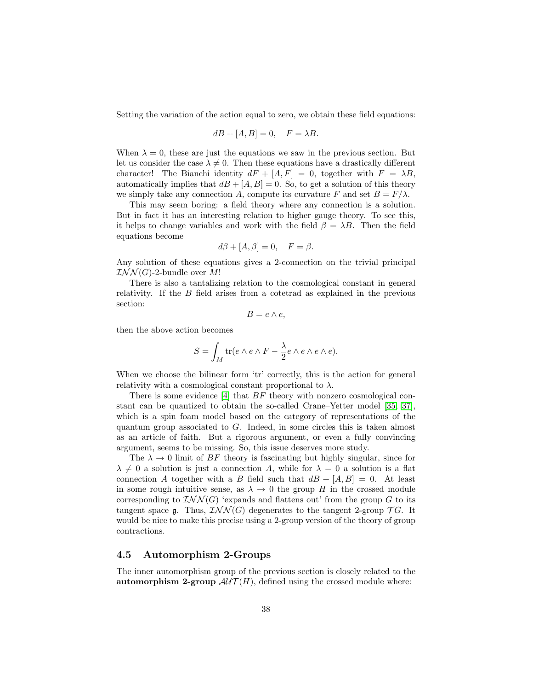Setting the variation of the action equal to zero, we obtain these field equations:

$$
dB + [A, B] = 0, \quad F = \lambda B.
$$

When  $\lambda = 0$ , these are just the equations we saw in the previous section. But let us consider the case  $\lambda \neq 0$ . Then these equations have a drastically different character! The Bianchi identity  $dF + [A, F] = 0$ , together with  $F = \lambda B$ , automatically implies that  $dB + [A, B] = 0$ . So, to get a solution of this theory we simply take any connection A, compute its curvature F and set  $B = F/\lambda$ .

This may seem boring: a field theory where any connection is a solution. But in fact it has an interesting relation to higher gauge theory. To see this, it helps to change variables and work with the field  $\beta = \lambda B$ . Then the field equations become

$$
d\beta + [A, \beta] = 0, \quad F = \beta.
$$

Any solution of these equations gives a 2-connection on the trivial principal  $\mathcal{I}NN(G)$ -2-bundle over M!

There is also a tantalizing relation to the cosmological constant in general relativity. If the B field arises from a cotetrad as explained in the previous section:

$$
B = e \wedge e,
$$

then the above action becomes

$$
S = \int_M \operatorname{tr}(e \wedge e \wedge F - \frac{\lambda}{2} e \wedge e \wedge e \wedge e).
$$

When we choose the bilinear form 'tr' correctly, this is the action for general relativity with a cosmological constant proportional to  $\lambda$ .

There is some evidence  $[4]$  that  $BF$  theory with nonzero cosmological constant can be quantized to obtain the so-called Crane–Yetter model [\[35,](#page-55-9) [37\]](#page-56-9), which is a spin foam model based on the category of representations of the quantum group associated to G. Indeed, in some circles this is taken almost as an article of faith. But a rigorous argument, or even a fully convincing argument, seems to be missing. So, this issue deserves more study.

The  $\lambda \to 0$  limit of BF theory is fascinating but highly singular, since for  $\lambda \neq 0$  a solution is just a connection A, while for  $\lambda = 0$  a solution is a flat connection A together with a B field such that  $dB + [A, B] = 0$ . At least in some rough intuitive sense, as  $\lambda \to 0$  the group H in the crossed module corresponding to  $\mathcal{INN}(G)$  'expands and flattens out' from the group G to its tangent space g. Thus,  $\mathcal{INN}(G)$  degenerates to the tangent 2-group  $\mathcal{T}G$ . It would be nice to make this precise using a 2-group version of the theory of group contractions.

#### <span id="page-37-0"></span>4.5 Automorphism 2-Groups

The inner automorphism group of the previous section is closely related to the **automorphism 2-group**  $\mathcal{AUT}(H)$ , defined using the crossed module where: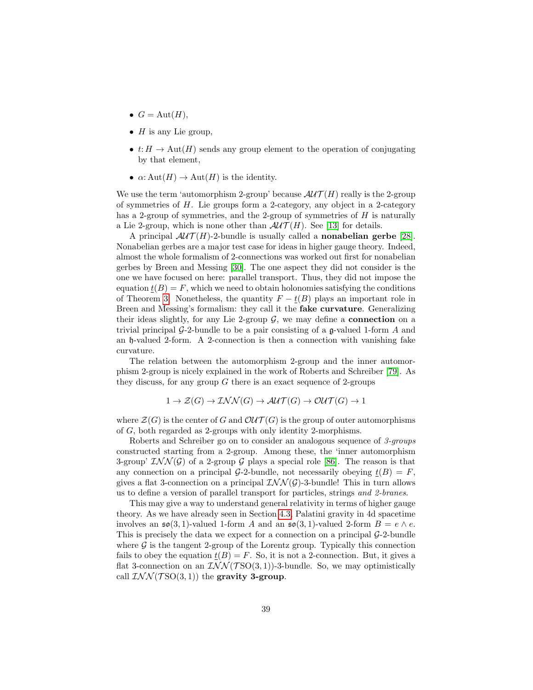- $G = \text{Aut}(H)$ ,
- $H$  is any Lie group,
- $t: H \to \text{Aut}(H)$  sends any group element to the operation of conjugating by that element,
- $\alpha$ : Aut $(H) \to$  Aut $(H)$  is the identity.

We use the term 'automorphism 2-group' because  $\mathcal{A}\mathcal{U}\mathcal{T}(H)$  really is the 2-group of symmetries of H. Lie groups form a 2-category, any object in a 2-category has a 2-group of symmetries, and the 2-group of symmetries of  $H$  is naturally a Lie 2-group, which is none other than  $\mathcal{AUT}(H)$ . See [\[13\]](#page-54-3) for details.

A principal  $\mathcal{AUT}(H)$ -2-bundle is usually called a **nonabelian gerbe** [\[28\]](#page-55-10). Nonabelian gerbes are a major test case for ideas in higher gauge theory. Indeed, almost the whole formalism of 2-connections was worked out first for nonabelian gerbes by Breen and Messing [\[30\]](#page-55-2). The one aspect they did not consider is the one we have focused on here: parallel transport. Thus, they did not impose the equation  $t(B) = F$ , which we need to obtain holonomies satisfying the conditions of Theorem [3.](#page-21-0) Nonetheless, the quantity  $F - t(B)$  plays an important role in Breen and Messing's formalism: they call it the fake curvature. Generalizing their ideas slightly, for any Lie 2-group  $\mathcal{G}$ , we may define a **connection** on a trivial principal  $\mathcal{G}-2$ -bundle to be a pair consisting of a  $\mathfrak{g}$ -valued 1-form A and an h-valued 2-form. A 2-connection is then a connection with vanishing fake curvature.

The relation between the automorphism 2-group and the inner automorphism 2-group is nicely explained in the work of Roberts and Schreiber [\[79\]](#page-58-7). As they discuss, for any group  $G$  there is an exact sequence of 2-groups

$$
1 \to \mathcal{Z}(G) \to \mathcal{INN}(G) \to \mathcal{AUT}(G) \to \mathcal{OUT}(G) \to 1
$$

where  $\mathcal{Z}(G)$  is the center of G and  $\mathcal{OUT}(G)$  is the group of outer automorphisms of G, both regarded as 2-groups with only identity 2-morphisms.

Roberts and Schreiber go on to consider an analogous sequence of 3-groups constructed starting from a 2-group. Among these, the 'inner automorphism 3-group'  $\mathcal{I}NN(\mathcal{G})$  of a 2-group  $\mathcal{G}$  plays a special role [\[86\]](#page-59-7). The reason is that any connection on a principal G-2-bundle, not necessarily obeying  $\underline{t}(B) = F$ , gives a flat 3-connection on a principal  $\mathcal{INN}(\mathcal{G})$ -3-bundle! This in turn allows us to define a version of parallel transport for particles, strings and 2-branes.

This may give a way to understand general relativity in terms of higher gauge theory. As we have already seen in Section [4.3,](#page-32-0) Palatini gravity in 4d spacetime involves an  $\mathfrak{so}(3,1)$ -valued 1-form A and an  $\mathfrak{so}(3,1)$ -valued 2-form  $B = e \wedge e$ . This is precisely the data we expect for a connection on a principal  $\mathcal{G}$ -2-bundle where  $\mathcal G$  is the tangent 2-group of the Lorentz group. Typically this connection fails to obey the equation  $t(B) = F$ . So, it is not a 2-connection. But, it gives a flat 3-connection on an  $\mathcal{INN}(TSO(3, 1))$ -3-bundle. So, we may optimistically call  $\mathcal{INN}(\mathcal{T}SO(3,1))$  the gravity 3-group.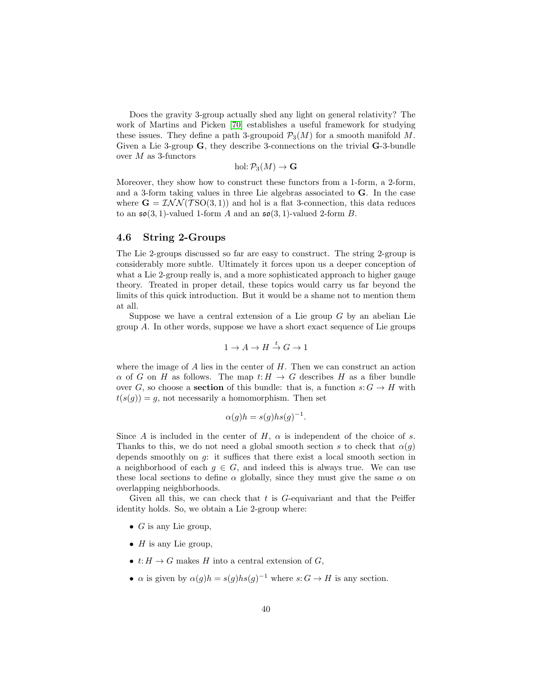Does the gravity 3-group actually shed any light on general relativity? The work of Martins and Picken [\[70\]](#page-58-8) establishes a useful framework for studying these issues. They define a path 3-groupoid  $\mathcal{P}_3(M)$  for a smooth manifold M. Given a Lie 3-group G, they describe 3-connections on the trivial G-3-bundle over M as 3-functors

$$
\mathrm{hol}\colon \mathcal{P}_3(M) \to \mathbf{G}
$$

Moreover, they show how to construct these functors from a 1-form, a 2-form, and a 3-form taking values in three Lie algebras associated to G. In the case where  $\mathbf{G} = \mathcal{I} \mathcal{N} \mathcal{N} (\mathcal{T} \text{SO}(3,1))$  and hol is a flat 3-connection, this data reduces to an  $\mathfrak{so}(3,1)$ -valued 1-form A and an  $\mathfrak{so}(3,1)$ -valued 2-form B.

### <span id="page-39-0"></span>4.6 String 2-Groups

The Lie 2-groups discussed so far are easy to construct. The string 2-group is considerably more subtle. Ultimately it forces upon us a deeper conception of what a Lie 2-group really is, and a more sophisticated approach to higher gauge theory. Treated in proper detail, these topics would carry us far beyond the limits of this quick introduction. But it would be a shame not to mention them at all.

Suppose we have a central extension of a Lie group  $G$  by an abelian Lie group A. In other words, suppose we have a short exact sequence of Lie groups

$$
1 \rightarrow A \rightarrow H \stackrel{t}{\rightarrow} G \rightarrow 1
$$

where the image of  $A$  lies in the center of  $H$ . Then we can construct an action  $\alpha$  of G on H as follows. The map  $t: H \to G$  describes H as a fiber bundle over G, so choose a **section** of this bundle: that is, a function  $s: G \to H$  with  $t(s(g)) = g$ , not necessarily a homomorphism. Then set

$$
\alpha(g)h = s(g)hs(g)^{-1}.
$$

Since A is included in the center of H,  $\alpha$  is independent of the choice of s. Thanks to this, we do not need a global smooth section s to check that  $\alpha(q)$ depends smoothly on g: it suffices that there exist a local smooth section in a neighborhood of each  $g \in G$ , and indeed this is always true. We can use these local sections to define  $\alpha$  globally, since they must give the same  $\alpha$  on overlapping neighborhoods.

Given all this, we can check that  $t$  is  $G$ -equivariant and that the Peiffer identity holds. So, we obtain a Lie 2-group where:

- $G$  is any Lie group,
- $H$  is any Lie group,
- $t: H \to G$  makes H into a central extension of G,
- $\alpha$  is given by  $\alpha(g)h = s(g)hs(g)^{-1}$  where  $s: G \to H$  is any section.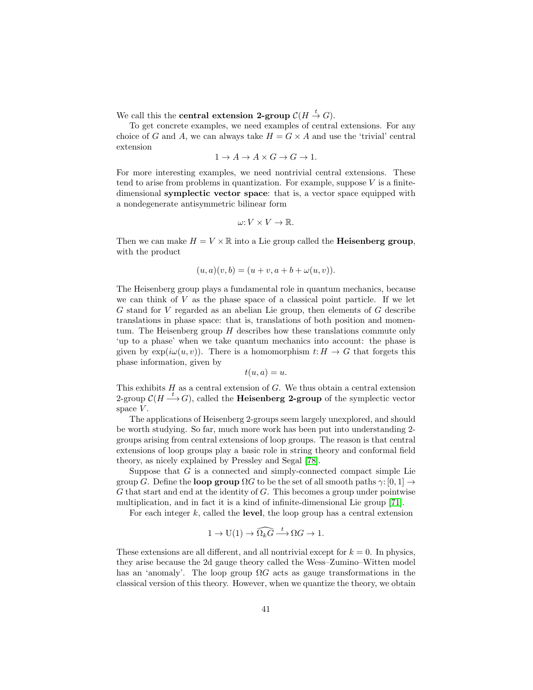We call this the **central extension 2-group**  $\mathcal{C}(H \stackrel{t}{\to} G)$ .

To get concrete examples, we need examples of central extensions. For any choice of G and A, we can always take  $H = G \times A$  and use the 'trivial' central extension

$$
1 \to A \to A \times G \to G \to 1.
$$

For more interesting examples, we need nontrivial central extensions. These tend to arise from problems in quantization. For example, suppose  $V$  is a finitedimensional symplectic vector space: that is, a vector space equipped with a nondegenerate antisymmetric bilinear form

$$
\omega: V \times V \to \mathbb{R}.
$$

Then we can make  $H = V \times \mathbb{R}$  into a Lie group called the **Heisenberg group**, with the product

$$
(u, a)(v, b) = (u + v, a + b + \omega(u, v)).
$$

The Heisenberg group plays a fundamental role in quantum mechanics, because we can think of  $V$  as the phase space of a classical point particle. If we let G stand for V regarded as an abelian Lie group, then elements of G describe translations in phase space: that is, translations of both position and momentum. The Heisenberg group  $H$  describes how these translations commute only 'up to a phase' when we take quantum mechanics into account: the phase is given by  $\exp(i\omega(u, v))$ . There is a homomorphism  $t: H \to G$  that forgets this phase information, given by

$$
t(u,a)=u.
$$

This exhibits  $H$  as a central extension of  $G$ . We thus obtain a central extension 2-group  $\mathcal{C}(H \stackrel{t}{\longrightarrow} G)$ , called the **Heisenberg 2-group** of the symplectic vector space  $V$ .

The applications of Heisenberg 2-groups seem largely unexplored, and should be worth studying. So far, much more work has been put into understanding 2 groups arising from central extensions of loop groups. The reason is that central extensions of loop groups play a basic role in string theory and conformal field theory, as nicely explained by Pressley and Segal [\[78\]](#page-58-9).

Suppose that  $G$  is a connected and simply-connected compact simple Lie group G. Define the **loop group**  $\Omega G$  to be the set of all smooth paths  $\gamma: [0, 1] \rightarrow$ G that start and end at the identity of G. This becomes a group under pointwise multiplication, and in fact it is a kind of infinite-dimensional Lie group [\[71\]](#page-58-10).

For each integer  $k$ , called the **level**, the loop group has a central extension

$$
1 \to \mathrm{U}(1) \to \widehat{\Omega_k G} \xrightarrow{t} \Omega G \to 1.
$$

These extensions are all different, and all nontrivial except for  $k = 0$ . In physics, they arise because the 2d gauge theory called the Wess–Zumino–Witten model has an 'anomaly'. The loop group  $\Omega G$  acts as gauge transformations in the classical version of this theory. However, when we quantize the theory, we obtain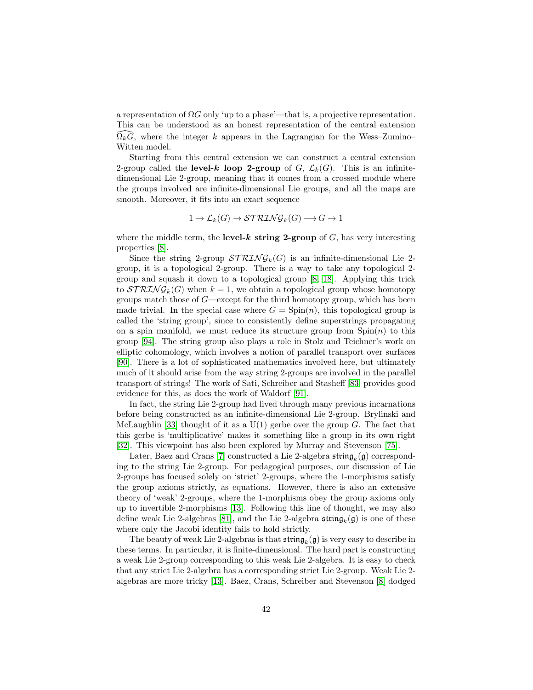a representation of  $\Omega G$  only 'up to a phase'—that is, a projective representation. This can be understood as an honest representation of the central extension  $\Omega_k\tilde{G}$ , where the integer k appears in the Lagrangian for the Wess–Zumino– Witten model.

Starting from this central extension we can construct a central extension 2-group called the **level-k loop 2-group** of G,  $\mathcal{L}_k(G)$ . This is an infinitedimensional Lie 2-group, meaning that it comes from a crossed module where the groups involved are infinite-dimensional Lie groups, and all the maps are smooth. Moreover, it fits into an exact sequence

$$
1 \to \mathcal{L}_k(G) \to \mathcal{STRLNG}_k(G) \longrightarrow G \to 1
$$

where the middle term, the level- $k$  string 2-group of  $G$ , has very interesting properties [\[8\]](#page-54-10).

Since the string 2-group  $\mathcal{STRLNG}_k(G)$  is an infinite-dimensional Lie 2group, it is a topological 2-group. There is a way to take any topological 2 group and squash it down to a topological group [\[8,](#page-54-10) [18\]](#page-54-11). Applying this trick to  $\mathcal{STRLNG}_k(G)$  when  $k = 1$ , we obtain a topological group whose homotopy groups match those of G—except for the third homotopy group, which has been made trivial. In the special case where  $G = \text{Spin}(n)$ , this topological group is called the 'string group', since to consistently define superstrings propagating on a spin manifold, we must reduce its structure group from  $\text{Spin}(n)$  to this group [\[94\]](#page-59-8). The string group also plays a role in Stolz and Teichner's work on elliptic cohomology, which involves a notion of parallel transport over surfaces [\[90\]](#page-59-9). There is a lot of sophisticated mathematics involved here, but ultimately much of it should arise from the way string 2-groups are involved in the parallel transport of strings! The work of Sati, Schreiber and Stasheff [\[83\]](#page-59-1) provides good evidence for this, as does the work of Waldorf [\[91\]](#page-59-10).

In fact, the string Lie 2-group had lived through many previous incarnations before being constructed as an infinite-dimensional Lie 2-group. Brylinski and McLaughlin [\[33\]](#page-55-11) thought of it as a  $U(1)$  gerbe over the group G. The fact that this gerbe is 'multiplicative' makes it something like a group in its own right [\[32\]](#page-55-12). This viewpoint has also been explored by Murray and Stevenson [\[75\]](#page-58-11).

Later, Baez and Crans [\[7\]](#page-53-1) constructed a Lie 2-algebra  $\mathfrak{string}_k(\mathfrak{g})$  corresponding to the string Lie 2-group. For pedagogical purposes, our discussion of Lie 2-groups has focused solely on 'strict' 2-groups, where the 1-morphisms satisfy the group axioms strictly, as equations. However, there is also an extensive theory of 'weak' 2-groups, where the 1-morphisms obey the group axioms only up to invertible 2-morphisms [\[13\]](#page-54-3). Following this line of thought, we may also define weak Lie 2-algebras [\[81\]](#page-59-11), and the Lie 2-algebra  $\mathfrak{string}_k(\mathfrak{g})$  is one of these where only the Jacobi identity fails to hold strictly.

The beauty of weak Lie 2-algebras is that  $\mathfrak{string}_k(\mathfrak{g})$  is very easy to describe in these terms. In particular, it is finite-dimensional. The hard part is constructing a weak Lie 2-group corresponding to this weak Lie 2-algebra. It is easy to check that any strict Lie 2-algebra has a corresponding strict Lie 2-group. Weak Lie 2 algebras are more tricky [\[13\]](#page-54-3). Baez, Crans, Schreiber and Stevenson [\[8\]](#page-54-10) dodged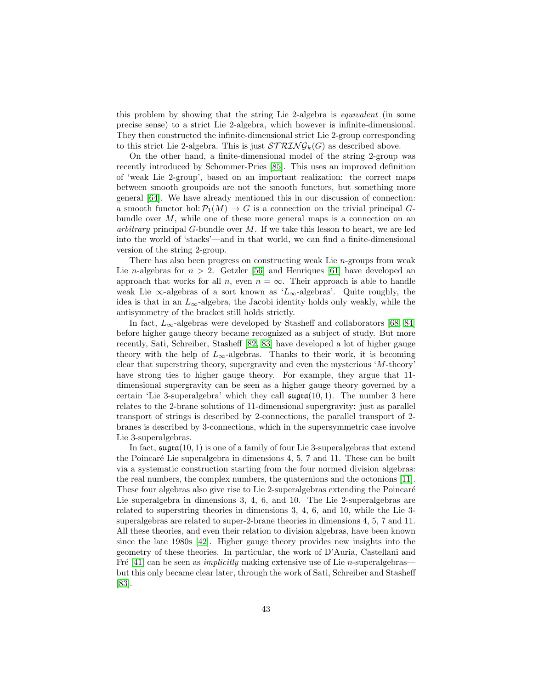this problem by showing that the string Lie 2-algebra is equivalent (in some precise sense) to a strict Lie 2-algebra, which however is infinite-dimensional. They then constructed the infinite-dimensional strict Lie 2-group corresponding to this strict Lie 2-algebra. This is just  $\mathcal{STRLNG}_k(G)$  as described above.

On the other hand, a finite-dimensional model of the string 2-group was recently introduced by Schommer-Pries [\[85\]](#page-59-12). This uses an improved definition of 'weak Lie 2-group', based on an important realization: the correct maps between smooth groupoids are not the smooth functors, but something more general [\[64\]](#page-57-10). We have already mentioned this in our discussion of connection: a smooth functor hol:  $\mathcal{P}_1(M) \to G$  is a connection on the trivial principal Gbundle over  $M$ , while one of these more general maps is a connection on an arbitrary principal G-bundle over  $M$ . If we take this lesson to heart, we are led into the world of 'stacks'—and in that world, we can find a finite-dimensional version of the string 2-group.

There has also been progress on constructing weak Lie  $n$ -groups from weak Lie *n*-algebras for  $n > 2$ . Getzler [\[56\]](#page-57-11) and Henriques [\[61\]](#page-57-12) have developed an approach that works for all n, even  $n = \infty$ . Their approach is able to handle weak Lie  $\infty$ -algebras of a sort known as 'L<sub>∞</sub>-algebras'. Quite roughly, the idea is that in an  $L_{\infty}$ -algebra, the Jacobi identity holds only weakly, while the antisymmetry of the bracket still holds strictly.

In fact,  $L_{\infty}$ -algebras were developed by Stasheff and collaborators [\[68,](#page-58-12) [84\]](#page-59-13) before higher gauge theory became recognized as a subject of study. But more recently, Sati, Schreiber, Stasheff [\[82,](#page-59-0) [83\]](#page-59-1) have developed a lot of higher gauge theory with the help of  $L_{\infty}$ -algebras. Thanks to their work, it is becoming clear that superstring theory, supergravity and even the mysterious 'M-theory' have strong ties to higher gauge theory. For example, they argue that 11 dimensional supergravity can be seen as a higher gauge theory governed by a certain 'Lie 3-superalgebra' which they call  $\text{augra}(10, 1)$ . The number 3 here relates to the 2-brane solutions of 11-dimensional supergravity: just as parallel transport of strings is described by 2-connections, the parallel transport of 2 branes is described by 3-connections, which in the supersymmetric case involve Lie 3-superalgebras.

In fact,  $\mathfrak{su}\mathfrak{g}\mathfrak{r}\mathfrak{a}(10,1)$  is one of a family of four Lie 3-superalgebras that extend the Poincaré Lie superalgebra in dimensions  $4, 5, 7$  and  $11$ . These can be built via a systematic construction starting from the four normed division algebras: the real numbers, the complex numbers, the quaternions and the octonions [\[11\]](#page-54-12). These four algebras also give rise to Lie 2-superalgebras extending the Poincaré Lie superalgebra in dimensions 3, 4, 6, and 10. The Lie 2-superalgebras are related to superstring theories in dimensions 3, 4, 6, and 10, while the Lie 3 superalgebras are related to super-2-brane theories in dimensions 4, 5, 7 and 11. All these theories, and even their relation to division algebras, have been known since the late 1980s [\[42\]](#page-56-10). Higher gauge theory provides new insights into the geometry of these theories. In particular, the work of D'Auria, Castellani and Fré [\[41\]](#page-56-11) can be seen as *implicitly* making extensive use of Lie *n*-superalgebrasbut this only became clear later, through the work of Sati, Schreiber and Stasheff [\[83\]](#page-59-1).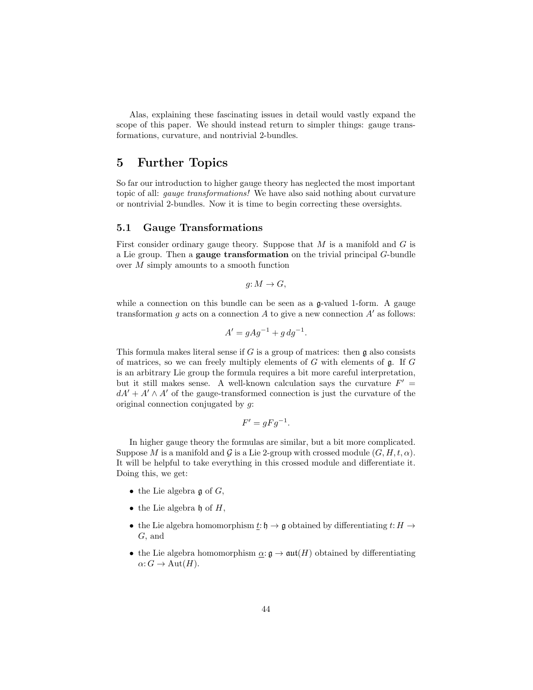Alas, explaining these fascinating issues in detail would vastly expand the scope of this paper. We should instead return to simpler things: gauge transformations, curvature, and nontrivial 2-bundles.

# <span id="page-43-0"></span>5 Further Topics

So far our introduction to higher gauge theory has neglected the most important topic of all: gauge transformations! We have also said nothing about curvature or nontrivial 2-bundles. Now it is time to begin correcting these oversights.

### <span id="page-43-1"></span>5.1 Gauge Transformations

First consider ordinary gauge theory. Suppose that  $M$  is a manifold and  $G$  is a Lie group. Then a gauge transformation on the trivial principal G-bundle over M simply amounts to a smooth function

$$
g: M \to G,
$$

while a connection on this bundle can be seen as a g-valued 1-form. A gauge transformation g acts on a connection A to give a new connection  $A'$  as follows:

$$
A' = gAg^{-1} + g\,dg^{-1}.
$$

This formula makes literal sense if  $G$  is a group of matrices: then  $\mathfrak g$  also consists of matrices, so we can freely multiply elements of  $G$  with elements of  $\mathfrak{g}$ . If  $G$ is an arbitrary Lie group the formula requires a bit more careful interpretation, but it still makes sense. A well-known calculation says the curvature  $F' =$  $dA' + A' \wedge A'$  of the gauge-transformed connection is just the curvature of the original connection conjugated by g:

$$
F' = gFg^{-1}.
$$

In higher gauge theory the formulas are similar, but a bit more complicated. Suppose M is a manifold and G is a Lie 2-group with crossed module  $(G, H, t, \alpha)$ . It will be helpful to take everything in this crossed module and differentiate it. Doing this, we get:

- the Lie algebra  $\mathfrak g$  of  $G$ ,
- the Lie algebra  $\mathfrak h$  of  $H$ ,
- the Lie algebra homomorphism  $\underline{t}:\mathfrak{h}\to\mathfrak{g}$  obtained by differentiating  $t:H\to$ G, and
- the Lie algebra homomorphism  $\underline{\alpha} : \mathfrak{g} \to \mathfrak{aut}(H)$  obtained by differentiating  $\alpha: G \to \text{Aut}(H)$ .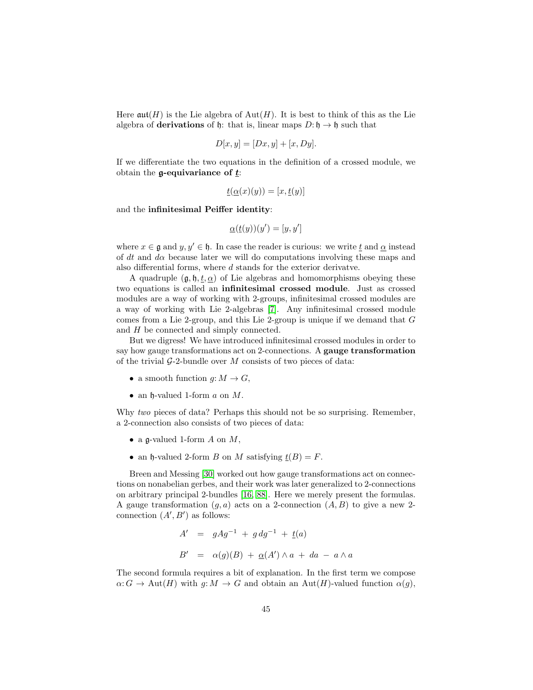Here  $\mathfrak{aut}(H)$  is the Lie algebra of Aut $(H)$ . It is best to think of this as the Lie algebra of **derivations** of  $\mathfrak{h}$ : that is, linear maps  $D: \mathfrak{h} \to \mathfrak{h}$  such that

$$
D[x, y] = [Dx, y] + [x, Dy].
$$

If we differentiate the two equations in the definition of a crossed module, we obtain the g-equivariance of  $t$ :

$$
\underline{t}(\underline{\alpha}(x)(y)) = [x, \underline{t}(y)]
$$

and the infinitesimal Peiffer identity:

$$
\underline{\alpha}(\underline{t}(y))(y') = [y, y']
$$

where  $x \in \mathfrak{g}$  and  $y, y' \in \mathfrak{h}$ . In case the reader is curious: we write t and  $\alpha$  instead of dt and  $d\alpha$  because later we will do computations involving these maps and also differential forms, where d stands for the exterior derivatve.

A quadruple  $(\mathfrak{g}, \mathfrak{h}, \underline{t}, \underline{\alpha})$  of Lie algebras and homomorphisms obeying these two equations is called an infinitesimal crossed module. Just as crossed modules are a way of working with 2-groups, infinitesimal crossed modules are a way of working with Lie 2-algebras [\[7\]](#page-53-1). Any infinitesimal crossed module comes from a Lie 2-group, and this Lie 2-group is unique if we demand that  $G$ and  $H$  be connected and simply connected.

But we digress! We have introduced infinitesimal crossed modules in order to say how gauge transformations act on 2-connections. A gauge transformation of the trivial  $\mathcal{G}$ -2-bundle over M consists of two pieces of data:

- a smooth function  $g: M \to G$ ,
- an  $\mathfrak h$ -valued 1-form  $a$  on  $M$ .

Why two pieces of data? Perhaps this should not be so surprising. Remember, a 2-connection also consists of two pieces of data:

- a g-valued 1-form  $A$  on  $M$ ,
- an  $\mathfrak h$ -valued 2-form B on M satisfying  $t(B) = F$ .

Breen and Messing [\[30\]](#page-55-2) worked out how gauge transformations act on connections on nonabelian gerbes, and their work was later generalized to 2-connections on arbitrary principal 2-bundles [\[16,](#page-54-1) [88\]](#page-59-4). Here we merely present the formulas. A gauge transformation  $(q, a)$  acts on a 2-connection  $(A, B)$  to give a new 2connection  $(A', B')$  as follows:

$$
A' = gAg^{-1} + g dg^{-1} + \underline{t}(a)
$$
  

$$
B' = \alpha(g)(B) + \underline{\alpha}(A') \wedge a + da - a \wedge a
$$

The second formula requires a bit of explanation. In the first term we compose  $\alpha: G \to \text{Aut}(H)$  with  $g: M \to G$  and obtain an Aut $(H)$ -valued function  $\alpha(g)$ ,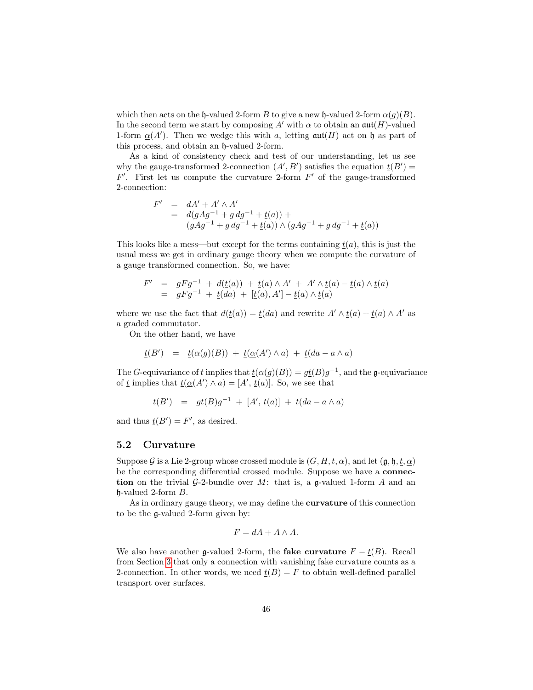which then acts on the h-valued 2-form B to give a new h-valued 2-form  $\alpha(g)(B)$ . In the second term we start by composing A' with  $\alpha$  to obtain an aut(H)-valued 1-form  $\underline{\alpha}(A')$ . Then we wedge this with a, letting  $\operatorname{aut}(H)$  act on h as part of this process, and obtain an h-valued 2-form.

As a kind of consistency check and test of our understanding, let us see why the gauge-transformed 2-connection  $(A', B')$  satisfies the equation  $\underline{t}(B') =$  $F'$ . First let us compute the curvature 2-form  $F'$  of the gauge-transformed 2-connection:

$$
F' = dA' + A' \wedge A'
$$
  
=  $d(gAg^{-1} + g dg^{-1} + t(a)) +$   
 $(gAg^{-1} + g dg^{-1} + t(a)) \wedge (gAg^{-1} + g dg^{-1} + t(a))$ 

This looks like a mess—but except for the terms containing  $t(a)$ , this is just the usual mess we get in ordinary gauge theory when we compute the curvature of a gauge transformed connection. So, we have:

$$
F' = gFg^{-1} + d(\underline{t}(a)) + \underline{t}(a) \wedge A' + A' \wedge \underline{t}(a) - \underline{t}(a) \wedge \underline{t}(a)
$$
  
=  $gFg^{-1} + \underline{t}(da) + [\underline{t}(a), A'] - \underline{t}(a) \wedge \underline{t}(a)$ 

where we use the fact that  $d(\underline{t}(a)) = \underline{t}(da)$  and rewrite  $A' \wedge \underline{t}(a) + \underline{t}(a) \wedge A'$  as a graded commutator.

On the other hand, we have

$$
\underline{t}(B') = \underline{t}(\alpha(g)(B)) + \underline{t}(\underline{\alpha}(A') \wedge a) + \underline{t}(da - a \wedge a)
$$

The G-equivariance of t implies that  $\underline{t}(\alpha(g)(B)) = g\underline{t}(B)g^{-1}$ , and the g-equivariance of t implies that  $\underline{t}(\underline{\alpha}(A') \wedge a) = [A', \underline{t}(a)]$ . So, we see that

$$
\underline{t}(B') = g\underline{t}(B)g^{-1} + [A', \underline{t}(a)] + \underline{t}(da - a \wedge a)
$$

and thus  $\underline{t}(B') = F'$ , as desired.

# 5.2 Curvature

Suppose G is a Lie 2-group whose crossed module is  $(G, H, t, \alpha)$ , and let  $(\mathfrak{g}, \mathfrak{h}, t, \alpha)$ be the corresponding differential crossed module. Suppose we have a connection on the trivial G-2-bundle over M: that is, a g-valued 1-form A and an h-valued 2-form B.

As in ordinary gauge theory, we may define the **curvature** of this connection to be the g-valued 2-form given by:

$$
F = dA + A \wedge A.
$$

We also have another g-valued 2-form, the **fake curvature**  $F - t(B)$ . Recall from Section [3](#page-10-0) that only a connection with vanishing fake curvature counts as a 2-connection. In other words, we need  $t(B) = F$  to obtain well-defined parallel transport over surfaces.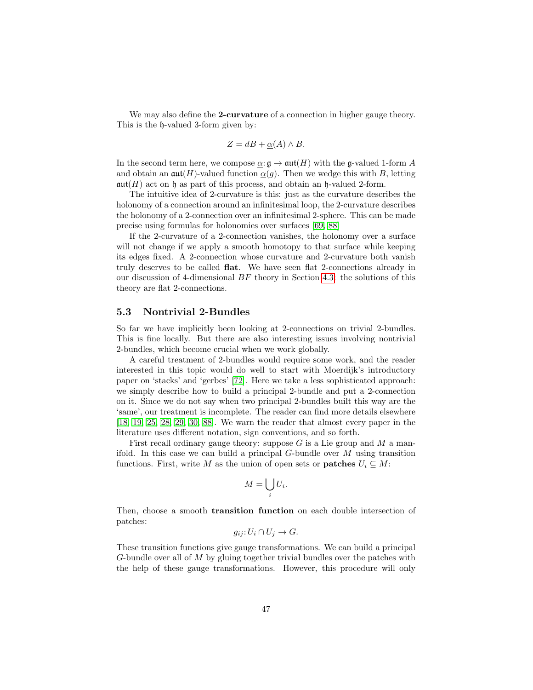We may also define the 2-curvature of a connection in higher gauge theory. This is the  $\mathfrak h$ -valued 3-form given by:

$$
Z = dB + \underline{\alpha}(A) \wedge B.
$$

In the second term here, we compose  $\underline{\alpha}$ :  $\mathfrak{g} \to \mathfrak{aut}(H)$  with the g-valued 1-form A and obtain an  $\operatorname{\mathfrak{aut}}(H)$ -valued function  $\underline{\alpha}(g)$ . Then we wedge this with B, letting  $\mathfrak{aut}(H)$  act on  $\mathfrak h$  as part of this process, and obtain an  $\mathfrak h$ -valued 2-form.

The intuitive idea of 2-curvature is this: just as the curvature describes the holonomy of a connection around an infinitesimal loop, the 2-curvature describes the holonomy of a 2-connection over an infinitesimal 2-sphere. This can be made precise using formulas for holonomies over surfaces [\[69,](#page-58-1) [88\]](#page-59-4)

If the 2-curvature of a 2-connection vanishes, the holonomy over a surface will not change if we apply a smooth homotopy to that surface while keeping its edges fixed. A 2-connection whose curvature and 2-curvature both vanish truly deserves to be called flat. We have seen flat 2-connections already in our discussion of 4-dimensional  $BF$  theory in Section [4.3:](#page-32-0) the solutions of this theory are flat 2-connections.

#### 5.3 Nontrivial 2-Bundles

So far we have implicitly been looking at 2-connections on trivial 2-bundles. This is fine locally. But there are also interesting issues involving nontrivial 2-bundles, which become crucial when we work globally.

A careful treatment of 2-bundles would require some work, and the reader interested in this topic would do well to start with Moerdijk's introductory paper on 'stacks' and 'gerbes' [\[72\]](#page-58-13). Here we take a less sophisticated approach: we simply describe how to build a principal 2-bundle and put a 2-connection on it. Since we do not say when two principal 2-bundles built this way are the 'same', our treatment is incomplete. The reader can find more details elsewhere [\[18,](#page-54-11) [19,](#page-54-13) [25,](#page-55-0) [28,](#page-55-10) [29,](#page-55-1) [30,](#page-55-2) [88\]](#page-59-4). We warn the reader that almost every paper in the literature uses different notation, sign conventions, and so forth.

First recall ordinary gauge theory: suppose  $G$  is a Lie group and  $M$  a manifold. In this case we can build a principal  $G$ -bundle over  $M$  using transition functions. First, write M as the union of open sets or **patches**  $U_i \subseteq M$ :

$$
M = \bigcup_i U_i.
$$

Then, choose a smooth transition function on each double intersection of patches:

$$
g_{ij}: U_i \cap U_j \to G.
$$

These transition functions give gauge transformations. We can build a principal G-bundle over all of M by gluing together trivial bundles over the patches with the help of these gauge transformations. However, this procedure will only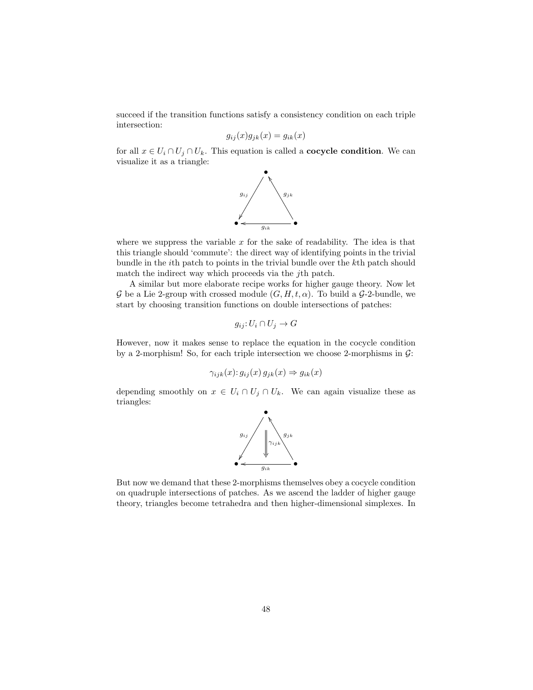succeed if the transition functions satisfy a consistency condition on each triple intersection:

$$
g_{ij}(x)g_{jk}(x) = g_{ik}(x)
$$

for all  $x \in U_i \cap U_j \cap U_k$ . This equation is called a **cocycle condition**. We can visualize it as a triangle:



where we suppress the variable  $x$  for the sake of readability. The idea is that this triangle should 'commute': the direct way of identifying points in the trivial bundle in the ith patch to points in the trivial bundle over the kth patch should match the indirect way which proceeds via the jth patch.

A similar but more elaborate recipe works for higher gauge theory. Now let G be a Lie 2-group with crossed module  $(G, H, t, \alpha)$ . To build a G-2-bundle, we start by choosing transition functions on double intersections of patches:

$$
g_{ij}: U_i \cap U_j \to G
$$

However, now it makes sense to replace the equation in the cocycle condition by a 2-morphism! So, for each triple intersection we choose 2-morphisms in  $\mathcal{G}$ :

$$
\gamma_{ijk}(x) \colon g_{ij}(x) \, g_{jk}(x) \Rightarrow g_{ik}(x)
$$

depending smoothly on  $x \in U_i \cap U_j \cap U_k$ . We can again visualize these as triangles:



But now we demand that these 2-morphisms themselves obey a cocycle condition on quadruple intersections of patches. As we ascend the ladder of higher gauge theory, triangles become tetrahedra and then higher-dimensional simplexes. In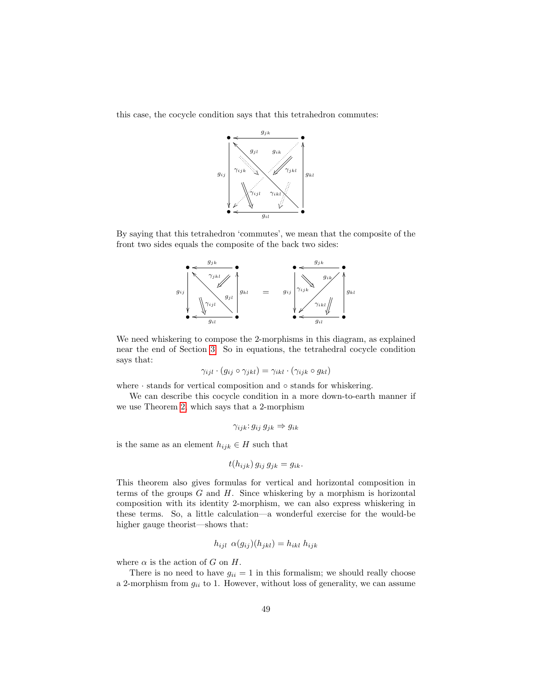this case, the cocycle condition says that this tetrahedron commutes:



By saying that this tetrahedron 'commutes', we mean that the composite of the front two sides equals the composite of the back two sides:



We need whiskering to compose the 2-morphisms in this diagram, as explained near the end of Section [3.](#page-10-0) So in equations, the tetrahedral cocycle condition says that:

$$
\gamma_{ijl} \cdot (g_{ij} \circ \gamma_{jkl}) = \gamma_{ikl} \cdot (\gamma_{ijk} \circ g_{kl})
$$

where  $\cdot$  stands for vertical composition and  $\circ$  stands for whiskering.

We can describe this cocycle condition in a more down-to-earth manner if we use Theorem [2,](#page-19-0) which says that a 2-morphism

$$
\gamma_{ijk}: g_{ij} g_{jk} \Rightarrow g_{ik}
$$

is the same as an element  $h_{ijk} \in H$  such that

$$
t(h_{ijk}) g_{ij} g_{jk} = g_{ik}.
$$

This theorem also gives formulas for vertical and horizontal composition in terms of the groups  $G$  and  $H$ . Since whiskering by a morphism is horizontal composition with its identity 2-morphism, we can also express whiskering in these terms. So, a little calculation—a wonderful exercise for the would-be higher gauge theorist—shows that:

$$
h_{ijl} \alpha(g_{ij})(h_{jkl}) = h_{ikl} h_{ijk}
$$

where  $\alpha$  is the action of G on H.

There is no need to have  $g_{ii} = 1$  in this formalism; we should really choose a 2-morphism from  $g_{ii}$  to 1. However, without loss of generality, we can assume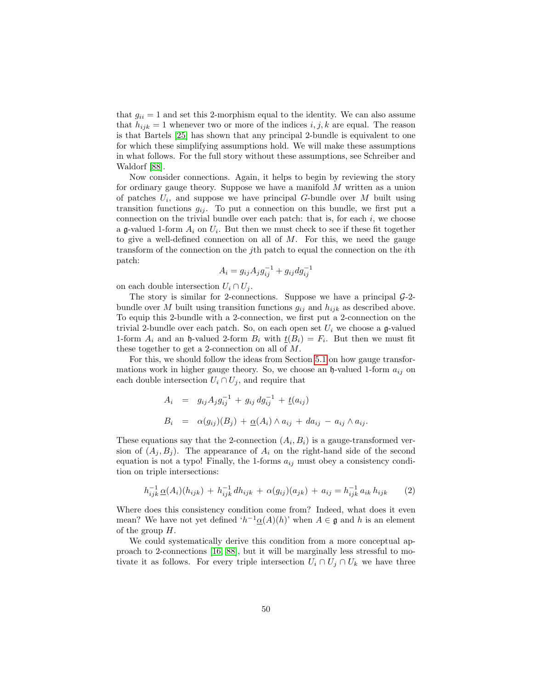that  $g_{ii} = 1$  and set this 2-morphism equal to the identity. We can also assume that  $h_{ijk} = 1$  whenever two or more of the indices  $i, j, k$  are equal. The reason is that Bartels [\[25\]](#page-55-0) has shown that any principal 2-bundle is equivalent to one for which these simplifying assumptions hold. We will make these assumptions in what follows. For the full story without these assumptions, see Schreiber and Waldorf [\[88\]](#page-59-4).

Now consider connections. Again, it helps to begin by reviewing the story for ordinary gauge theory. Suppose we have a manifold M written as a union of patches  $U_i$ , and suppose we have principal G-bundle over M built using transition functions  $g_{ij}$ . To put a connection on this bundle, we first put a connection on the trivial bundle over each patch: that is, for each  $i$ , we choose a  $\mathfrak g$ -valued 1-form  $A_i$  on  $U_i$ . But then we must check to see if these fit together to give a well-defined connection on all of  $M$ . For this, we need the gauge transform of the connection on the  $i$ th patch to equal the connection on the  $i$ th patch:

$$
A_i = g_{ij} A_j g_{ij}^{-1} + g_{ij} dg_{ij}^{-1}
$$

on each double intersection  $U_i \cap U_j$ .

The story is similar for 2-connections. Suppose we have a principal  $\mathcal{G}-2$ bundle over M built using transition functions  $g_{ij}$  and  $h_{ijk}$  as described above. To equip this 2-bundle with a 2-connection, we first put a 2-connection on the trivial 2-bundle over each patch. So, on each open set  $U_i$  we choose a g-valued 1-form  $A_i$  and an h-valued 2-form  $B_i$  with  $\underline{t}(B_i) = F_i$ . But then we must fit these together to get a 2-connection on all of M.

For this, we should follow the ideas from Section [5.1](#page-43-1) on how gauge transformations work in higher gauge theory. So, we choose an  $\mathfrak{h}\text{-valued}} 1$ -form  $a_{ij}$  on each double intersection  $U_i \cap U_j$ , and require that

$$
A_i = g_{ij} A_j g_{ij}^{-1} + g_{ij} dg_{ij}^{-1} + \underline{t}(a_{ij})
$$
  
\n
$$
B_i = \alpha(g_{ij})(B_j) + \underline{\alpha}(A_i) \wedge a_{ij} + da_{ij} - a_{ij} \wedge a_{ij}.
$$

These equations say that the 2-connection  $(A_i, B_i)$  is a gauge-transformed version of  $(A_i, B_i)$ . The appearance of  $A_i$  on the right-hand side of the second equation is not a typo! Finally, the 1-forms  $a_{ij}$  must obey a consistency condition on triple intersections:

<span id="page-49-0"></span>
$$
h_{ijk}^{-1} \underline{\alpha}(A_i)(h_{ijk}) + h_{ijk}^{-1} dh_{ijk} + \alpha(g_{ij})(a_{jk}) + a_{ij} = h_{ijk}^{-1} a_{ik} h_{ijk}
$$
 (2)

Where does this consistency condition come from? Indeed, what does it even mean? We have not yet defined ' $h^{-1}(\underline{\alpha}(A)(h))$ ' when  $A \in \mathfrak{g}$  and h is an element of the group  $H$ .

We could systematically derive this condition from a more conceptual approach to 2-connections [\[16,](#page-54-1) [88\]](#page-59-4), but it will be marginally less stressful to motivate it as follows. For every triple intersection  $U_i \cap U_j \cap U_k$  we have three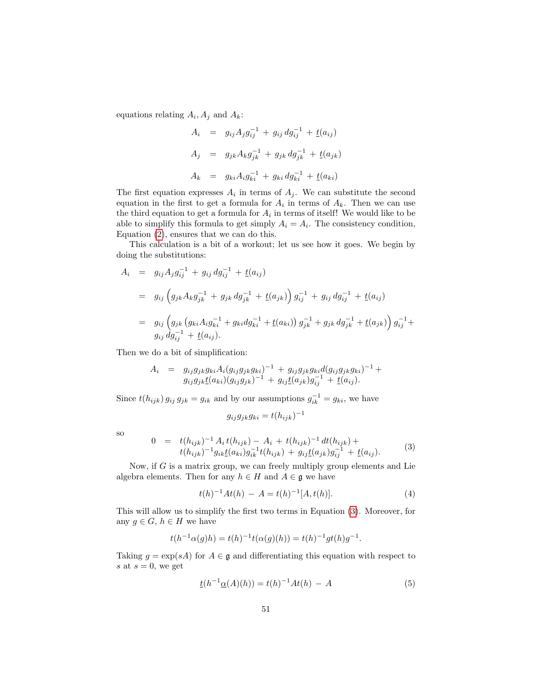equations relating  $A_i$ ,  $A_j$  and  $A_k$ :

$$
A_i = g_{ij} A_j g_{ij}^{-1} + g_{ij} dg_{ij}^{-1} + \underline{t}(a_{ij})
$$
  
\n
$$
A_j = g_{jk} A_k g_{jk}^{-1} + g_{jk} dg_{jk}^{-1} + \underline{t}(a_{jk})
$$
  
\n
$$
A_k = g_{ki} A_i g_{ki}^{-1} + g_{ki} dg_{ki}^{-1} + \underline{t}(a_{ki})
$$

The first equation expresses  $A_i$  in terms of  $A_j$ . We can substitute the second equation in the first to get a formula for  $A_i$  in terms of  $A_k$ . Then we can use the third equation to get a formula for  $A_i$  in terms of itself! We would like to be able to simplify this formula to get simply  $A_i = A_i$ . The consistency condition, Equation [\(2\)](#page-49-0), ensures that we can do this.

This calculation is a bit of a workout; let us see how it goes. We begin by doing the substitutions:

$$
A_i = g_{ij} A_j g_{ij}^{-1} + g_{ij} dg_{ij}^{-1} + \underline{t}(a_{ij})
$$
  
\n
$$
= g_{ij} \left( g_{jk} A_k g_{jk}^{-1} + g_{jk} dg_{jk}^{-1} + \underline{t}(a_{jk}) \right) g_{ij}^{-1} + g_{ij} dg_{ij}^{-1} + \underline{t}(a_{ij})
$$
  
\n
$$
= g_{ij} \left( g_{jk} \left( g_{ki} A_i g_{ki}^{-1} + g_{ki} dg_{ki}^{-1} + \underline{t}(a_{ki}) \right) g_{jk}^{-1} + g_{jk} dg_{jk}^{-1} + \underline{t}(a_{jk}) \right) g_{ij}^{-1} + g_{ij} dg_{ij}^{-1} + \underline{t}(a_{ij}).
$$

Then we do a bit of simplification:

$$
A_i = g_{ij}g_{jk}g_{ki}A_i(g_{ij}g_{jk}g_{ki})^{-1} + g_{ij}g_{jk}g_{ki}d(g_{ij}g_{jk}g_{ki})^{-1} + g_{ij}g_{jk}\underline{t}(a_{ki})(g_{ij}g_{jk})^{-1} + g_{ij}\underline{t}(a_{jk})g_{ij}^{-1} + \underline{t}(a_{ij}).
$$

Since  $t(h_{ijk}) g_{ij} g_{jk} = g_{ik}$  and by our assumptions  $g_{ik}^{-1} = g_{ki}$ , we have

$$
g_{ij}g_{jk}g_{ki} = t(h_{ijk})^{-1}
$$

so

<span id="page-50-0"></span>
$$
0 = t(h_{ijk})^{-1} A_i t(h_{ijk}) - A_i + t(h_{ijk})^{-1} dt(h_{ijk}) +\nt(h_{ijk})^{-1} g_{ik} t(a_{ki}) g_{ik}^{-1} t(h_{ijk}) + g_{ij} t(a_{jk}) g_{ij}^{-1} + t(a_{ij}).
$$
\n(3)

Now, if  $G$  is a matrix group, we can freely multiply group elements and Lie algebra elements. Then for any  $h \in H$  and  $A \in \mathfrak{g}$  we have

<span id="page-50-1"></span>
$$
t(h)^{-1}At(h) - A = t(h)^{-1}[A, t(h)].
$$
\n(4)

This will allow us to simplify the first two terms in Equation [\(3\)](#page-50-0). Moreover, for any  $g \in G$ ,  $h \in H$  we have

$$
t(h^{-1}\alpha(g)h) = t(h)^{-1}t(\alpha(g)(h)) = t(h)^{-1}gt(h)g^{-1}.
$$

Taking  $g = \exp(sA)$  for  $A \in \mathfrak{g}$  and differentiating this equation with respect to s at  $s = 0$ , we get

<span id="page-50-2"></span>
$$
\underline{t}(h^{-1}\underline{\alpha}(A)(h)) = t(h)^{-1}At(h) - A \tag{5}
$$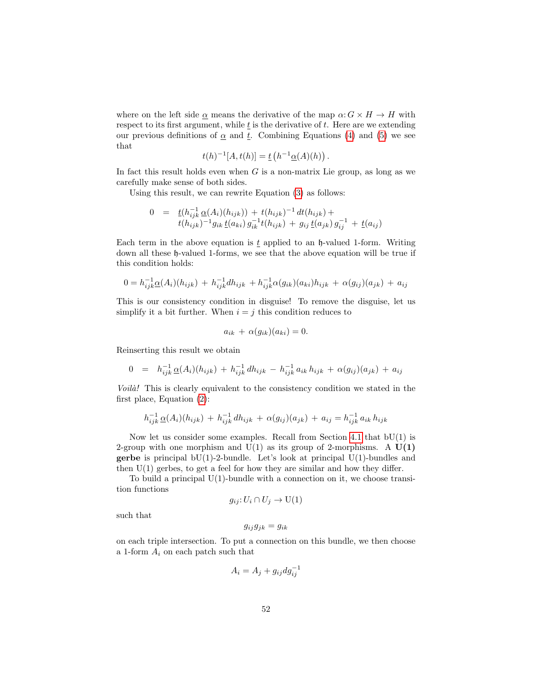where on the left side  $\underline{\alpha}$  means the derivative of the map  $\alpha: G \times H \to H$  with respect to its first argument, while  $\underline{t}$  is the derivative of  $t$ . Here are we extending our previous definitions of  $\underline{\alpha}$  and  $\underline{t}$ . Combining Equations [\(4\)](#page-50-1) and [\(5\)](#page-50-2) we see that

$$
t(h)^{-1}[A, t(h)] = \underline{t} \left( h^{-1} \underline{\alpha}(A)(h) \right).
$$

In fact this result holds even when  $G$  is a non-matrix Lie group, as long as we carefully make sense of both sides.

Using this result, we can rewrite Equation [\(3\)](#page-50-0) as follows:

$$
0 = \frac{t(h_{ijk}^{-1} \alpha(A_i)(h_{ijk})) + t(h_{ijk})^{-1} dt(h_{ijk}) +
$$
  

$$
t(h_{ijk})^{-1} g_{ik} t(a_{ki}) g_{ik}^{-1} t(h_{ijk}) + g_{ij} t(a_{jk}) g_{ij}^{-1} + t(a_{ij})
$$

Each term in the above equation is  $\underline{t}$  applied to an h-valued 1-form. Writing down all these h-valued 1-forms, we see that the above equation will be true if this condition holds:

$$
0 = h_{ijk}^{-1} \underline{\alpha}(A_i)(h_{ijk}) + h_{ijk}^{-1} dh_{ijk} + h_{ijk}^{-1} \alpha(g_{ik})(a_{ki}) h_{ijk} + \alpha(g_{ij})(a_{jk}) + a_{ij}
$$

This is our consistency condition in disguise! To remove the disguise, let us simplify it a bit further. When  $i = j$  this condition reduces to

$$
a_{ik} + \alpha(g_{ik})(a_{ki}) = 0.
$$

Reinserting this result we obtain

$$
0 = h_{ijk}^{-1} \underline{\alpha}(A_i)(h_{ijk}) + h_{ijk}^{-1} dh_{ijk} - h_{ijk}^{-1} a_{ik} h_{ijk} + \alpha(g_{ij})(a_{jk}) + a_{ij}
$$

Voilà! This is clearly equivalent to the consistency condition we stated in the first place, Equation [\(2\)](#page-49-0):

$$
h_{ijk}^{-1} \underline{\alpha}(A_i)(h_{ijk}) + h_{ijk}^{-1} dh_{ijk} + \alpha(g_{ij})(a_{jk}) + a_{ij} = h_{ijk}^{-1} a_{ik} h_{ijk}
$$

Now let us consider some examples. Recall from Section [4.1](#page-26-1) that bU(1) is 2-group with one morphism and  $U(1)$  as its group of 2-morphisms. A  $U(1)$ **gerbe** is principal  $bU(1)$ -2-bundle. Let's look at principal  $U(1)$ -bundles and then  $U(1)$  gerbes, to get a feel for how they are similar and how they differ.

To build a principal  $U(1)$ -bundle with a connection on it, we choose transition functions

$$
g_{ij}: U_i \cap U_j \to U(1)
$$

such that

$$
g_{ij}g_{jk}=g_{ik}
$$

on each triple intersection. To put a connection on this bundle, we then choose a 1-form  $A_i$  on each patch such that

$$
A_i = A_j + g_{ij} dg_{ij}^{-1}
$$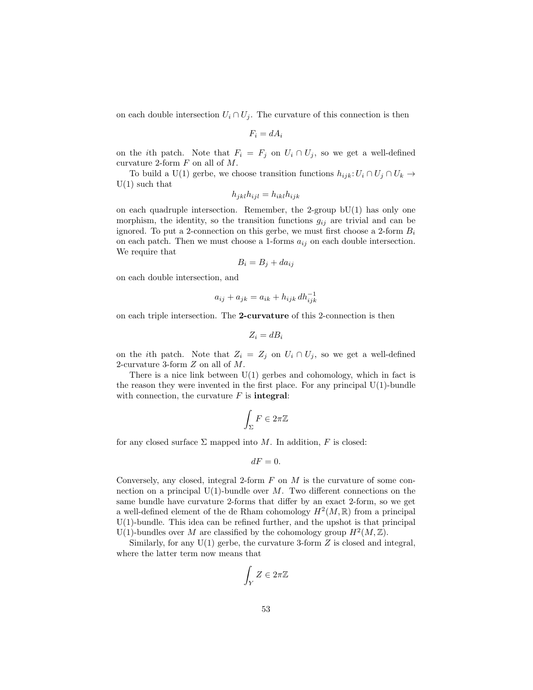on each double intersection  $U_i \cap U_j$ . The curvature of this connection is then

$$
F_i = dA_i
$$

on the *i*th patch. Note that  $F_i = F_j$  on  $U_i \cap U_j$ , so we get a well-defined curvature 2-form  $F$  on all of  $M$ .

To build a U(1) gerbe, we choose transition functions  $h_{iik}: U_i \cap U_j \cap U_k \rightarrow$  $U(1)$  such that

$$
h_{jkl}h_{ijl} = h_{ikl}h_{ijk}
$$

on each quadruple intersection. Remember, the 2-group  $bU(1)$  has only one morphism, the identity, so the transition functions  $g_{ij}$  are trivial and can be ignored. To put a 2-connection on this gerbe, we must first choose a 2-form  $B_i$ on each patch. Then we must choose a 1-forms  $a_{ij}$  on each double intersection. We require that

$$
B_i = B_j + da_{ij}
$$

on each double intersection, and

$$
a_{ij} + a_{jk} = a_{ik} + h_{ijk} \, dh_{ijk}^{-1}
$$

on each triple intersection. The 2-curvature of this 2-connection is then

$$
Z_i = dB_i
$$

on the *i*th patch. Note that  $Z_i = Z_j$  on  $U_i \cap U_j$ , so we get a well-defined 2-curvature 3-form Z on all of M.

There is a nice link between  $U(1)$  gerbes and cohomology, which in fact is the reason they were invented in the first place. For any principal  $U(1)$ -bundle with connection, the curvature  $F$  is **integral**:

$$
\int_\Sigma F\in 2\pi\mathbb{Z}
$$

for any closed surface  $\Sigma$  mapped into M. In addition, F is closed:

$$
dF=0.
$$

Conversely, any closed, integral 2-form  $F$  on  $M$  is the curvature of some connection on a principal  $U(1)$ -bundle over M. Two different connections on the same bundle have curvature 2-forms that differ by an exact 2-form, so we get a well-defined element of the de Rham cohomology  $H^2(M,\mathbb{R})$  from a principal  $U(1)$ -bundle. This idea can be refined further, and the upshot is that principal U(1)-bundles over M are classified by the cohomology group  $H^2(M, \mathbb{Z})$ .

Similarly, for any  $U(1)$  gerbe, the curvature 3-form Z is closed and integral, where the latter term now means that

$$
\int_Y Z \in 2\pi \mathbb{Z}
$$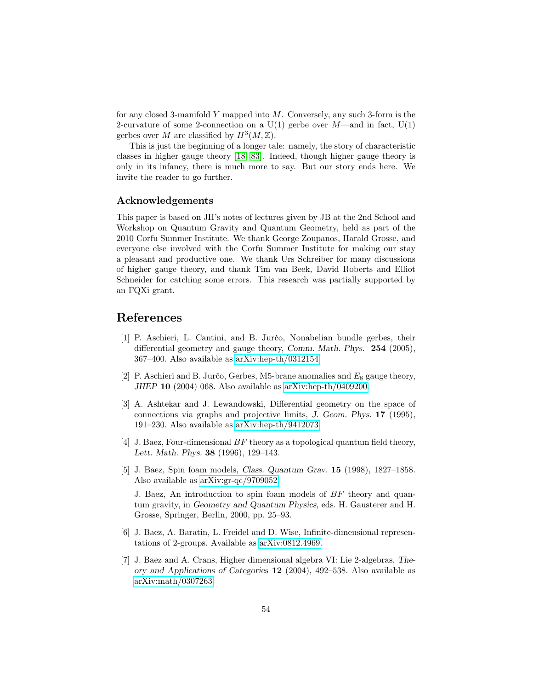for any closed 3-manifold Y mapped into  $M$ . Conversely, any such 3-form is the 2-curvature of some 2-connection on a  $U(1)$  gerbe over M—and in fact,  $U(1)$ gerbes over M are classified by  $H^3(M, \mathbb{Z})$ .

This is just the beginning of a longer tale: namely, the story of characteristic classes in higher gauge theory [\[18,](#page-54-11) [83\]](#page-59-1). Indeed, though higher gauge theory is only in its infancy, there is much more to say. But our story ends here. We invite the reader to go further.

#### Acknowledgements

This paper is based on JH's notes of lectures given by JB at the 2nd School and Workshop on Quantum Gravity and Quantum Geometry, held as part of the 2010 Corfu Summer Institute. We thank George Zoupanos, Harald Grosse, and everyone else involved with the Corfu Summer Institute for making our stay a pleasant and productive one. We thank Urs Schreiber for many discussions of higher gauge theory, and thank Tim van Beek, David Roberts and Elliot Schneider for catching some errors. This research was partially supported by an FQXi grant.

# References

- [1] P. Aschieri, L. Cantini, and B. Jurˇco, Nonabelian bundle gerbes, their differential geometry and gauge theory, Comm. Math. Phys. 254 (2005), 367–400. Also available as [arXiv:hep-th/0312154.](http://arxiv.org/abs/hep-th/0312154)
- [2] P. Aschieri and B. Jurčo, Gerbes, M5-brane anomalies and  $E_8$  gauge theory, JHEP 10 (2004) 068. Also available as [arXiv:hep-th/0409200.](http://arxiv.org/abs/hep-th/0409200)
- <span id="page-53-0"></span>[3] A. Ashtekar and J. Lewandowski, Differential geometry on the space of connections via graphs and projective limits, J. Geom. Phys. 17 (1995), 191–230. Also available as [arXiv:hep-th/9412073.](http://arxiv.org/abs/hep-th/9412073)
- <span id="page-53-4"></span>[4] J. Baez, Four-dimensional  $BF$  theory as a topological quantum field theory, Lett. Math. Phys. 38 (1996), 129–143.
- <span id="page-53-3"></span>[5] J. Baez, Spin foam models, Class. Quantum Grav. 15 (1998), 1827–1858. Also available as [arXiv:gr-qc/9709052.](http://arxiv.org/abs/gr-qc/9709052)

J. Baez, An introduction to spin foam models of BF theory and quantum gravity, in Geometry and Quantum Physics, eds. H. Gausterer and H. Grosse, Springer, Berlin, 2000, pp. 25–93.

- <span id="page-53-2"></span>[6] J. Baez, A. Baratin, L. Freidel and D. Wise, Infinite-dimensional representations of 2-groups. Available as [arXiv:0812.4969.](http://arxiv.org/abs/0812.4969/)
- <span id="page-53-1"></span>[7] J. Baez and A. Crans, Higher dimensional algebra VI: Lie 2-algebras, Theory and Applications of Categories 12 (2004), 492–538. Also available as [arXiv:math/0307263.](http://arxiv.org/abs/math/0307263)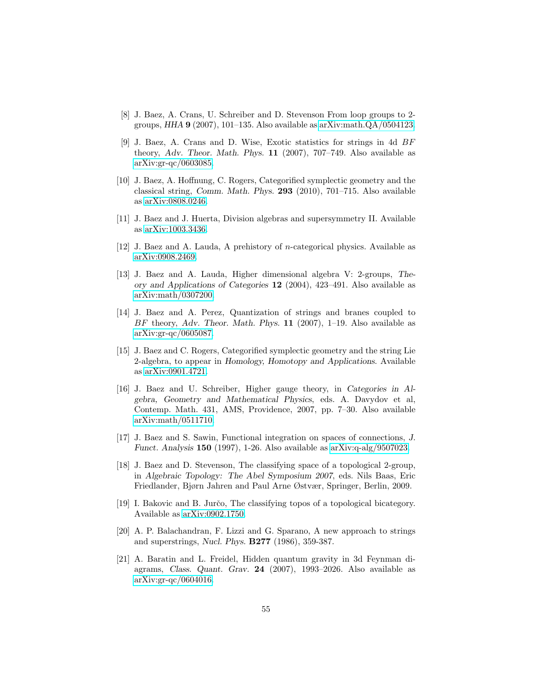- <span id="page-54-10"></span>[8] J. Baez, A. Crans, U. Schreiber and D. Stevenson From loop groups to 2 groups,  $HHA$  9 (2007), 101–135. Also available as  $arXiv:math.QA/0504123$ .
- <span id="page-54-7"></span>[9] J. Baez, A. Crans and D. Wise, Exotic statistics for strings in 4d BF theory, Adv. Theor. Math. Phys. 11 (2007), 707–749. Also available as [arXiv:gr-qc/0603085.](http://arxiv.org/abs/gr-qc/0603085)
- <span id="page-54-4"></span>[10] J. Baez, A. Hoffnung, C. Rogers, Categorified symplectic geometry and the classical string, Comm. Math. Phys. 293 (2010), 701–715. Also available as [arXiv:0808.0246.](http://arxiv.org/abs/0808.0246/)
- <span id="page-54-12"></span>[11] J. Baez and J. Huerta, Division algebras and supersymmetry II. Available as [arXiv:1003.3436.](http://arxiv.org/abs/1003.3436/)
- <span id="page-54-2"></span>[12] J. Baez and A. Lauda, A prehistory of n-categorical physics. Available as [arXiv:0908.2469.](http://arxiv.org/abs/0908.2469/)
- <span id="page-54-3"></span>[13] J. Baez and A. Lauda, Higher dimensional algebra V: 2-groups, Theory and Applications of Categories 12 (2004), 423–491. Also available as [arXiv:math/0307200.](http://arxiv.org/abs/math/0307200)
- <span id="page-54-9"></span>[14] J. Baez and A. Perez, Quantization of strings and branes coupled to  $BF$  theory, Adv. Theor. Math. Phys. 11 (2007), 1–19. Also available as [arXiv:gr-qc/0605087.](http://arxiv.org/abs/gr-qc/0605087)
- <span id="page-54-5"></span>[15] J. Baez and C. Rogers, Categorified symplectic geometry and the string Lie 2-algebra, to appear in Homology, Homotopy and Applications. Available as [arXiv:0901.4721.](http://arxiv.org/abs/0901.4721/)
- <span id="page-54-1"></span>[16] J. Baez and U. Schreiber, Higher gauge theory, in Categories in Algebra, Geometry and Mathematical Physics, eds. A. Davydov et al, Contemp. Math. 431, AMS, Providence, 2007, pp. 7–30. Also available [arXiv:math/0511710.](http://arxiv.org/abs/math/0511710)
- <span id="page-54-0"></span>[17] J. Baez and S. Sawin, Functional integration on spaces of connections, J. Funct. Analysis 150 (1997), 1-26. Also available as  $arXiv;q-alg/9507023$ .
- <span id="page-54-11"></span>[18] J. Baez and D. Stevenson, The classifying space of a topological 2-group, in Algebraic Topology: The Abel Symposium 2007, eds. Nils Baas, Eric Friedlander, Bjørn Jahren and Paul Arne Østvær, Springer, Berlin, 2009.
- <span id="page-54-13"></span>[19] I. Bakovic and B. Jurčo, The classifying topos of a topological bicategory. Available as [arXiv:0902.1750.](http://arxiv.org/abs/0902.1750/)
- <span id="page-54-8"></span>[20] A. P. Balachandran, F. Lizzi and G. Sparano, A new approach to strings and superstrings, Nucl. Phys. B277 (1986), 359-387.
- <span id="page-54-6"></span>[21] A. Baratin and L. Freidel, Hidden quantum gravity in 3d Feynman diagrams, Class. Quant. Grav. 24 (2007), 1993–2026. Also available as [arXiv:gr-qc/0604016.](http://arxiv.org/abs/gr-qc/0604016)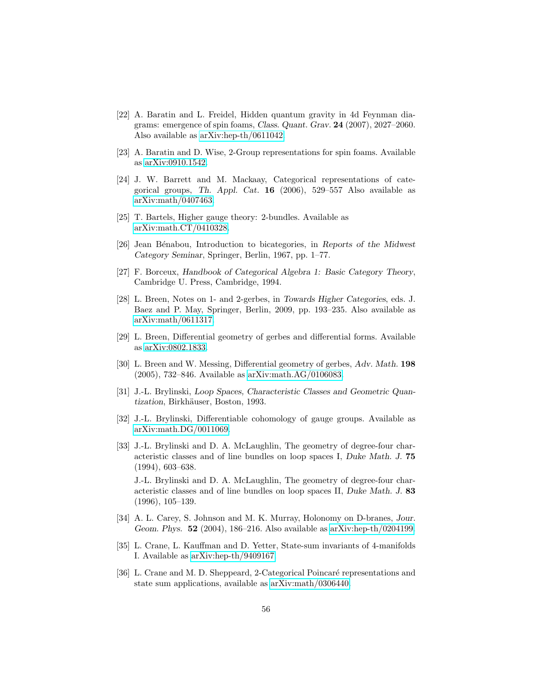- <span id="page-55-7"></span>[22] A. Baratin and L. Freidel, Hidden quantum gravity in 4d Feynman diagrams: emergence of spin foams, Class. Quant. Grav. 24 (2007), 2027–2060. Also available as [arXiv:hep-th/0611042.](http://arxiv.org/abs/hep-th/0611042)
- <span id="page-55-8"></span>[23] A. Baratin and D. Wise, 2-Group representations for spin foams. Available as [arXiv:0910.1542.](http://arxiv.org/abs/0910.1542/)
- <span id="page-55-5"></span>[24] J. W. Barrett and M. Mackaay, Categorical representations of categorical groups, Th. Appl. Cat. 16 (2006), 529–557 Also available as [arXiv:math/0407463.](http://arxiv.org/abs/math/0407463)
- <span id="page-55-0"></span>[25] T. Bartels, Higher gauge theory: 2-bundles. Available as [arXiv:math.CT/0410328.](http://arxiv.org/abs/math.CT/0410328)
- [26] Jean Bénabou, Introduction to bicategories, in Reports of the Midwest Category Seminar, Springer, Berlin, 1967, pp. 1–77.
- [27] F. Borceux, Handbook of Categorical Algebra 1: Basic Category Theory, Cambridge U. Press, Cambridge, 1994.
- <span id="page-55-10"></span>[28] L. Breen, Notes on 1- and 2-gerbes, in Towards Higher Categories, eds. J. Baez and P. May, Springer, Berlin, 2009, pp. 193–235. Also available as [arXiv:math/0611317.](http://arxiv.org/abs/math/0611317)
- <span id="page-55-1"></span>[29] L. Breen, Differential geometry of gerbes and differential forms. Available as [arXiv:0802.1833.](http://arxiv.org/abs/0802.1833/)
- <span id="page-55-2"></span>[30] L. Breen and W. Messing, Differential geometry of gerbes, Adv. Math. 198 (2005), 732–846. Available as [arXiv:math.AG/0106083.](http://arxiv.org/abs/math.AG/0106083)
- <span id="page-55-3"></span>[31] J.-L. Brylinski, Loop Spaces, Characteristic Classes and Geometric Quantization, Birkhäuser, Boston, 1993.
- <span id="page-55-12"></span>[32] J.-L. Brylinski, Differentiable cohomology of gauge groups. Available as [arXiv:math.DG/0011069.](http://arxiv.org/abs/math.DG/0011069)
- <span id="page-55-11"></span>[33] J.-L. Brylinski and D. A. McLaughlin, The geometry of degree-four characteristic classes and of line bundles on loop spaces I, Duke Math. J. 75 (1994), 603–638.

J.-L. Brylinski and D. A. McLaughlin, The geometry of degree-four characteristic classes and of line bundles on loop spaces II, Duke Math. J. 83 (1996), 105–139.

- <span id="page-55-4"></span>[34] A. L. Carey, S. Johnson and M. K. Murray, Holonomy on D-branes, Jour. Geom. Phys. 52 (2004), 186–216. Also available as [arXiv:hep-th/0204199.](http://arxiv.org/abs/hep-th/0204199)
- <span id="page-55-9"></span>[35] L. Crane, L. Kauffman and D. Yetter, State-sum invariants of 4-manifolds I. Available as [arXiv:hep-th/9409167.](http://arxiv.org/abs/hep-th/9409167)
- <span id="page-55-6"></span>[36] L. Crane and M. D. Sheppeard, 2-Categorical Poincaré representations and state sum applications, available as [arXiv:math/0306440.](http://arxiv.org/abs/math/0306440)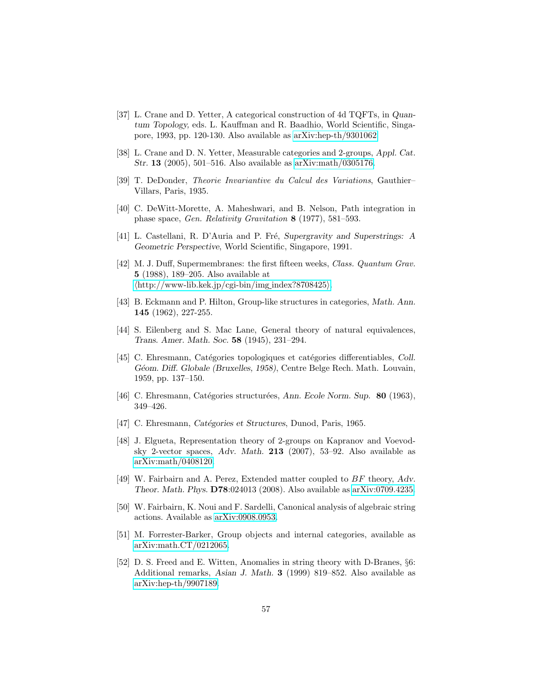- <span id="page-56-9"></span>[37] L. Crane and D. Yetter, A categorical construction of 4d TQFTs, in Quantum Topology, eds. L. Kauffman and R. Baadhio, World Scientific, Singapore, 1993, pp. 120-130. Also available as [arXiv:hep-th/9301062.](http://arxiv.org/abs/hep-th/9301062)
- <span id="page-56-5"></span>[38] L. Crane and D. N. Yetter, Measurable categories and 2-groups, Appl. Cat. Str. 13 (2005), 501–516. Also available as [arXiv:math/0305176.](http://arxiv.org/abs/math/0305176)
- <span id="page-56-4"></span>[39] T. DeDonder, Theorie Invariantive du Calcul des Variations, Gauthier– Villars, Paris, 1935.
- <span id="page-56-2"></span>[40] C. DeWitt-Morette, A. Maheshwari, and B. Nelson, Path integration in phase space, Gen. Relativity Gravitation 8 (1977), 581–593.
- <span id="page-56-11"></span>[41] L. Castellani, R. D'Auria and P. Fré, Supergravity and Superstrings: A Geometric Perspective, World Scientific, Singapore, 1991.
- <span id="page-56-10"></span>[42] M. J. Duff, Supermembranes: the first fifteen weeks, Class. Quantum Grav. 5 (1988), 189–205. Also available at  $\langle \frac{http://www-lib.kek.jp/cei-bin/img~index?8708425\rangle.$
- <span id="page-56-1"></span>[43] B. Eckmann and P. Hilton, Group-like structures in categories, Math. Ann. 145 (1962), 227-255.
- [44] S. Eilenberg and S. Mac Lane, General theory of natural equivalences, Trans. Amer. Math. Soc. 58 (1945), 231–294.
- [45] C. Ehresmann, Catégories topologiques et catégories differentiables, Coll. Géom. Diff. Globale (Bruxelles, 1958), Centre Belge Rech. Math. Louvain, 1959, pp. 137–150.
- [46] C. Ehresmann, Catégories structurées, Ann. Ecole Norm. Sup. 80 (1963), 349–426.
- [47] C. Ehresmann, Catégories et Structures, Dunod, Paris, 1965.
- <span id="page-56-6"></span>[48] J. Elgueta, Representation theory of 2-groups on Kapranov and Voevodsky 2-vector spaces, Adv. Math. 213 (2007), 53–92. Also available as [arXiv:math/0408120.](http://arxiv.org/abs/math/0408120)
- <span id="page-56-7"></span>[49] W. Fairbairn and A. Perez, Extended matter coupled to BF theory, Adv. Theor. Math. Phys. D78:024013 (2008). Also available as [arXiv:0709.4235.](http://arxiv.org/abs/0709.4235/)
- <span id="page-56-8"></span>[50] W. Fairbairn, K. Noui and F. Sardelli, Canonical analysis of algebraic string actions. Available as [arXiv:0908.0953.](http://arxiv.org/abs/0908.0953/)
- <span id="page-56-0"></span>[51] M. Forrester-Barker, Group objects and internal categories, available as [arXiv:math.CT/0212065.](http://arxiv.org/abs/math.CT/0212065)
- <span id="page-56-3"></span>[52] D. S. Freed and E. Witten, Anomalies in string theory with D-Branes, §6: Additional remarks, Asian J. Math. 3 (1999) 819–852. Also available as [arXiv:hep-th/9907189.](http://arxiv.org/abs/hep-th/9907189)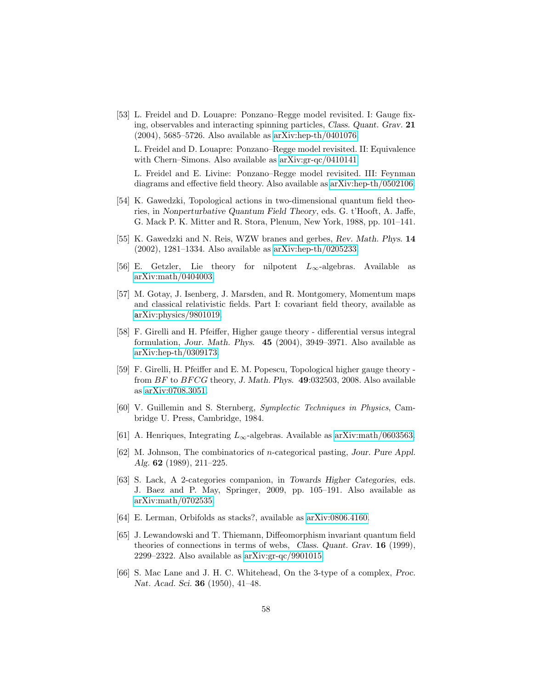<span id="page-57-8"></span>[53] L. Freidel and D. Louapre: Ponzano–Regge model revisited. I: Gauge fixing, observables and interacting spinning particles, Class. Quant. Grav. 21 (2004), 5685–5726. Also available as [arXiv:hep-th/0401076.](http://arxiv.org/abs/hep-th/0401076)

L. Freidel and D. Louapre: Ponzano–Regge model revisited. II: Equivalence with Chern–Simons. Also available as [arXiv:gr-qc/0410141.](http://arxiv.org/abs/gr-qc/0410141)

L. Freidel and E. Livine: Ponzano–Regge model revisited. III: Feynman diagrams and effective field theory. Also available as [arXiv:hep-th/0502106.](http://arxiv.org/abs/hep-th/0502106)

- <span id="page-57-5"></span>[54] K. Gawedzki, Topological actions in two-dimensional quantum field theories, in Nonperturbative Quantum Field Theory, eds. G. t'Hooft, A. Jaffe, G. Mack P. K. Mitter and R. Stora, Plenum, New York, 1988, pp. 101–141.
- <span id="page-57-6"></span>[55] K. Gawedzki and N. Reis, WZW branes and gerbes, Rev. Math. Phys. 14 (2002), 1281–1334. Also available as [arXiv:hep-th/0205233.](http://arxiv.org/abs/hep-th/0205233)
- <span id="page-57-11"></span>[56] E. Getzler, Lie theory for nilpotent  $L_{\infty}$ -algebras. Available as [arXiv:math/0404003.](http://arxiv.org/abs/math/0404003)
- <span id="page-57-7"></span>[57] M. Gotay, J. Isenberg, J. Marsden, and R. Montgomery, Momentum maps and classical relativistic fields. Part I: covariant field theory, available as a[rXiv:physics/9801019.](http://arxiv.org/abs/physics/9801019)
- <span id="page-57-3"></span>[58] F. Girelli and H. Pfeiffer, Higher gauge theory - differential versus integral formulation, Jour. Math. Phys. 45 (2004), 3949–3971. Also available as [arXiv:hep-th/0309173.](http://arxiv.org/abs/hep-th/0309173)
- <span id="page-57-9"></span>[59] F. Girelli, H. Pfeiffer and E. M. Popescu, Topological higher gauge theory from  $BF$  to  $BFCG$  theory, J. Math. Phys.  $49:032503$ , 2008. Also available as [arXiv:0708.3051.](http://arxiv.org/abs/0708.3051/)
- <span id="page-57-4"></span>[60] V. Guillemin and S. Sternberg, Symplectic Techniques in Physics, Cambridge U. Press, Cambridge, 1984.
- <span id="page-57-12"></span>[61] A. Henriques, Integrating  $L_{\infty}$ -algebras. Available as [arXiv:math/0603563.](http://arxiv.org/abs/math/0603563)
- [62] M. Johnson, The combinatorics of n-categorical pasting, Jour. Pure Appl. Alg. 62 (1989), 211–225.
- <span id="page-57-1"></span>[63] S. Lack, A 2-categories companion, in Towards Higher Categories, eds. J. Baez and P. May, Springer, 2009, pp. 105–191. Also available as [arXiv:math/0702535.](http://arxiv.org/abs/math/0702535)
- <span id="page-57-10"></span>[64] E. Lerman, Orbifolds as stacks?, available as [arXiv:0806.4160.](http://arxiv.org/abs/0806.4160/)
- <span id="page-57-0"></span>[65] J. Lewandowski and T. Thiemann, Diffeomorphism invariant quantum field theories of connections in terms of webs, Class. Quant. Grav. 16 (1999), 2299–2322. Also available as [arXiv:gr-qc/9901015.](http://arxiv.org/abs/gr-qc/9901015)
- <span id="page-57-2"></span>[66] S. Mac Lane and J. H. C. Whitehead, On the 3-type of a complex, Proc. Nat. Acad. Sci. 36 (1950), 41–48.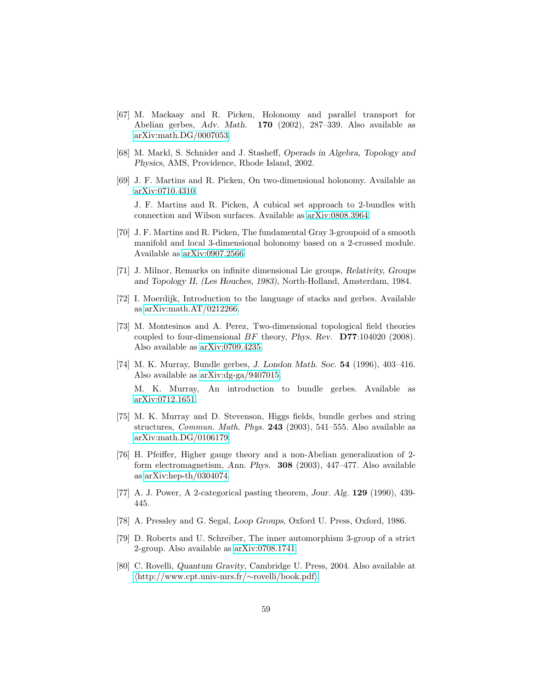- <span id="page-58-0"></span>[67] M. Mackaay and R. Picken, Holonomy and parallel transport for Abelian gerbes, Adv. Math. 170 (2002), 287–339. Also available as [arXiv:math.DG/0007053.](http://arxiv.org/abs/math.DG/0007053)
- <span id="page-58-12"></span>[68] M. Markl, S. Schnider and J. Stasheff, Operads in Algebra, Topology and Physics, AMS, Providence, Rhode Island, 2002.
- <span id="page-58-1"></span>[69] J. F. Martins and R. Picken, On two-dimensional holonomy. Available as [arXiv:0710.4310.](http://arxiv.org/abs/0710.4310/)

J. F. Martins and R. Picken, A cubical set approach to 2-bundles with connection and Wilson surfaces. Available as [arXiv:0808.3964.](http://arxiv.org/abs/0808.3964/)

- <span id="page-58-8"></span>[70] J. F. Martins and R. Picken, The fundamental Gray 3-groupoid of a smooth manifold and local 3-dimensional holonomy based on a 2-crossed module. Available as [arXiv:0907.2566](http://arxiv.org/abs/0907.2566/)
- <span id="page-58-10"></span>[71] J. Milnor, Remarks on infinite dimensional Lie groups, Relativity, Groups and Topology II, (Les Houches, 1983), North-Holland, Amsterdam, 1984.
- <span id="page-58-13"></span>[72] I. Moerdijk, Introduction to the language of stacks and gerbes. Available as [arXiv:math.AT/0212266.](http://arxiv.org/abs/math.AT/0212266)
- <span id="page-58-6"></span>[73] M. Montesinos and A. Perez, Two-dimensional topological field theories coupled to four-dimensional  $BF$  theory, Phys. Rev.  $\mathbf{D77}:104020$  (2008). Also available as [arXiv:0709.4235.](http://arxiv.org/abs/0709.4235/)
- <span id="page-58-4"></span>[74] M. K. Murray, Bundle gerbes, J. London Math. Soc. 54 (1996), 403–416. Also available as [arXiv:dg-ga/9407015.](http://arxiv.org/abs/dg-ga/9407015)

M. K. Murray, An introduction to bundle gerbes. Available as [arXiv:0712.1651.](http://arxiv.org/abs/0712.1651/)

- <span id="page-58-11"></span>[75] M. K. Murray and D. Stevenson, Higgs fields, bundle gerbes and string structures, Commun. Math. Phys. 243 (2003), 541–555. Also available as [arXiv:math.DG/0106179.](http://arxiv.org/abs/math.DG/0106179)
- <span id="page-58-2"></span>[76] H. Pfeiffer, Higher gauge theory and a non-Abelian generalization of 2 form electromagnetism, Ann. Phys. 308 (2003), 447–477. Also available as [arXiv:hep-th/0304074.](http://arxiv.org/abs/hep-th/0304074)
- <span id="page-58-3"></span>[77] A. J. Power, A 2-categorical pasting theorem, Jour. Alg. 129 (1990), 439- 445.
- <span id="page-58-9"></span>[78] A. Pressley and G. Segal, Loop Groups, Oxford U. Press, Oxford, 1986.
- <span id="page-58-7"></span>[79] D. Roberts and U. Schreiber, The inner automorphism 3-group of a strict 2-group. Also available as [arXiv:0708.1741.](http://arxiv.org/abs/0708.1741/)
- <span id="page-58-5"></span>[80] C. Rovelli, Quantum Gravity, Cambridge U. Press, 2004. Also available at h[http://www.cpt.univ-mrs.fr/](http://www.cpt.univ-mrs.fr/~rovelli/book.pdf)∼rovelli/book.pdfi.